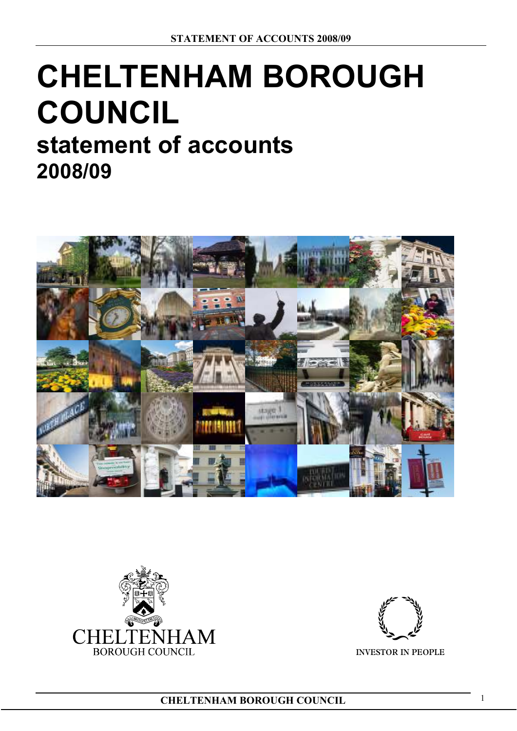# **CHELTENHAM BOROUGH COUNCIL statement of accounts**

**2008/09** 





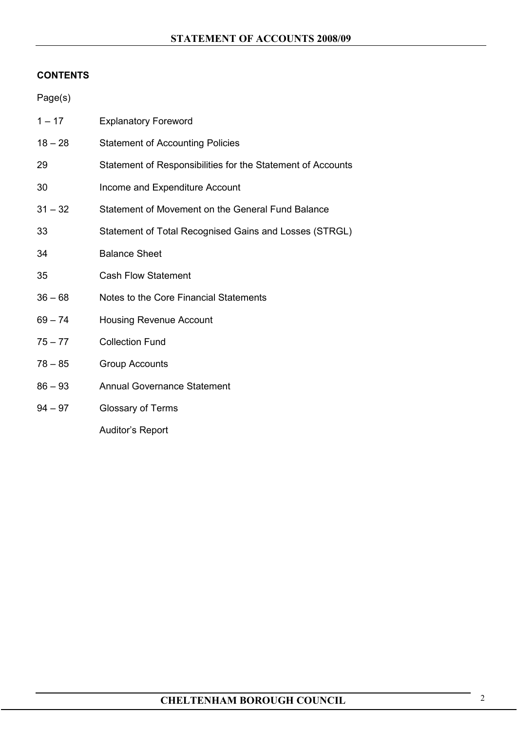## **CONTENTS**

| Page(s)   |                                                             |
|-----------|-------------------------------------------------------------|
| $1 - 17$  | <b>Explanatory Foreword</b>                                 |
| $18 - 28$ | <b>Statement of Accounting Policies</b>                     |
| 29        | Statement of Responsibilities for the Statement of Accounts |
| 30        | Income and Expenditure Account                              |
| $31 - 32$ | Statement of Movement on the General Fund Balance           |
| 33        | Statement of Total Recognised Gains and Losses (STRGL)      |
| 34        | <b>Balance Sheet</b>                                        |
| 35        | <b>Cash Flow Statement</b>                                  |
| $36 - 68$ | Notes to the Core Financial Statements                      |
| $69 - 74$ | <b>Housing Revenue Account</b>                              |
| $75 - 77$ | <b>Collection Fund</b>                                      |
| $78 - 85$ | <b>Group Accounts</b>                                       |
| $86 - 93$ | <b>Annual Governance Statement</b>                          |
| $94 - 97$ | Glossary of Terms                                           |
|           | <b>Auditor's Report</b>                                     |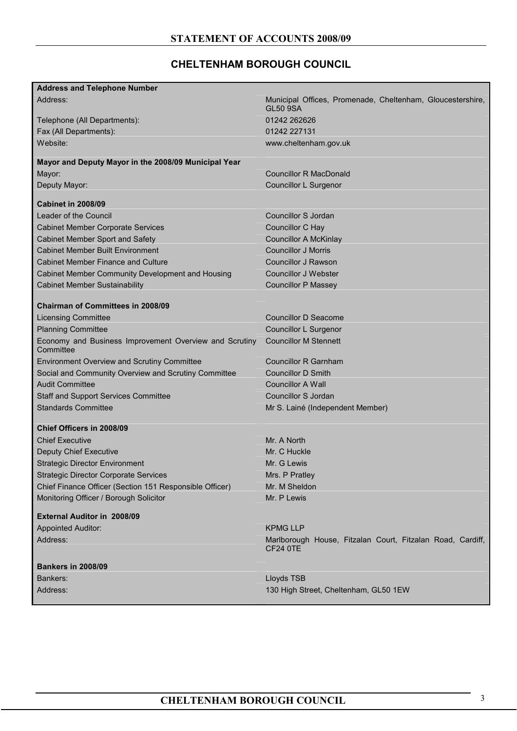# **CHELTENHAM BOROUGH COUNCIL**

| <b>Address and Telephone Number</b>                                 |                                                                               |
|---------------------------------------------------------------------|-------------------------------------------------------------------------------|
| Address:                                                            | Municipal Offices, Promenade, Cheltenham, Gloucestershire,<br><b>GL50 9SA</b> |
| Telephone (All Departments):                                        | 01242 262626                                                                  |
| Fax (All Departments):                                              | 01242 227131                                                                  |
| Website:                                                            | www.cheltenham.gov.uk                                                         |
| Mayor and Deputy Mayor in the 2008/09 Municipal Year                |                                                                               |
| Mayor:                                                              | <b>Councillor R MacDonald</b>                                                 |
| Deputy Mayor:                                                       | Councillor L Surgenor                                                         |
| <b>Cabinet in 2008/09</b>                                           |                                                                               |
| Leader of the Council                                               | Councillor S Jordan                                                           |
| <b>Cabinet Member Corporate Services</b>                            | Councillor C Hay                                                              |
| <b>Cabinet Member Sport and Safety</b>                              | <b>Councillor A McKinlay</b>                                                  |
| <b>Cabinet Member Built Environment</b>                             | <b>Councillor J Morris</b>                                                    |
| <b>Cabinet Member Finance and Culture</b>                           | <b>Councillor J Rawson</b>                                                    |
| Cabinet Member Community Development and Housing                    | <b>Councillor J Webster</b>                                                   |
| <b>Cabinet Member Sustainability</b>                                | <b>Councillor P Massey</b>                                                    |
| <b>Chairman of Committees in 2008/09</b>                            |                                                                               |
| <b>Licensing Committee</b>                                          | Councillor D Seacome                                                          |
| <b>Planning Committee</b>                                           | Councillor L Surgenor                                                         |
| Economy and Business Improvement Overview and Scrutiny<br>Committee | <b>Councillor M Stennett</b>                                                  |
| <b>Environment Overview and Scrutiny Committee</b>                  | <b>Councillor R Garnham</b>                                                   |
| Social and Community Overview and Scrutiny Committee                | <b>Councillor D Smith</b>                                                     |
| <b>Audit Committee</b>                                              | <b>Councillor A Wall</b>                                                      |
| <b>Staff and Support Services Committee</b>                         | <b>Councillor S Jordan</b>                                                    |
| <b>Standards Committee</b>                                          | Mr S. Lainé (Independent Member)                                              |
| <b>Chief Officers in 2008/09</b>                                    |                                                                               |
| <b>Chief Executive</b>                                              | Mr. A North                                                                   |
| <b>Deputy Chief Executive</b>                                       | Mr. C Huckle                                                                  |
| <b>Strategic Director Environment</b>                               | Mr. G Lewis                                                                   |
| <b>Strategic Director Corporate Services</b>                        | Mrs. P Pratley                                                                |
| Chief Finance Officer (Section 151 Responsible Officer)             | Mr. M Sheldon                                                                 |
| Monitoring Officer / Borough Solicitor                              | Mr. P Lewis                                                                   |
| <b>External Auditor in 2008/09</b>                                  |                                                                               |
| <b>Appointed Auditor:</b>                                           | <b>KPMG LLP</b>                                                               |
| Address:                                                            | Marlborough House, Fitzalan Court, Fitzalan Road, Cardiff,<br><b>CF24 0TE</b> |
| <b>Bankers in 2008/09</b>                                           |                                                                               |
| Bankers:                                                            | Lloyds TSB                                                                    |
| Address:                                                            | 130 High Street, Cheltenham, GL50 1EW                                         |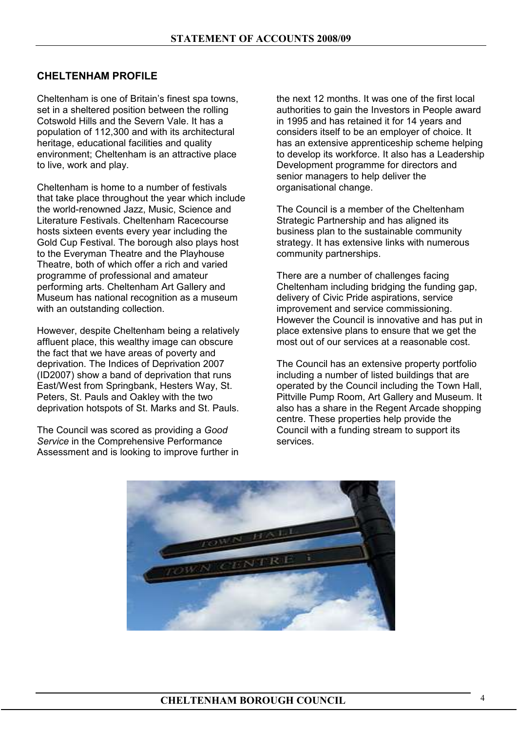## **CHELTENHAM PROFILE**

Cheltenham is one of Britain's finest spa towns, set in a sheltered position between the rolling Cotswold Hills and the Severn Vale. It has a population of 112,300 and with its architectural heritage, educational facilities and quality environment; Cheltenham is an attractive place to live, work and play.

Cheltenham is home to a number of festivals that take place throughout the year which include the world-renowned Jazz, Music, Science and Literature Festivals. Cheltenham Racecourse hosts sixteen events every year including the Gold Cup Festival. The borough also plays host to the Everyman Theatre and the Playhouse Theatre, both of which offer a rich and varied programme of professional and amateur performing arts. Cheltenham Art Gallery and Museum has national recognition as a museum with an outstanding collection.

However, despite Cheltenham being a relatively affluent place, this wealthy image can obscure the fact that we have areas of poverty and deprivation. The Indices of Deprivation 2007 (ID2007) show a band of deprivation that runs East/West from Springbank, Hesters Way, St. Peters, St. Pauls and Oakley with the two deprivation hotspots of St. Marks and St. Pauls.

The Council was scored as providing a *Good Service* in the Comprehensive Performance Assessment and is looking to improve further in the next 12 months. It was one of the first local authorities to gain the Investors in People award in 1995 and has retained it for 14 years and considers itself to be an employer of choice. It has an extensive apprenticeship scheme helping to develop its workforce. It also has a Leadership Development programme for directors and senior managers to help deliver the organisational change.

The Council is a member of the Cheltenham Strategic Partnership and has aligned its business plan to the sustainable community strategy. It has extensive links with numerous community partnerships.

There are a number of challenges facing Cheltenham including bridging the funding gap, delivery of Civic Pride aspirations, service improvement and service commissioning. However the Council is innovative and has put in place extensive plans to ensure that we get the most out of our services at a reasonable cost.

The Council has an extensive property portfolio including a number of listed buildings that are operated by the Council including the Town Hall, Pittville Pump Room, Art Gallery and Museum. It also has a share in the Regent Arcade shopping centre. These properties help provide the Council with a funding stream to support its services.

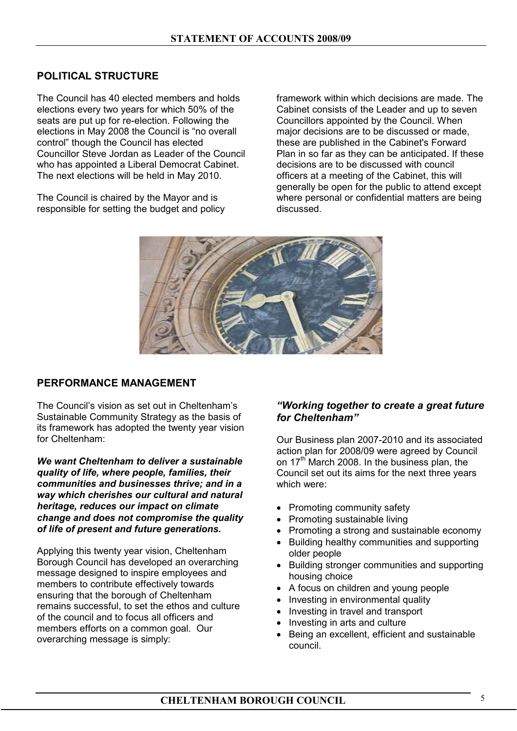## **POLITICAL STRUCTURE**

The Council has 40 elected members and holds elections every two years for which 50% of the seats are put up for re-election. Following the elections in May 2008 the Council is "no overall control" though the Council has elected Councillor Steve Jordan as Leader of the Council who has appointed a Liberal Democrat Cabinet. The next elections will be held in May 2010.

The Council is chaired by the Mayor and is responsible for setting the budget and policy framework within which decisions are made. The Cabinet consists of the Leader and up to seven Councillors appointed by the Council. When major decisions are to be discussed or made, these are published in the Cabinet's Forward Plan in so far as they can be anticipated. If these decisions are to be discussed with council officers at a meeting of the Cabinet, this will generally be open for the public to attend except where personal or confidential matters are being discussed.



#### **PERFORMANCE MANAGEMENT**

The Council's vision as set out in Cheltenham's Sustainable Community Strategy as the basis of its framework has adopted the twenty year vision for Cheltenham:

*We want Cheltenham to deliver a sustainable quality of life, where people, families, their communities and businesses thrive; and in a way which cherishes our cultural and natural heritage, reduces our impact on climate change and does not compromise the quality of life of present and future generations.* 

Applying this twenty year vision, Cheltenham Borough Council has developed an overarching message designed to inspire employees and members to contribute effectively towards ensuring that the borough of Cheltenham remains successful, to set the ethos and culture of the council and to focus all officers and members efforts on a common goal. Our overarching message is simply:

## *"Working together to create a great future for Cheltenham"*

Our Business plan 2007-2010 and its associated action plan for 2008/09 were agreed by Council on 17<sup>th</sup> March 2008. In the business plan, the Council set out its aims for the next three years which were:

- Promoting community safety
- Promoting sustainable living
- Promoting a strong and sustainable economy
- Building healthy communities and supporting older people
- Building stronger communities and supporting housing choice
- A focus on children and young people
- Investing in environmental quality
- Investing in travel and transport
- Investing in arts and culture
- Being an excellent, efficient and sustainable council.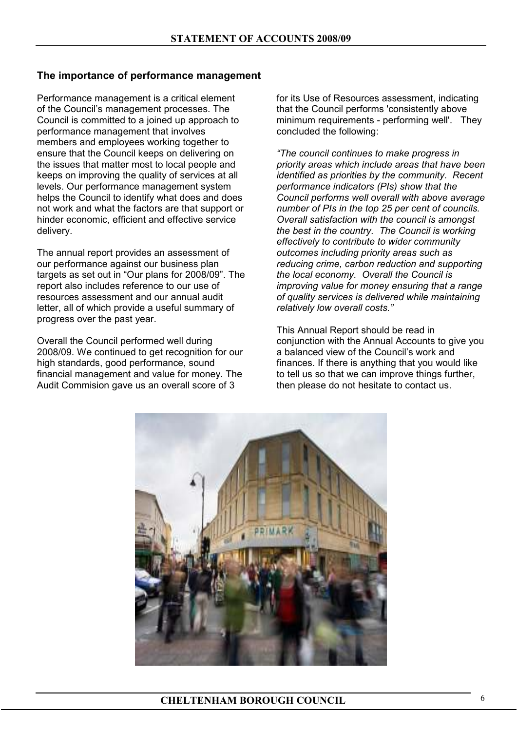## **The importance of performance management**

Performance management is a critical element of the Council's management processes. The Council is committed to a joined up approach to performance management that involves members and employees working together to ensure that the Council keeps on delivering on the issues that matter most to local people and keeps on improving the quality of services at all levels. Our performance management system helps the Council to identify what does and does not work and what the factors are that support or hinder economic, efficient and effective service delivery.

The annual report provides an assessment of our performance against our business plan targets as set out in "Our plans for 2008/09". The report also includes reference to our use of resources assessment and our annual audit letter, all of which provide a useful summary of progress over the past year.

Overall the Council performed well during 2008/09. We continued to get recognition for our high standards, good performance, sound financial management and value for money. The Audit Commision gave us an overall score of 3

for its Use of Resources assessment, indicating that the Council performs 'consistently above minimum requirements - performing well'. They concluded the following:

*"The council continues to make progress in priority areas which include areas that have been identified as priorities by the community. Recent performance indicators (PIs) show that the Council performs well overall with above average number of PIs in the top 25 per cent of councils. Overall satisfaction with the council is amongst the best in the country. The Council is working effectively to contribute to wider community outcomes including priority areas such as reducing crime, carbon reduction and supporting the local economy. Overall the Council is improving value for money ensuring that a range of quality services is delivered while maintaining relatively low overall costs."* 

This Annual Report should be read in conjunction with the Annual Accounts to give you a balanced view of the Council's work and finances. If there is anything that you would like to tell us so that we can improve things further, then please do not hesitate to contact us.

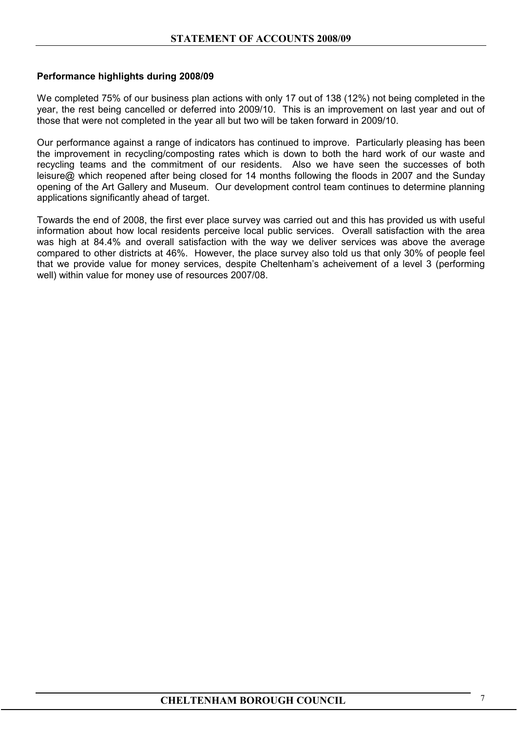## **Performance highlights during 2008/09**

We completed 75% of our business plan actions with only 17 out of 138 (12%) not being completed in the year, the rest being cancelled or deferred into 2009/10. This is an improvement on last year and out of those that were not completed in the year all but two will be taken forward in 2009/10.

Our performance against a range of indicators has continued to improve. Particularly pleasing has been the improvement in recycling/composting rates which is down to both the hard work of our waste and recycling teams and the commitment of our residents. Also we have seen the successes of both leisure@ which reopened after being closed for 14 months following the floods in 2007 and the Sunday opening of the Art Gallery and Museum. Our development control team continues to determine planning applications significantly ahead of target.

Towards the end of 2008, the first ever place survey was carried out and this has provided us with useful information about how local residents perceive local public services. Overall satisfaction with the area was high at 84.4% and overall satisfaction with the way we deliver services was above the average compared to other districts at 46%. However, the place survey also told us that only 30% of people feel that we provide value for money services, despite Cheltenham's acheivement of a level 3 (performing well) within value for money use of resources 2007/08.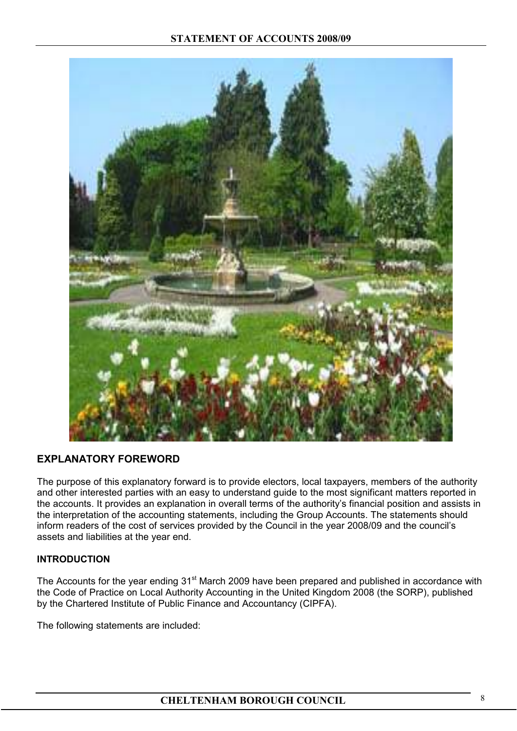

## **EXPLANATORY FOREWORD**

The purpose of this explanatory forward is to provide electors, local taxpayers, members of the authority and other interested parties with an easy to understand guide to the most significant matters reported in the accounts. It provides an explanation in overall terms of the authority's financial position and assists in the interpretation of the accounting statements, including the Group Accounts. The statements should inform readers of the cost of services provided by the Council in the year 2008/09 and the council's assets and liabilities at the year end.

## **INTRODUCTION**

The Accounts for the year ending 31<sup>st</sup> March 2009 have been prepared and published in accordance with the Code of Practice on Local Authority Accounting in the United Kingdom 2008 (the SORP), published by the Chartered Institute of Public Finance and Accountancy (CIPFA).

The following statements are included: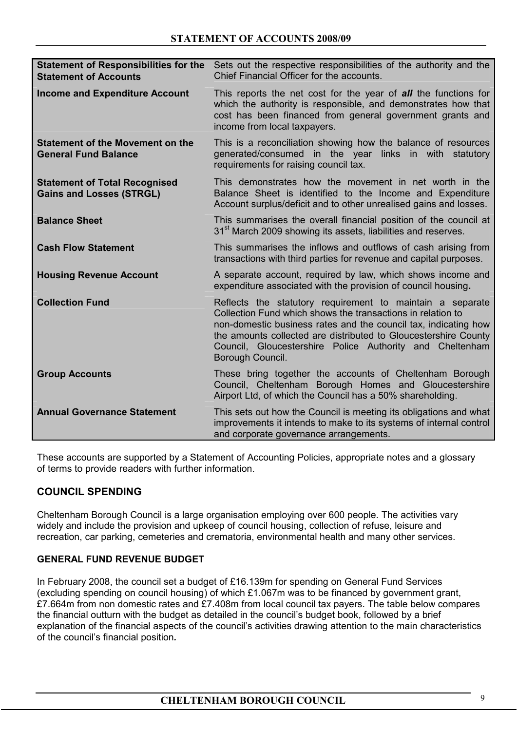| <b>Statement of Responsibilities for the</b><br><b>Statement of Accounts</b> | Sets out the respective responsibilities of the authority and the<br>Chief Financial Officer for the accounts.                                                                                                                                                                                                                                 |
|------------------------------------------------------------------------------|------------------------------------------------------------------------------------------------------------------------------------------------------------------------------------------------------------------------------------------------------------------------------------------------------------------------------------------------|
| <b>Income and Expenditure Account</b>                                        | This reports the net cost for the year of <b>all</b> the functions for<br>which the authority is responsible, and demonstrates how that<br>cost has been financed from general government grants and<br>income from local taxpayers.                                                                                                           |
| <b>Statement of the Movement on the</b><br><b>General Fund Balance</b>       | This is a reconciliation showing how the balance of resources<br>generated/consumed in the year links in with statutory<br>requirements for raising council tax.                                                                                                                                                                               |
| <b>Statement of Total Recognised</b><br><b>Gains and Losses (STRGL)</b>      | This demonstrates how the movement in net worth in the<br>Balance Sheet is identified to the Income and Expenditure<br>Account surplus/deficit and to other unrealised gains and losses.                                                                                                                                                       |
| <b>Balance Sheet</b>                                                         | This summarises the overall financial position of the council at<br>31 <sup>st</sup> March 2009 showing its assets, liabilities and reserves.                                                                                                                                                                                                  |
| <b>Cash Flow Statement</b>                                                   | This summarises the inflows and outflows of cash arising from<br>transactions with third parties for revenue and capital purposes.                                                                                                                                                                                                             |
| <b>Housing Revenue Account</b>                                               | A separate account, required by law, which shows income and<br>expenditure associated with the provision of council housing.                                                                                                                                                                                                                   |
| <b>Collection Fund</b>                                                       | Reflects the statutory requirement to maintain a separate<br>Collection Fund which shows the transactions in relation to<br>non-domestic business rates and the council tax, indicating how<br>the amounts collected are distributed to Gloucestershire County<br>Council, Gloucestershire Police Authority and Cheltenham<br>Borough Council. |
| <b>Group Accounts</b>                                                        | These bring together the accounts of Cheltenham Borough<br>Council, Cheltenham Borough Homes and Gloucestershire<br>Airport Ltd, of which the Council has a 50% shareholding.                                                                                                                                                                  |
| <b>Annual Governance Statement</b>                                           | This sets out how the Council is meeting its obligations and what<br>improvements it intends to make to its systems of internal control<br>and corporate governance arrangements.                                                                                                                                                              |

These accounts are supported by a Statement of Accounting Policies, appropriate notes and a glossary of terms to provide readers with further information.

## **COUNCIL SPENDING**

Cheltenham Borough Council is a large organisation employing over 600 people. The activities vary widely and include the provision and upkeep of council housing, collection of refuse, leisure and recreation, car parking, cemeteries and crematoria, environmental health and many other services.

## **GENERAL FUND REVENUE BUDGET**

In February 2008, the council set a budget of £16.139m for spending on General Fund Services (excluding spending on council housing) of which £1.067m was to be financed by government grant, £7.664m from non domestic rates and £7.408m from local council tax payers. The table below compares the financial outturn with the budget as detailed in the council's budget book, followed by a brief explanation of the financial aspects of the council's activities drawing attention to the main characteristics of the council's financial position*.*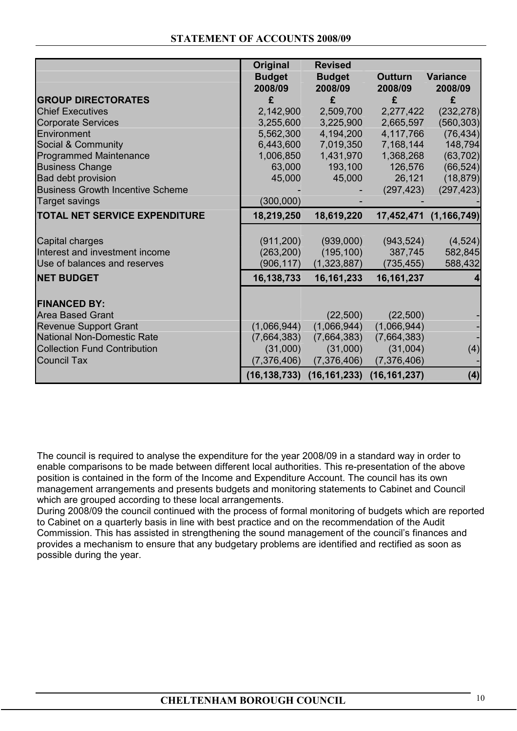|                                         | Original       | <b>Revised</b> |                |                        |
|-----------------------------------------|----------------|----------------|----------------|------------------------|
|                                         | <b>Budget</b>  | <b>Budget</b>  | <b>Outturn</b> | <b>Variance</b>        |
|                                         | 2008/09        | 2008/09        | 2008/09        | 2008/09                |
| <b>GROUP DIRECTORATES</b>               | £              | £              | £              | £                      |
| <b>Chief Executives</b>                 | 2,142,900      | 2,509,700      | 2,277,422      | (232, 278)             |
| <b>Corporate Services</b>               | 3,255,600      | 3,225,900      | 2,665,597      | (560, 303)             |
| Environment                             | 5,562,300      | 4,194,200      | 4,117,766      | (76, 434)              |
| Social & Community                      | 6,443,600      | 7,019,350      | 7,168,144      | 148,794                |
| Programmed Maintenance                  | 1,006,850      | 1,431,970      | 1,368,268      | (63, 702)              |
| <b>Business Change</b>                  | 63,000         | 193,100        | 126,576        | (66, 524)              |
| <b>Bad debt provision</b>               | 45,000         | 45,000         | 26,121         | (18, 879)              |
| <b>Business Growth Incentive Scheme</b> |                |                | (297, 423)     | (297, 423)             |
| Target savings                          | (300,000)      |                |                |                        |
| <b>TOTAL NET SERVICE EXPENDITURE</b>    | 18,219,250     | 18,619,220     |                | 17,452,471 (1,166,749) |
|                                         |                |                |                |                        |
| Capital charges                         | (911, 200)     | (939,000)      | (943, 524)     | (4, 524)               |
| Interest and investment income          | (263, 200)     | (195, 100)     | 387,745        | 582,845                |
| Use of balances and reserves            | (906, 117)     | (1,323,887)    | (735, 455)     | 588,432                |
| <b>NET BUDGET</b>                       | 16,138,733     | 16, 161, 233   | 16, 161, 237   |                        |
| <b>FINANCED BY:</b>                     |                |                |                |                        |
| <b>Area Based Grant</b>                 |                | (22, 500)      | (22, 500)      |                        |
| <b>Revenue Support Grant</b>            | (1,066,944)    | (1,066,944)    | (1,066,944)    |                        |
| <b>National Non-Domestic Rate</b>       | (7,664,383)    | (7,664,383)    | (7,664,383)    |                        |
| <b>Collection Fund Contribution</b>     | (31,000)       | (31,000)       | (31,004)       | (4)                    |
| <b>Council Tax</b>                      | (7,376,406)    | (7,376,406)    | (7,376,406)    |                        |
|                                         | (16, 138, 733) | (16, 161, 233) | (16, 161, 237) | (4)                    |

The council is required to analyse the expenditure for the year 2008/09 in a standard way in order to enable comparisons to be made between different local authorities. This re-presentation of the above position is contained in the form of the Income and Expenditure Account. The council has its own management arrangements and presents budgets and monitoring statements to Cabinet and Council which are grouped according to these local arrangements.

During 2008/09 the council continued with the process of formal monitoring of budgets which are reported to Cabinet on a quarterly basis in line with best practice and on the recommendation of the Audit Commission. This has assisted in strengthening the sound management of the council's finances and provides a mechanism to ensure that any budgetary problems are identified and rectified as soon as possible during the year.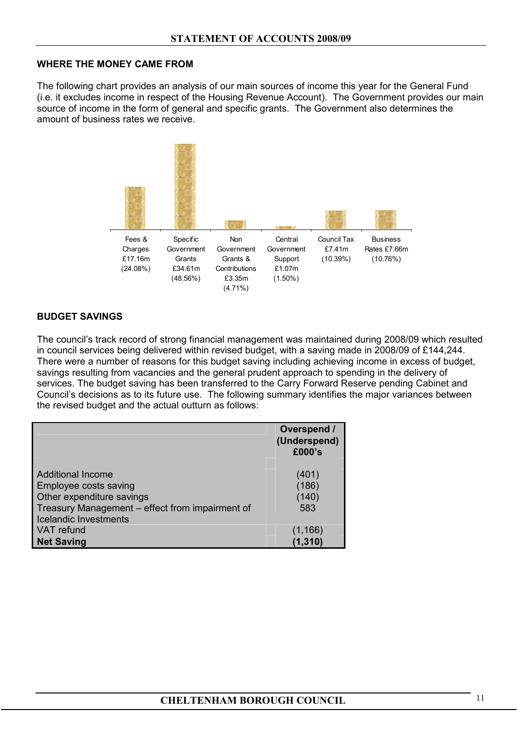## **WHERE THE MONEY CAME FROM**

The following chart provides an analysis of our main sources of income this year for the General Fund (i.e. it excludes income in respect of the Housing Revenue Account). The Government provides our main source of income in the form of general and specific grants. The Government also determines the amount of business rates we receive.



## **BUDGET SAVINGS**

The council's track record of strong financial management was maintained during 2008/09 which resulted in council services being delivered within revised budget, with a saving made in 2008/09 of £144,244. There were a number of reasons for this budget saving including achieving income in excess of budget, savings resulting from vacancies and the general prudent approach to spending in the delivery of services. The budget saving has been transferred to the Carry Forward Reserve pending Cabinet and Council's decisions as to its future use. The following summary identifies the major variances between the revised budget and the actual outturn as follows:

|                                                                                                                                   | Overspend /<br>(Underspend)<br>£000's |
|-----------------------------------------------------------------------------------------------------------------------------------|---------------------------------------|
| <b>Additional Income</b><br>Employee costs saving<br>Other expenditure savings<br>Treasury Management - effect from impairment of | (401)<br>(186)<br>(140)<br>583        |
| <b>Icelandic Investments</b><br><b>VAT</b> refund<br><b>Net Saving</b>                                                            | (1, 166)<br>(1, 310)                  |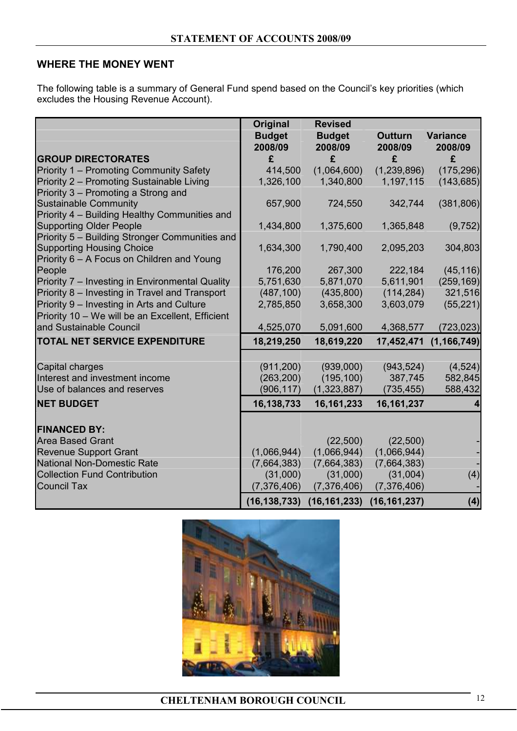## **WHERE THE MONEY WENT**

The following table is a summary of General Fund spend based on the Council's key priorities (which excludes the Housing Revenue Account).

|                                                                                                | Original<br><b>Budget</b> | <b>Revised</b><br><b>Budget</b> | <b>Outturn</b> | <b>Variance</b> |
|------------------------------------------------------------------------------------------------|---------------------------|---------------------------------|----------------|-----------------|
|                                                                                                | 2008/09                   | 2008/09                         | 2008/09        | 2008/09         |
| <b>GROUP DIRECTORATES</b>                                                                      | £                         | £                               | £              | £               |
| Priority 1 - Promoting Community Safety                                                        | 414,500                   | (1,064,600)                     | (1,239,896)    | (175, 296)      |
| Priority 2 - Promoting Sustainable Living                                                      | 1,326,100                 | 1,340,800                       | 1,197,115      | (143, 685)      |
| Priority 3 - Promoting a Strong and                                                            |                           |                                 |                |                 |
| <b>Sustainable Community</b>                                                                   | 657,900                   | 724,550                         | 342,744        | (381, 806)      |
| Priority 4 - Building Healthy Communities and                                                  |                           |                                 |                |                 |
| <b>Supporting Older People</b>                                                                 | 1,434,800                 | 1,375,600                       | 1,365,848      | (9, 752)        |
| Priority 5 - Building Stronger Communities and                                                 |                           |                                 |                |                 |
| <b>Supporting Housing Choice</b>                                                               | 1,634,300                 | 1,790,400                       | 2,095,203      | 304,803         |
| Priority 6 - A Focus on Children and Young                                                     |                           |                                 |                |                 |
| People                                                                                         | 176,200                   | 267,300                         | 222,184        | (45, 116)       |
| Priority 7 - Investing in Environmental Quality                                                | 5,751,630                 | 5,871,070                       | 5,611,901      | (259, 169)      |
| Priority 8 - Investing in Travel and Transport                                                 | (487, 100)                | (435, 800)                      | (114, 284)     | 321,516         |
| Priority 9 – Investing in Arts and Culture<br>Priority 10 - We will be an Excellent, Efficient | 2,785,850                 | 3,658,300                       | 3,603,079      | (55, 221)       |
| and Sustainable Council                                                                        | 4,525,070                 | 5,091,600                       | 4,368,577      |                 |
|                                                                                                |                           |                                 |                | (723, 023)      |
| <b>TOTAL NET SERVICE EXPENDITURE</b>                                                           | 18,219,250                | 18,619,220                      | 17,452,471     | (1, 166, 749)   |
|                                                                                                |                           |                                 |                |                 |
| Capital charges                                                                                | (911, 200)                | (939,000)                       | (943, 524)     | (4, 524)        |
| Interest and investment income                                                                 | (263, 200)                | (195, 100)                      | 387,745        | 582,845         |
| Use of balances and reserves                                                                   | (906, 117)                | (1,323,887)                     | (735, 455)     | 588,432         |
| <b>NET BUDGET</b>                                                                              | 16,138,733                | 16, 161, 233                    | 16, 161, 237   | 4               |
|                                                                                                |                           |                                 |                |                 |
| <b>FINANCED BY:</b>                                                                            |                           |                                 |                |                 |
| <b>Area Based Grant</b>                                                                        |                           | (22, 500)                       | (22, 500)      |                 |
| <b>Revenue Support Grant</b>                                                                   | (1,066,944)               | (1,066,944)                     | (1,066,944)    |                 |
| <b>National Non-Domestic Rate</b>                                                              | (7,664,383)               | (7,664,383)                     | (7,664,383)    |                 |
| <b>Collection Fund Contribution</b>                                                            | (31,000)                  | (31,000)                        | (31,004)       | (4)             |
| <b>Council Tax</b>                                                                             | (7,376,406)               | (7,376,406)                     | (7,376,406)    |                 |
|                                                                                                | (16, 138, 733)            | (16, 161, 233)                  | (16, 161, 237) | (4)             |

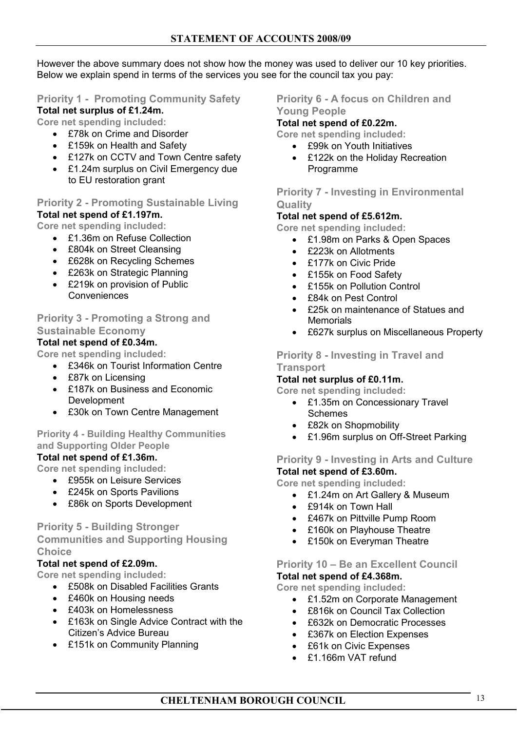However the above summary does not show how the money was used to deliver our 10 key priorities. Below we explain spend in terms of the services you see for the council tax you pay:

## **Priority 1 - Promoting Community Safety**

## **Total net surplus of £1.24m.**

**Core net spending included:** 

- £78k on Crime and Disorder
- £159k on Health and Safety
- £127k on CCTV and Town Centre safety
- £1.24m surplus on Civil Emergency due to EU restoration grant

## **Priority 2 - Promoting Sustainable Living**

**Total net spend of £1.197m.** 

**Core net spending included:** 

- £1.36m on Refuse Collection
- £804k on Street Cleansing
- £628k on Recycling Schemes
- £263k on Strategic Planning
- £219k on provision of Public Conveniences

## **Priority 3 - Promoting a Strong and Sustainable Economy**

## **Total net spend of £0.34m.**

**Core net spending included:** 

- £346k on Tourist Information Centre
- £87k on Licensing
- £187k on Business and Economic Development
- £30k on Town Centre Management

## **Priority 4 - Building Healthy Communities and Supporting Older People**

## **Total net spend of £1.36m.**

- **Core net spending included:** 
	- £955k on Leisure Services
	- £245k on Sports Pavilions
	- £86k on Sports Development

## **Priority 5 - Building Stronger Communities and Supporting Housing Choice**

## **Total net spend of £2.09m.**

**Core net spending included:** 

- £508k on Disabled Facilities Grants
- £460k on Housing needs
- £403k on Homelessness
- £163k on Single Advice Contract with the Citizen's Advice Bureau
- £151k on Community Planning

## **Priority 6 - A focus on Children and Young People**

## **Total net spend of £0.22m.**

**Core net spending included:** 

- £99k on Youth Initiatives
- £122k on the Holiday Recreation Programme

## **Priority 7 - Investing in Environmental Quality**

## **Total net spend of £5.612m.**

**Core net spending included:** 

- £1.98m on Parks & Open Spaces
- £223k on Allotments
- £177k on Civic Pride
- £155k on Food Safety
- £155k on Pollution Control
- £84k on Pest Control
- £25k on maintenance of Statues and **Memorials**
- £627k surplus on Miscellaneous Property

# **Priority 8 - Investing in Travel and**

#### **Transport Total net surplus of £0.11m.**

**Core net spending included:** 

- £1.35m on Concessionary Travel Schemes
- £82k on Shopmobility
- £1.96m surplus on Off-Street Parking

## **Priority 9 - Investing in Arts and Culture**

**Total net spend of £3.60m.** 

**Core net spending included:** 

- £1.24m on Art Gallery & Museum
- £914k on Town Hall
- £467k on Pittville Pump Room
- £160k on Playhouse Theatre
- £150k on Everyman Theatre

#### **Priority 10 – Be an Excellent Council Total net spend of £4.368m.**

**Core net spending included:** 

- £1.52m on Corporate Management
- £816k on Council Tax Collection
- £632k on Democratic Processes
- £367k on Election Expenses
- £61k on Civic Expenses
- £1.166m VAT refund

# **CHELTENHAM BOROUGH COUNCIL** 13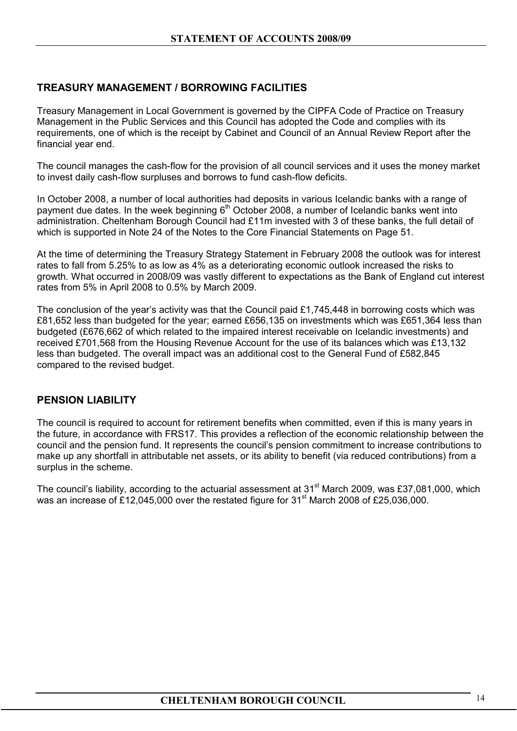## **TREASURY MANAGEMENT / BORROWING FACILITIES**

Treasury Management in Local Government is governed by the CIPFA Code of Practice on Treasury Management in the Public Services and this Council has adopted the Code and complies with its requirements, one of which is the receipt by Cabinet and Council of an Annual Review Report after the financial year end.

The council manages the cash-flow for the provision of all council services and it uses the money market to invest daily cash-flow surpluses and borrows to fund cash-flow deficits.

In October 2008, a number of local authorities had deposits in various Icelandic banks with a range of payment due dates. In the week beginning 6<sup>th</sup> October 2008, a number of Icelandic banks went into administration. Cheltenham Borough Council had £11m invested with 3 of these banks, the full detail of which is supported in Note 24 of the Notes to the Core Financial Statements on Page 51.

At the time of determining the Treasury Strategy Statement in February 2008 the outlook was for interest rates to fall from 5.25% to as low as 4% as a deteriorating economic outlook increased the risks to growth. What occurred in 2008/09 was vastly different to expectations as the Bank of England cut interest rates from 5% in April 2008 to 0.5% by March 2009.

The conclusion of the year's activity was that the Council paid £1,745,448 in borrowing costs which was £81,652 less than budgeted for the year; earned £656,135 on investments which was £651,364 less than budgeted (£676,662 of which related to the impaired interest receivable on Icelandic investments) and received £701,568 from the Housing Revenue Account for the use of its balances which was £13,132 less than budgeted. The overall impact was an additional cost to the General Fund of £582,845 compared to the revised budget.

## **PENSION LIABILITY**

The council is required to account for retirement benefits when committed, even if this is many years in the future, in accordance with FRS17. This provides a reflection of the economic relationship between the council and the pension fund. It represents the council's pension commitment to increase contributions to make up any shortfall in attributable net assets, or its ability to benefit (via reduced contributions) from a surplus in the scheme.

The council's liability, according to the actuarial assessment at 31<sup>st</sup> March 2009, was £37,081,000, which was an increase of £12,045,000 over the restated figure for 31<sup>st</sup> March 2008 of £25,036,000.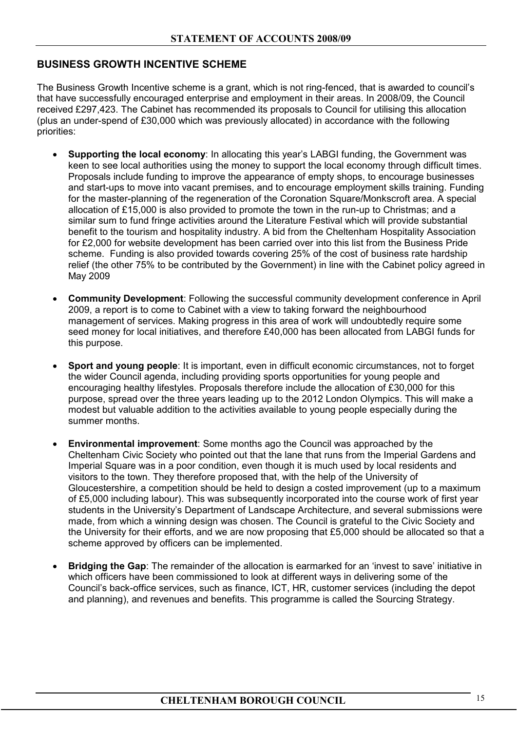## **BUSINESS GROWTH INCENTIVE SCHEME**

The Business Growth Incentive scheme is a grant, which is not ring-fenced, that is awarded to council's that have successfully encouraged enterprise and employment in their areas. In 2008/09, the Council received £297,423. The Cabinet has recommended its proposals to Council for utilising this allocation (plus an under-spend of £30,000 which was previously allocated) in accordance with the following priorities:

- **Supporting the local economy**: In allocating this year's LABGI funding, the Government was keen to see local authorities using the money to support the local economy through difficult times. Proposals include funding to improve the appearance of empty shops, to encourage businesses and start-ups to move into vacant premises, and to encourage employment skills training. Funding for the master-planning of the regeneration of the Coronation Square/Monkscroft area. A special allocation of £15,000 is also provided to promote the town in the run-up to Christmas; and a similar sum to fund fringe activities around the Literature Festival which will provide substantial benefit to the tourism and hospitality industry. A bid from the Cheltenham Hospitality Association for £2,000 for website development has been carried over into this list from the Business Pride scheme. Funding is also provided towards covering 25% of the cost of business rate hardship relief (the other 75% to be contributed by the Government) in line with the Cabinet policy agreed in May 2009
- **Community Development**: Following the successful community development conference in April 2009, a report is to come to Cabinet with a view to taking forward the neighbourhood management of services. Making progress in this area of work will undoubtedly require some seed money for local initiatives, and therefore £40,000 has been allocated from LABGI funds for this purpose.
- **Sport and young people**: It is important, even in difficult economic circumstances, not to forget the wider Council agenda, including providing sports opportunities for young people and encouraging healthy lifestyles. Proposals therefore include the allocation of £30,000 for this purpose, spread over the three years leading up to the 2012 London Olympics. This will make a modest but valuable addition to the activities available to young people especially during the summer months.
- **Environmental improvement**: Some months ago the Council was approached by the Cheltenham Civic Society who pointed out that the lane that runs from the Imperial Gardens and Imperial Square was in a poor condition, even though it is much used by local residents and visitors to the town. They therefore proposed that, with the help of the University of Gloucestershire, a competition should be held to design a costed improvement (up to a maximum of £5,000 including labour). This was subsequently incorporated into the course work of first year students in the University's Department of Landscape Architecture, and several submissions were made, from which a winning design was chosen. The Council is grateful to the Civic Society and the University for their efforts, and we are now proposing that £5,000 should be allocated so that a scheme approved by officers can be implemented.
- **Bridging the Gap**: The remainder of the allocation is earmarked for an 'invest to save' initiative in which officers have been commissioned to look at different ways in delivering some of the Council's back-office services, such as finance, ICT, HR, customer services (including the depot and planning), and revenues and benefits. This programme is called the Sourcing Strategy.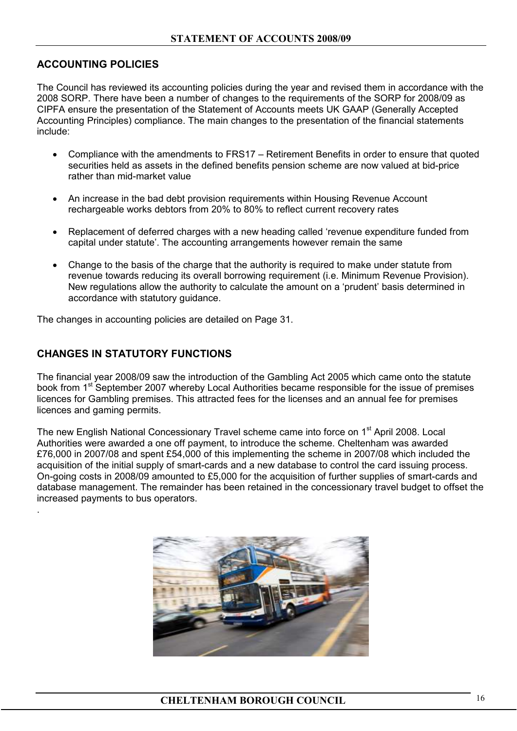## **ACCOUNTING POLICIES**

The Council has reviewed its accounting policies during the year and revised them in accordance with the 2008 SORP. There have been a number of changes to the requirements of the SORP for 2008/09 as CIPFA ensure the presentation of the Statement of Accounts meets UK GAAP (Generally Accepted Accounting Principles) compliance. The main changes to the presentation of the financial statements include:

- Compliance with the amendments to FRS17 Retirement Benefits in order to ensure that quoted securities held as assets in the defined benefits pension scheme are now valued at bid-price rather than mid-market value
- An increase in the bad debt provision requirements within Housing Revenue Account rechargeable works debtors from 20% to 80% to reflect current recovery rates
- Replacement of deferred charges with a new heading called 'revenue expenditure funded from capital under statute'. The accounting arrangements however remain the same
- Change to the basis of the charge that the authority is required to make under statute from revenue towards reducing its overall borrowing requirement (i.e. Minimum Revenue Provision). New regulations allow the authority to calculate the amount on a 'prudent' basis determined in accordance with statutory guidance.

The changes in accounting policies are detailed on Page 31.

## **CHANGES IN STATUTORY FUNCTIONS**

.

The financial year 2008/09 saw the introduction of the Gambling Act 2005 which came onto the statute book from 1<sup>st</sup> September 2007 whereby Local Authorities became responsible for the issue of premises licences for Gambling premises. This attracted fees for the licenses and an annual fee for premises licences and gaming permits.

The new English National Concessionary Travel scheme came into force on 1<sup>st</sup> April 2008. Local Authorities were awarded a one off payment, to introduce the scheme. Cheltenham was awarded £76,000 in 2007/08 and spent £54,000 of this implementing the scheme in 2007/08 which included the acquisition of the initial supply of smart-cards and a new database to control the card issuing process. On-going costs in 2008/09 amounted to £5,000 for the acquisition of further supplies of smart-cards and database management. The remainder has been retained in the concessionary travel budget to offset the increased payments to bus operators.

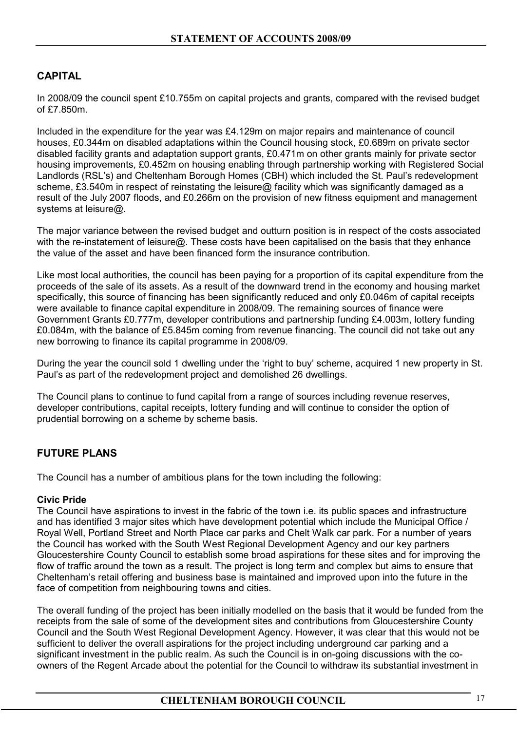## **CAPITAL**

In 2008/09 the council spent £10.755m on capital projects and grants, compared with the revised budget of £7.850m.

Included in the expenditure for the year was £4.129m on major repairs and maintenance of council houses, £0.344m on disabled adaptations within the Council housing stock, £0.689m on private sector disabled facility grants and adaptation support grants, £0.471m on other grants mainly for private sector housing improvements, £0.452m on housing enabling through partnership working with Registered Social Landlords (RSL's) and Cheltenham Borough Homes (CBH) which included the St. Paul's redevelopment scheme, £3.540m in respect of reinstating the leisure@ facility which was significantly damaged as a result of the July 2007 floods, and £0.266m on the provision of new fitness equipment and management systems at leisure@.

The major variance between the revised budget and outturn position is in respect of the costs associated with the re-instatement of leisure@. These costs have been capitalised on the basis that they enhance the value of the asset and have been financed form the insurance contribution.

Like most local authorities, the council has been paying for a proportion of its capital expenditure from the proceeds of the sale of its assets. As a result of the downward trend in the economy and housing market specifically, this source of financing has been significantly reduced and only £0.046m of capital receipts were available to finance capital expenditure in 2008/09. The remaining sources of finance were Government Grants £0.777m, developer contributions and partnership funding £4.003m, lottery funding £0.084m, with the balance of £5.845m coming from revenue financing. The council did not take out any new borrowing to finance its capital programme in 2008/09.

During the year the council sold 1 dwelling under the 'right to buy' scheme, acquired 1 new property in St. Paul's as part of the redevelopment project and demolished 26 dwellings.

The Council plans to continue to fund capital from a range of sources including revenue reserves, developer contributions, capital receipts, lottery funding and will continue to consider the option of prudential borrowing on a scheme by scheme basis.

## **FUTURE PLANS**

The Council has a number of ambitious plans for the town including the following:

#### **Civic Pride**

The Council have aspirations to invest in the fabric of the town i.e. its public spaces and infrastructure and has identified 3 major sites which have development potential which include the Municipal Office / Royal Well, Portland Street and North Place car parks and Chelt Walk car park. For a number of years the Council has worked with the South West Regional Development Agency and our key partners Gloucestershire County Council to establish some broad aspirations for these sites and for improving the flow of traffic around the town as a result. The project is long term and complex but aims to ensure that Cheltenham's retail offering and business base is maintained and improved upon into the future in the face of competition from neighbouring towns and cities.

The overall funding of the project has been initially modelled on the basis that it would be funded from the receipts from the sale of some of the development sites and contributions from Gloucestershire County Council and the South West Regional Development Agency. However, it was clear that this would not be sufficient to deliver the overall aspirations for the project including underground car parking and a significant investment in the public realm. As such the Council is in on-going discussions with the coowners of the Regent Arcade about the potential for the Council to withdraw its substantial investment in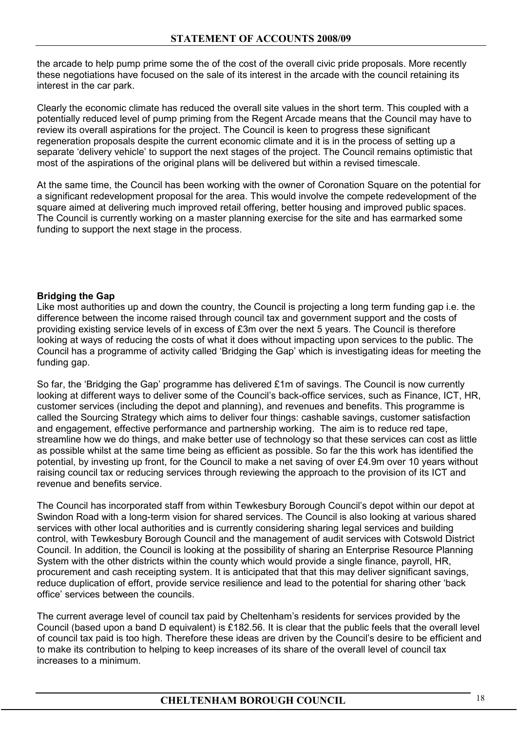the arcade to help pump prime some the of the cost of the overall civic pride proposals. More recently these negotiations have focused on the sale of its interest in the arcade with the council retaining its interest in the car park.

Clearly the economic climate has reduced the overall site values in the short term. This coupled with a potentially reduced level of pump priming from the Regent Arcade means that the Council may have to review its overall aspirations for the project. The Council is keen to progress these significant regeneration proposals despite the current economic climate and it is in the process of setting up a separate 'delivery vehicle' to support the next stages of the project. The Council remains optimistic that most of the aspirations of the original plans will be delivered but within a revised timescale.

At the same time, the Council has been working with the owner of Coronation Square on the potential for a significant redevelopment proposal for the area. This would involve the compete redevelopment of the square aimed at delivering much improved retail offering, better housing and improved public spaces. The Council is currently working on a master planning exercise for the site and has earmarked some funding to support the next stage in the process.

## **Bridging the Gap**

Like most authorities up and down the country, the Council is projecting a long term funding gap i.e. the difference between the income raised through council tax and government support and the costs of providing existing service levels of in excess of £3m over the next 5 years. The Council is therefore looking at ways of reducing the costs of what it does without impacting upon services to the public. The Council has a programme of activity called 'Bridging the Gap' which is investigating ideas for meeting the funding gap.

So far, the 'Bridging the Gap' programme has delivered £1m of savings. The Council is now currently looking at different ways to deliver some of the Council's back-office services, such as Finance, ICT, HR, customer services (including the depot and planning), and revenues and benefits. This programme is called the Sourcing Strategy which aims to deliver four things: cashable savings, customer satisfaction and engagement, effective performance and partnership working. The aim is to reduce red tape, streamline how we do things, and make better use of technology so that these services can cost as little as possible whilst at the same time being as efficient as possible. So far the this work has identified the potential, by investing up front, for the Council to make a net saving of over £4.9m over 10 years without raising council tax or reducing services through reviewing the approach to the provision of its ICT and revenue and benefits service.

The Council has incorporated staff from within Tewkesbury Borough Council's depot within our depot at Swindon Road with a long-term vision for shared services. The Council is also looking at various shared services with other local authorities and is currently considering sharing legal services and building control, with Tewkesbury Borough Council and the management of audit services with Cotswold District Council. In addition, the Council is looking at the possibility of sharing an Enterprise Resource Planning System with the other districts within the county which would provide a single finance, payroll, HR, procurement and cash receipting system. It is anticipated that that this may deliver significant savings, reduce duplication of effort, provide service resilience and lead to the potential for sharing other 'back office' services between the councils.

The current average level of council tax paid by Cheltenham's residents for services provided by the Council (based upon a band D equivalent) is £182.56. It is clear that the public feels that the overall level of council tax paid is too high. Therefore these ideas are driven by the Council's desire to be efficient and to make its contribution to helping to keep increases of its share of the overall level of council tax increases to a minimum.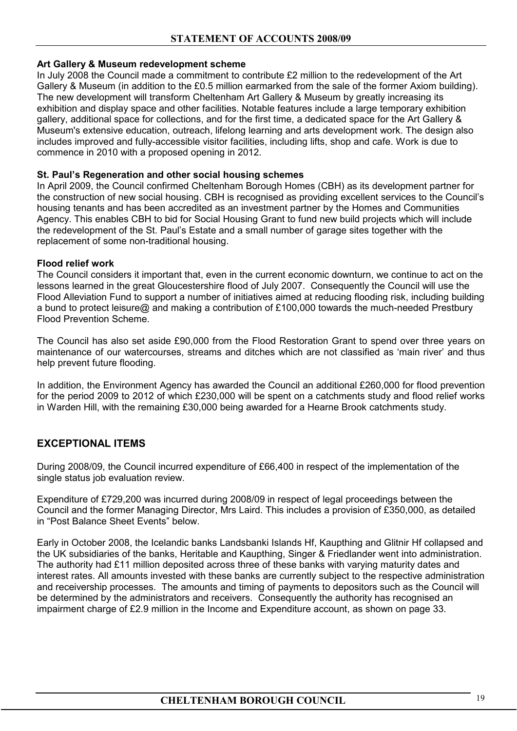## **Art Gallery & Museum redevelopment scheme**

In July 2008 the Council made a commitment to contribute £2 million to the redevelopment of the Art Gallery & Museum (in addition to the £0.5 million earmarked from the sale of the former Axiom building). The new development will transform Cheltenham Art Gallery & Museum by greatly increasing its exhibition and display space and other facilities. Notable features include a large temporary exhibition gallery, additional space for collections, and for the first time, a dedicated space for the Art Gallery & Museum's extensive education, outreach, lifelong learning and arts development work. The design also includes improved and fully-accessible visitor facilities, including lifts, shop and cafe. Work is due to commence in 2010 with a proposed opening in 2012.

## **St. Paul's Regeneration and other social housing schemes**

In April 2009, the Council confirmed Cheltenham Borough Homes (CBH) as its development partner for the construction of new social housing. CBH is recognised as providing excellent services to the Council's housing tenants and has been accredited as an investment partner by the Homes and Communities Agency. This enables CBH to bid for Social Housing Grant to fund new build projects which will include the redevelopment of the St. Paul's Estate and a small number of garage sites together with the replacement of some non-traditional housing.

## **Flood relief work**

The Council considers it important that, even in the current economic downturn, we continue to act on the lessons learned in the great Gloucestershire flood of July 2007. Consequently the Council will use the Flood Alleviation Fund to support a number of initiatives aimed at reducing flooding risk, including building a bund to protect leisure@ and making a contribution of £100,000 towards the much-needed Prestbury Flood Prevention Scheme.

The Council has also set aside £90,000 from the Flood Restoration Grant to spend over three years on maintenance of our watercourses, streams and ditches which are not classified as 'main river' and thus help prevent future flooding.

In addition, the Environment Agency has awarded the Council an additional £260,000 for flood prevention for the period 2009 to 2012 of which £230,000 will be spent on a catchments study and flood relief works in Warden Hill, with the remaining £30,000 being awarded for a Hearne Brook catchments study.

## **EXCEPTIONAL ITEMS**

During 2008/09, the Council incurred expenditure of £66,400 in respect of the implementation of the single status job evaluation review.

Expenditure of £729,200 was incurred during 2008/09 in respect of legal proceedings between the Council and the former Managing Director, Mrs Laird. This includes a provision of £350,000, as detailed in "Post Balance Sheet Events" below.

Early in October 2008, the Icelandic banks Landsbanki Islands Hf, Kaupthing and Glitnir Hf collapsed and the UK subsidiaries of the banks, Heritable and Kaupthing, Singer & Friedlander went into administration. The authority had £11 million deposited across three of these banks with varying maturity dates and interest rates. All amounts invested with these banks are currently subject to the respective administration and receivership processes. The amounts and timing of payments to depositors such as the Council will be determined by the administrators and receivers. Consequently the authority has recognised an impairment charge of £2.9 million in the Income and Expenditure account, as shown on page 33.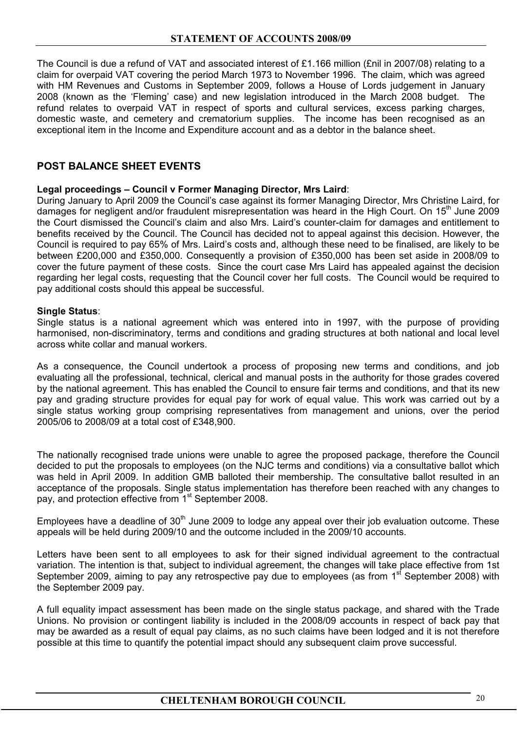The Council is due a refund of VAT and associated interest of £1.166 million (£nil in 2007/08) relating to a claim for overpaid VAT covering the period March 1973 to November 1996. The claim, which was agreed with HM Revenues and Customs in September 2009, follows a House of Lords judgement in January 2008 (known as the 'Fleming' case) and new legislation introduced in the March 2008 budget. The refund relates to overpaid VAT in respect of sports and cultural services, excess parking charges, domestic waste, and cemetery and crematorium supplies. The income has been recognised as an exceptional item in the Income and Expenditure account and as a debtor in the balance sheet.

## **POST BALANCE SHEET EVENTS**

## **Legal proceedings – Council v Former Managing Director, Mrs Laird**:

During January to April 2009 the Council's case against its former Managing Director, Mrs Christine Laird, for damages for negligent and/or fraudulent misrepresentation was heard in the High Court. On 15<sup>th</sup> June 2009 the Court dismissed the Council's claim and also Mrs. Laird's counter-claim for damages and entitlement to benefits received by the Council. The Council has decided not to appeal against this decision. However, the Council is required to pay 65% of Mrs. Laird's costs and, although these need to be finalised, are likely to be between £200,000 and £350,000. Consequently a provision of £350,000 has been set aside in 2008/09 to cover the future payment of these costs. Since the court case Mrs Laird has appealed against the decision regarding her legal costs, requesting that the Council cover her full costs. The Council would be required to pay additional costs should this appeal be successful.

## **Single Status**:

Single status is a national agreement which was entered into in 1997, with the purpose of providing harmonised, non-discriminatory, terms and conditions and grading structures at both national and local level across white collar and manual workers.

As a consequence, the Council undertook a process of proposing new terms and conditions, and job evaluating all the professional, technical, clerical and manual posts in the authority for those grades covered by the national agreement. This has enabled the Council to ensure fair terms and conditions, and that its new pay and grading structure provides for equal pay for work of equal value. This work was carried out by a single status working group comprising representatives from management and unions, over the period 2005/06 to 2008/09 at a total cost of £348,900.

The nationally recognised trade unions were unable to agree the proposed package, therefore the Council decided to put the proposals to employees (on the NJC terms and conditions) via a consultative ballot which was held in April 2009. In addition GMB balloted their membership. The consultative ballot resulted in an acceptance of the proposals. Single status implementation has therefore been reached with any changes to pay, and protection effective from 1<sup>st</sup> September 2008.

Employees have a deadline of  $30<sup>th</sup>$  June 2009 to lodge any appeal over their job evaluation outcome. These appeals will be held during 2009/10 and the outcome included in the 2009/10 accounts.

Letters have been sent to all employees to ask for their signed individual agreement to the contractual variation. The intention is that, subject to individual agreement, the changes will take place effective from 1st September 2009, aiming to pay any retrospective pay due to employees (as from 1<sup>st</sup> September 2008) with the September 2009 pay.

A full equality impact assessment has been made on the single status package, and shared with the Trade Unions. No provision or contingent liability is included in the 2008/09 accounts in respect of back pay that may be awarded as a result of equal pay claims, as no such claims have been lodged and it is not therefore possible at this time to quantify the potential impact should any subsequent claim prove successful.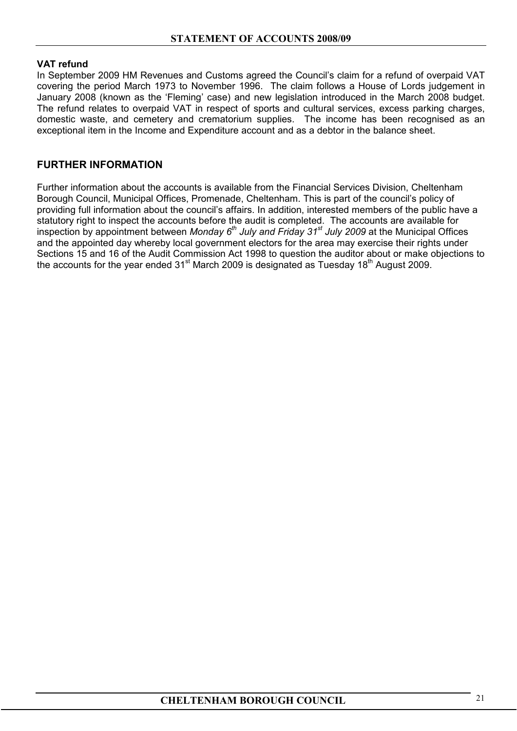## **VAT refund**

In September 2009 HM Revenues and Customs agreed the Council's claim for a refund of overpaid VAT covering the period March 1973 to November 1996. The claim follows a House of Lords judgement in January 2008 (known as the 'Fleming' case) and new legislation introduced in the March 2008 budget. The refund relates to overpaid VAT in respect of sports and cultural services, excess parking charges, domestic waste, and cemetery and crematorium supplies. The income has been recognised as an exceptional item in the Income and Expenditure account and as a debtor in the balance sheet.

## **FURTHER INFORMATION**

Further information about the accounts is available from the Financial Services Division, Cheltenham Borough Council, Municipal Offices, Promenade, Cheltenham. This is part of the council's policy of providing full information about the council's affairs. In addition, interested members of the public have a statutory right to inspect the accounts before the audit is completed. The accounts are available for inspection by appointment between *Monday 6th July and Friday 31st July 2009* at the Municipal Offices and the appointed day whereby local government electors for the area may exercise their rights under Sections 15 and 16 of the Audit Commission Act 1998 to question the auditor about or make objections to the accounts for the year ended  $31<sup>st</sup>$  March 2009 is designated as Tuesday 18<sup>th</sup> August 2009.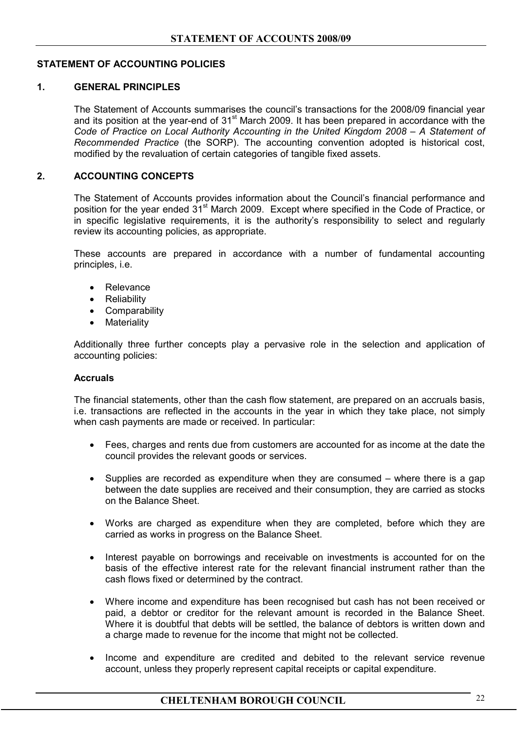## **STATEMENT OF ACCOUNTING POLICIES**

#### **1. GENERAL PRINCIPLES**

 The Statement of Accounts summarises the council's transactions for the 2008/09 financial year and its position at the year-end of  $31<sup>st</sup>$  March 2009. It has been prepared in accordance with the *Code of Practice on Local Authority Accounting in the United Kingdom 2008 – A Statement of Recommended Practice* (the SORP). The accounting convention adopted is historical cost, modified by the revaluation of certain categories of tangible fixed assets.

## **2. ACCOUNTING CONCEPTS**

 The Statement of Accounts provides information about the Council's financial performance and position for the year ended 31<sup>st</sup> March 2009. Except where specified in the Code of Practice, or in specific legislative requirements, it is the authority's responsibility to select and regularly review its accounting policies, as appropriate.

 These accounts are prepared in accordance with a number of fundamental accounting principles, i.e.

- Relevance
- Reliability
- Comparability
- Materiality

 Additionally three further concepts play a pervasive role in the selection and application of accounting policies:

#### **Accruals**

 The financial statements, other than the cash flow statement, are prepared on an accruals basis, i.e. transactions are reflected in the accounts in the year in which they take place, not simply when cash payments are made or received. In particular:

- Fees, charges and rents due from customers are accounted for as income at the date the council provides the relevant goods or services.
- Supplies are recorded as expenditure when they are consumed where there is a gap between the date supplies are received and their consumption, they are carried as stocks on the Balance Sheet.
- Works are charged as expenditure when they are completed, before which they are carried as works in progress on the Balance Sheet.
- Interest payable on borrowings and receivable on investments is accounted for on the basis of the effective interest rate for the relevant financial instrument rather than the cash flows fixed or determined by the contract.
- Where income and expenditure has been recognised but cash has not been received or paid, a debtor or creditor for the relevant amount is recorded in the Balance Sheet. Where it is doubtful that debts will be settled, the balance of debtors is written down and a charge made to revenue for the income that might not be collected.
- Income and expenditure are credited and debited to the relevant service revenue account, unless they properly represent capital receipts or capital expenditure.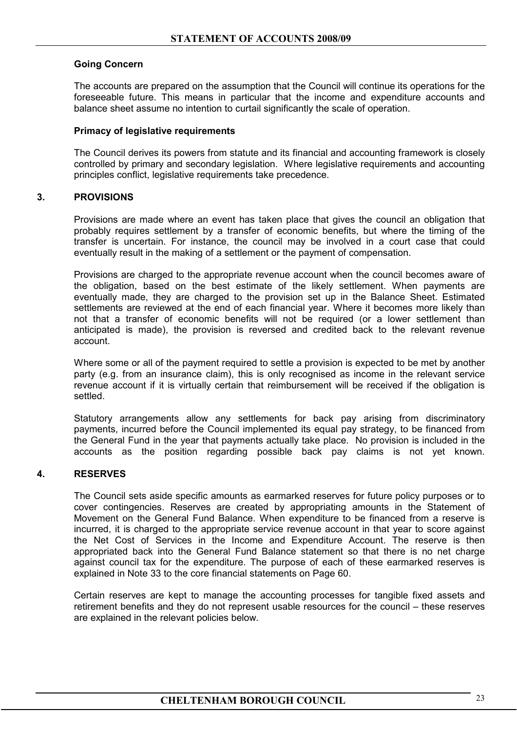## **Going Concern**

 The accounts are prepared on the assumption that the Council will continue its operations for the foreseeable future. This means in particular that the income and expenditure accounts and balance sheet assume no intention to curtail significantly the scale of operation.

## **Primacy of legislative requirements**

 The Council derives its powers from statute and its financial and accounting framework is closely controlled by primary and secondary legislation. Where legislative requirements and accounting principles conflict, legislative requirements take precedence.

## **3. PROVISIONS**

Provisions are made where an event has taken place that gives the council an obligation that probably requires settlement by a transfer of economic benefits, but where the timing of the transfer is uncertain. For instance, the council may be involved in a court case that could eventually result in the making of a settlement or the payment of compensation.

Provisions are charged to the appropriate revenue account when the council becomes aware of the obligation, based on the best estimate of the likely settlement. When payments are eventually made, they are charged to the provision set up in the Balance Sheet. Estimated settlements are reviewed at the end of each financial year. Where it becomes more likely than not that a transfer of economic benefits will not be required (or a lower settlement than anticipated is made), the provision is reversed and credited back to the relevant revenue account.

Where some or all of the payment required to settle a provision is expected to be met by another party (e.g. from an insurance claim), this is only recognised as income in the relevant service revenue account if it is virtually certain that reimbursement will be received if the obligation is settled.

Statutory arrangements allow any settlements for back pay arising from discriminatory payments, incurred before the Council implemented its equal pay strategy, to be financed from the General Fund in the year that payments actually take place. No provision is included in the accounts as the position regarding possible back pay claims is not yet known.

## **4. RESERVES**

 The Council sets aside specific amounts as earmarked reserves for future policy purposes or to cover contingencies. Reserves are created by appropriating amounts in the Statement of Movement on the General Fund Balance. When expenditure to be financed from a reserve is incurred, it is charged to the appropriate service revenue account in that year to score against the Net Cost of Services in the Income and Expenditure Account. The reserve is then appropriated back into the General Fund Balance statement so that there is no net charge against council tax for the expenditure. The purpose of each of these earmarked reserves is explained in Note 33 to the core financial statements on Page 60.

Certain reserves are kept to manage the accounting processes for tangible fixed assets and retirement benefits and they do not represent usable resources for the council – these reserves are explained in the relevant policies below.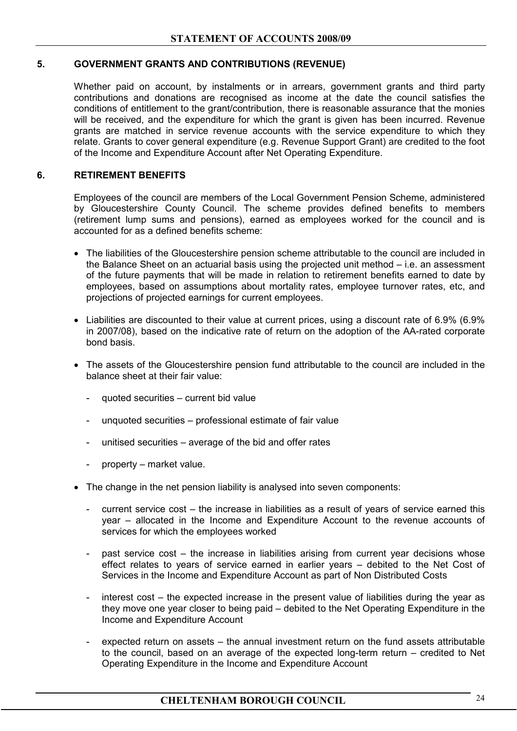## **5. GOVERNMENT GRANTS AND CONTRIBUTIONS (REVENUE)**

Whether paid on account, by instalments or in arrears, government grants and third party contributions and donations are recognised as income at the date the council satisfies the conditions of entitlement to the grant/contribution, there is reasonable assurance that the monies will be received, and the expenditure for which the grant is given has been incurred. Revenue grants are matched in service revenue accounts with the service expenditure to which they relate. Grants to cover general expenditure (e.g. Revenue Support Grant) are credited to the foot of the Income and Expenditure Account after Net Operating Expenditure.

## **6. RETIREMENT BENEFITS**

 Employees of the council are members of the Local Government Pension Scheme, administered by Gloucestershire County Council. The scheme provides defined benefits to members (retirement lump sums and pensions), earned as employees worked for the council and is accounted for as a defined benefits scheme:

- The liabilities of the Gloucestershire pension scheme attributable to the council are included in the Balance Sheet on an actuarial basis using the projected unit method – i.e. an assessment of the future payments that will be made in relation to retirement benefits earned to date by employees, based on assumptions about mortality rates, employee turnover rates, etc, and projections of projected earnings for current employees.
- Liabilities are discounted to their value at current prices, using a discount rate of 6.9% (6.9% in 2007/08), based on the indicative rate of return on the adoption of the AA-rated corporate bond basis.
- The assets of the Gloucestershire pension fund attributable to the council are included in the balance sheet at their fair value:
	- quoted securities current bid value
	- unquoted securities professional estimate of fair value
	- unitised securities average of the bid and offer rates
	- property market value.
- The change in the net pension liability is analysed into seven components:
	- current service cost the increase in liabilities as a result of years of service earned this year – allocated in the Income and Expenditure Account to the revenue accounts of services for which the employees worked
	- past service cost the increase in liabilities arising from current year decisions whose effect relates to years of service earned in earlier years – debited to the Net Cost of Services in the Income and Expenditure Account as part of Non Distributed Costs
	- interest cost the expected increase in the present value of liabilities during the year as they move one year closer to being paid – debited to the Net Operating Expenditure in the Income and Expenditure Account
	- expected return on assets the annual investment return on the fund assets attributable to the council, based on an average of the expected long-term return – credited to Net Operating Expenditure in the Income and Expenditure Account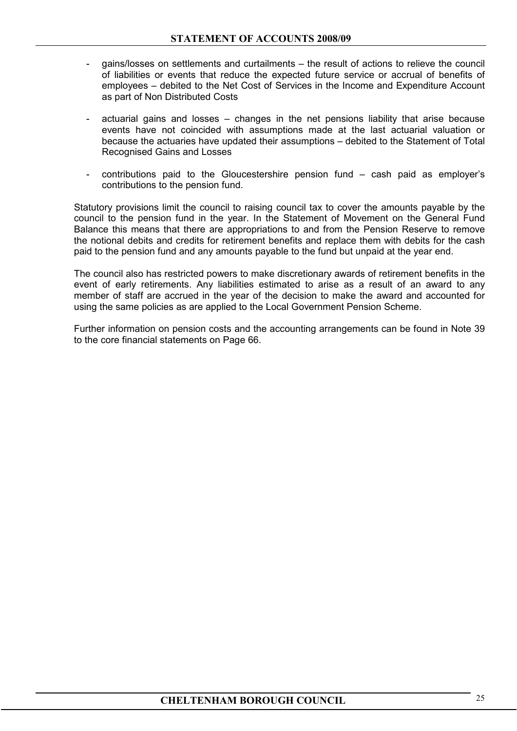- gains/losses on settlements and curtailments the result of actions to relieve the council of liabilities or events that reduce the expected future service or accrual of benefits of employees – debited to the Net Cost of Services in the Income and Expenditure Account as part of Non Distributed Costs
- actuarial gains and losses  $-$  changes in the net pensions liability that arise because events have not coincided with assumptions made at the last actuarial valuation or because the actuaries have updated their assumptions – debited to the Statement of Total Recognised Gains and Losses
- $\text{continuous}$  paid to the Gloucestershire pension fund cash paid as employer's contributions to the pension fund.

 Statutory provisions limit the council to raising council tax to cover the amounts payable by the council to the pension fund in the year. In the Statement of Movement on the General Fund Balance this means that there are appropriations to and from the Pension Reserve to remove the notional debits and credits for retirement benefits and replace them with debits for the cash paid to the pension fund and any amounts payable to the fund but unpaid at the year end.

 The council also has restricted powers to make discretionary awards of retirement benefits in the event of early retirements. Any liabilities estimated to arise as a result of an award to any member of staff are accrued in the year of the decision to make the award and accounted for using the same policies as are applied to the Local Government Pension Scheme.

 Further information on pension costs and the accounting arrangements can be found in Note 39 to the core financial statements on Page 66.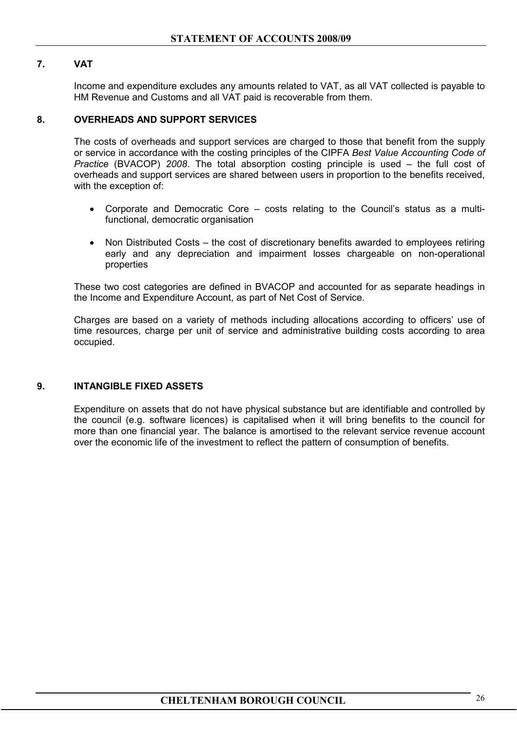## **7. VAT**

 Income and expenditure excludes any amounts related to VAT, as all VAT collected is payable to HM Revenue and Customs and all VAT paid is recoverable from them.

## **8. OVERHEADS AND SUPPORT SERVICES**

 The costs of overheads and support services are charged to those that benefit from the supply or service in accordance with the costing principles of the CIPFA *Best Value Accounting Code of Practice* (BVACOP) *2008*. The total absorption costing principle is used – the full cost of overheads and support services are shared between users in proportion to the benefits received, with the exception of:

- Corporate and Democratic Core costs relating to the Council's status as a multifunctional, democratic organisation
- Non Distributed Costs the cost of discretionary benefits awarded to employees retiring early and any depreciation and impairment losses chargeable on non-operational properties

 These two cost categories are defined in BVACOP and accounted for as separate headings in the Income and Expenditure Account, as part of Net Cost of Service.

 Charges are based on a variety of methods including allocations according to officers' use of time resources, charge per unit of service and administrative building costs according to area occupied.

#### **9. INTANGIBLE FIXED ASSETS**

Expenditure on assets that do not have physical substance but are identifiable and controlled by the council (e.g. software licences) is capitalised when it will bring benefits to the council for more than one financial year. The balance is amortised to the relevant service revenue account over the economic life of the investment to reflect the pattern of consumption of benefits.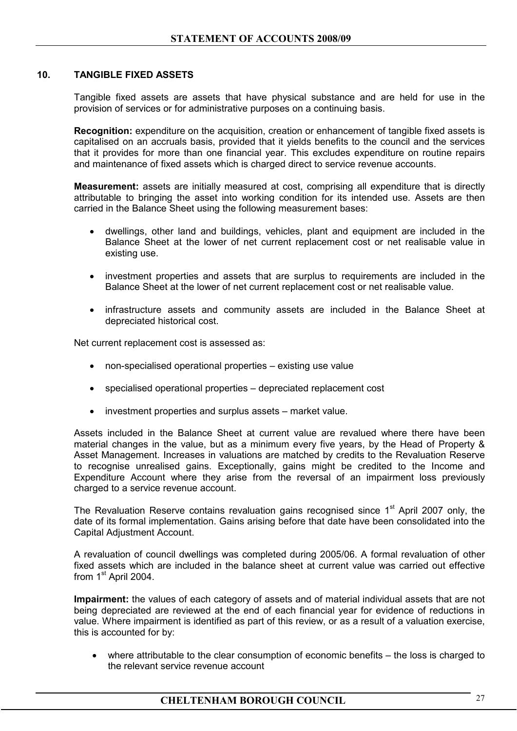## **10. TANGIBLE FIXED ASSETS**

 Tangible fixed assets are assets that have physical substance and are held for use in the provision of services or for administrative purposes on a continuing basis.

**Recognition:** expenditure on the acquisition, creation or enhancement of tangible fixed assets is capitalised on an accruals basis, provided that it yields benefits to the council and the services that it provides for more than one financial year. This excludes expenditure on routine repairs and maintenance of fixed assets which is charged direct to service revenue accounts.

**Measurement:** assets are initially measured at cost, comprising all expenditure that is directly attributable to bringing the asset into working condition for its intended use. Assets are then carried in the Balance Sheet using the following measurement bases:

- dwellings, other land and buildings, vehicles, plant and equipment are included in the Balance Sheet at the lower of net current replacement cost or net realisable value in existing use.
- investment properties and assets that are surplus to requirements are included in the Balance Sheet at the lower of net current replacement cost or net realisable value.
- infrastructure assets and community assets are included in the Balance Sheet at depreciated historical cost.

Net current replacement cost is assessed as:

- non-specialised operational properties existing use value
- specialised operational properties depreciated replacement cost
- investment properties and surplus assets market value.

Assets included in the Balance Sheet at current value are revalued where there have been material changes in the value, but as a minimum every five years, by the Head of Property & Asset Management. Increases in valuations are matched by credits to the Revaluation Reserve to recognise unrealised gains. Exceptionally, gains might be credited to the Income and Expenditure Account where they arise from the reversal of an impairment loss previously charged to a service revenue account.

The Revaluation Reserve contains revaluation gains recognised since 1<sup>st</sup> April 2007 only, the date of its formal implementation. Gains arising before that date have been consolidated into the Capital Adjustment Account.

A revaluation of council dwellings was completed during 2005/06. A formal revaluation of other fixed assets which are included in the balance sheet at current value was carried out effective from 1<sup>st</sup> April 2004.

**Impairment:** the values of each category of assets and of material individual assets that are not being depreciated are reviewed at the end of each financial year for evidence of reductions in value. Where impairment is identified as part of this review, or as a result of a valuation exercise, this is accounted for by:

• where attributable to the clear consumption of economic benefits – the loss is charged to the relevant service revenue account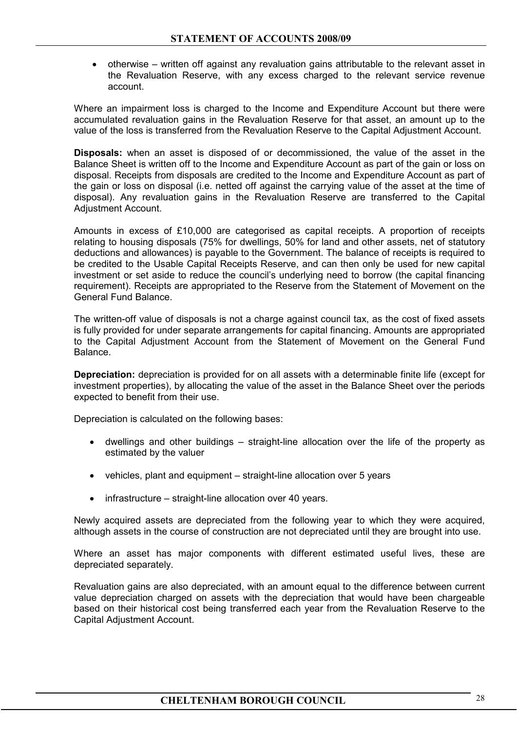• otherwise – written off against any revaluation gains attributable to the relevant asset in the Revaluation Reserve, with any excess charged to the relevant service revenue account.

Where an impairment loss is charged to the Income and Expenditure Account but there were accumulated revaluation gains in the Revaluation Reserve for that asset, an amount up to the value of the loss is transferred from the Revaluation Reserve to the Capital Adjustment Account.

**Disposals:** when an asset is disposed of or decommissioned, the value of the asset in the Balance Sheet is written off to the Income and Expenditure Account as part of the gain or loss on disposal. Receipts from disposals are credited to the Income and Expenditure Account as part of the gain or loss on disposal (i.e. netted off against the carrying value of the asset at the time of disposal). Any revaluation gains in the Revaluation Reserve are transferred to the Capital Adjustment Account.

Amounts in excess of £10,000 are categorised as capital receipts. A proportion of receipts relating to housing disposals (75% for dwellings, 50% for land and other assets, net of statutory deductions and allowances) is payable to the Government. The balance of receipts is required to be credited to the Usable Capital Receipts Reserve, and can then only be used for new capital investment or set aside to reduce the council's underlying need to borrow (the capital financing requirement). Receipts are appropriated to the Reserve from the Statement of Movement on the General Fund Balance.

 The written-off value of disposals is not a charge against council tax, as the cost of fixed assets is fully provided for under separate arrangements for capital financing. Amounts are appropriated to the Capital Adjustment Account from the Statement of Movement on the General Fund Balance.

**Depreciation:** depreciation is provided for on all assets with a determinable finite life (except for investment properties), by allocating the value of the asset in the Balance Sheet over the periods expected to benefit from their use.

Depreciation is calculated on the following bases:

- dwellings and other buildings straight-line allocation over the life of the property as estimated by the valuer
- vehicles, plant and equipment straight-line allocation over 5 years
- infrastructure straight-line allocation over 40 years.

Newly acquired assets are depreciated from the following year to which they were acquired, although assets in the course of construction are not depreciated until they are brought into use.

Where an asset has major components with different estimated useful lives, these are depreciated separately.

Revaluation gains are also depreciated, with an amount equal to the difference between current value depreciation charged on assets with the depreciation that would have been chargeable based on their historical cost being transferred each year from the Revaluation Reserve to the Capital Adjustment Account.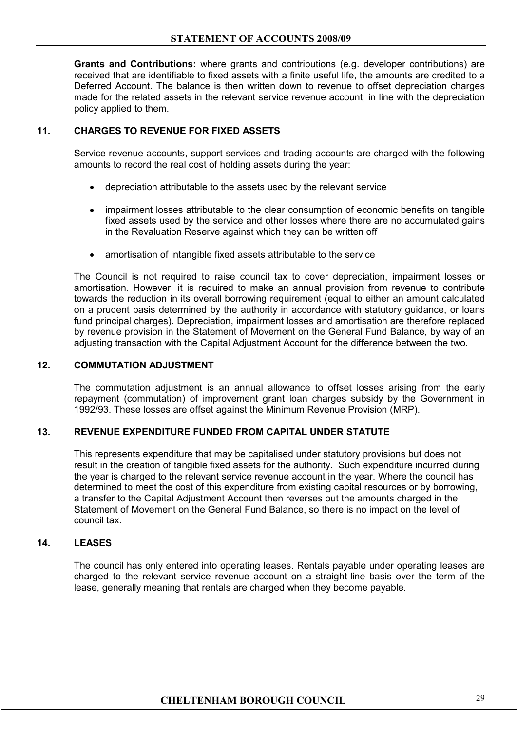**Grants and Contributions:** where grants and contributions (e.g. developer contributions) are received that are identifiable to fixed assets with a finite useful life, the amounts are credited to a Deferred Account. The balance is then written down to revenue to offset depreciation charges made for the related assets in the relevant service revenue account, in line with the depreciation policy applied to them.

## **11. CHARGES TO REVENUE FOR FIXED ASSETS**

 Service revenue accounts, support services and trading accounts are charged with the following amounts to record the real cost of holding assets during the year:

- depreciation attributable to the assets used by the relevant service
- impairment losses attributable to the clear consumption of economic benefits on tangible fixed assets used by the service and other losses where there are no accumulated gains in the Revaluation Reserve against which they can be written off
- amortisation of intangible fixed assets attributable to the service

The Council is not required to raise council tax to cover depreciation, impairment losses or amortisation. However, it is required to make an annual provision from revenue to contribute towards the reduction in its overall borrowing requirement (equal to either an amount calculated on a prudent basis determined by the authority in accordance with statutory guidance, or loans fund principal charges). Depreciation, impairment losses and amortisation are therefore replaced by revenue provision in the Statement of Movement on the General Fund Balance, by way of an adjusting transaction with the Capital Adjustment Account for the difference between the two.

## **12. COMMUTATION ADJUSTMENT**

The commutation adjustment is an annual allowance to offset losses arising from the early repayment (commutation) of improvement grant loan charges subsidy by the Government in 1992/93. These losses are offset against the Minimum Revenue Provision (MRP).

## **13. REVENUE EXPENDITURE FUNDED FROM CAPITAL UNDER STATUTE**

This represents expenditure that may be capitalised under statutory provisions but does not result in the creation of tangible fixed assets for the authority. Such expenditure incurred during the year is charged to the relevant service revenue account in the year. Where the council has determined to meet the cost of this expenditure from existing capital resources or by borrowing, a transfer to the Capital Adjustment Account then reverses out the amounts charged in the Statement of Movement on the General Fund Balance, so there is no impact on the level of council tax.

## **14. LEASES**

 The council has only entered into operating leases. Rentals payable under operating leases are charged to the relevant service revenue account on a straight-line basis over the term of the lease, generally meaning that rentals are charged when they become payable.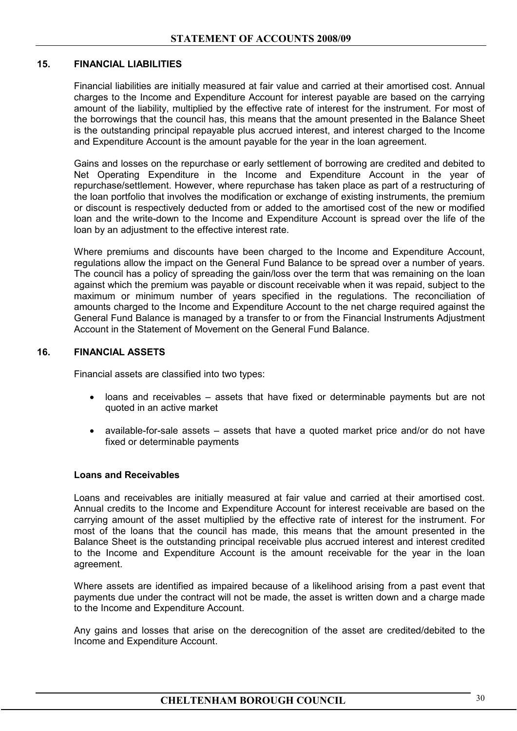### **15. FINANCIAL LIABILITIES**

 Financial liabilities are initially measured at fair value and carried at their amortised cost. Annual charges to the Income and Expenditure Account for interest payable are based on the carrying amount of the liability, multiplied by the effective rate of interest for the instrument. For most of the borrowings that the council has, this means that the amount presented in the Balance Sheet is the outstanding principal repayable plus accrued interest, and interest charged to the Income and Expenditure Account is the amount payable for the year in the loan agreement.

 Gains and losses on the repurchase or early settlement of borrowing are credited and debited to Net Operating Expenditure in the Income and Expenditure Account in the year of repurchase/settlement. However, where repurchase has taken place as part of a restructuring of the loan portfolio that involves the modification or exchange of existing instruments, the premium or discount is respectively deducted from or added to the amortised cost of the new or modified loan and the write-down to the Income and Expenditure Account is spread over the life of the loan by an adjustment to the effective interest rate.

 Where premiums and discounts have been charged to the Income and Expenditure Account, regulations allow the impact on the General Fund Balance to be spread over a number of years. The council has a policy of spreading the gain/loss over the term that was remaining on the loan against which the premium was payable or discount receivable when it was repaid, subject to the maximum or minimum number of years specified in the regulations. The reconciliation of amounts charged to the Income and Expenditure Account to the net charge required against the General Fund Balance is managed by a transfer to or from the Financial Instruments Adjustment Account in the Statement of Movement on the General Fund Balance.

## **16. FINANCIAL ASSETS**

Financial assets are classified into two types:

- loans and receivables assets that have fixed or determinable payments but are not quoted in an active market
- available-for-sale assets assets that have a quoted market price and/or do not have fixed or determinable payments

#### **Loans and Receivables**

Loans and receivables are initially measured at fair value and carried at their amortised cost. Annual credits to the Income and Expenditure Account for interest receivable are based on the carrying amount of the asset multiplied by the effective rate of interest for the instrument. For most of the loans that the council has made, this means that the amount presented in the Balance Sheet is the outstanding principal receivable plus accrued interest and interest credited to the Income and Expenditure Account is the amount receivable for the year in the loan agreement.

 Where assets are identified as impaired because of a likelihood arising from a past event that payments due under the contract will not be made, the asset is written down and a charge made to the Income and Expenditure Account.

 Any gains and losses that arise on the derecognition of the asset are credited/debited to the Income and Expenditure Account.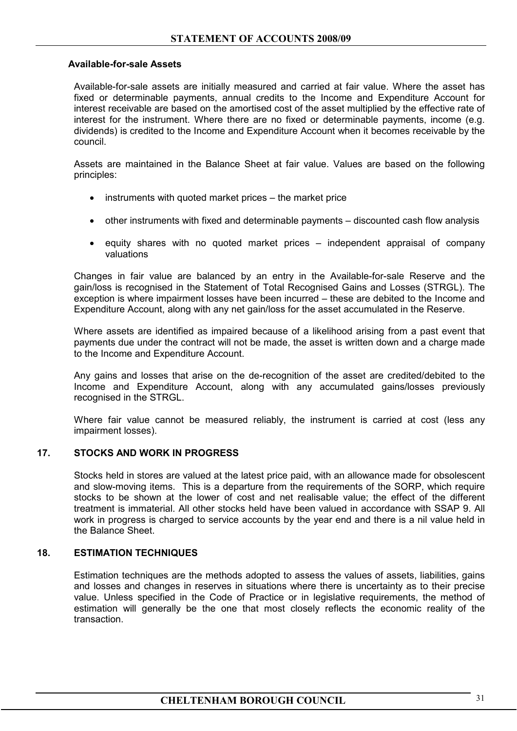#### **Available-for-sale Assets**

Available-for-sale assets are initially measured and carried at fair value. Where the asset has fixed or determinable payments, annual credits to the Income and Expenditure Account for interest receivable are based on the amortised cost of the asset multiplied by the effective rate of interest for the instrument. Where there are no fixed or determinable payments, income (e.g. dividends) is credited to the Income and Expenditure Account when it becomes receivable by the council.

 Assets are maintained in the Balance Sheet at fair value. Values are based on the following principles:

- instruments with quoted market prices the market price
- other instruments with fixed and determinable payments discounted cash flow analysis
- equity shares with no quoted market prices independent appraisal of company valuations

 Changes in fair value are balanced by an entry in the Available-for-sale Reserve and the gain/loss is recognised in the Statement of Total Recognised Gains and Losses (STRGL). The exception is where impairment losses have been incurred – these are debited to the Income and Expenditure Account, along with any net gain/loss for the asset accumulated in the Reserve.

 Where assets are identified as impaired because of a likelihood arising from a past event that payments due under the contract will not be made, the asset is written down and a charge made to the Income and Expenditure Account.

 Any gains and losses that arise on the de-recognition of the asset are credited/debited to the Income and Expenditure Account, along with any accumulated gains/losses previously recognised in the STRGL.

 Where fair value cannot be measured reliably, the instrument is carried at cost (less any impairment losses).

#### **17. STOCKS AND WORK IN PROGRESS**

 Stocks held in stores are valued at the latest price paid, with an allowance made for obsolescent and slow-moving items. This is a departure from the requirements of the SORP, which require stocks to be shown at the lower of cost and net realisable value; the effect of the different treatment is immaterial. All other stocks held have been valued in accordance with SSAP 9. All work in progress is charged to service accounts by the year end and there is a nil value held in the Balance Sheet.

#### **18. ESTIMATION TECHNIQUES**

 Estimation techniques are the methods adopted to assess the values of assets, liabilities, gains and losses and changes in reserves in situations where there is uncertainty as to their precise value. Unless specified in the Code of Practice or in legislative requirements, the method of estimation will generally be the one that most closely reflects the economic reality of the transaction.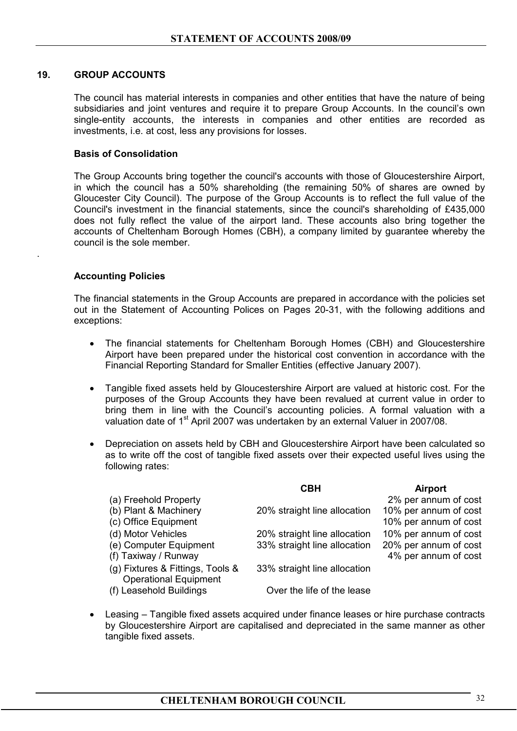#### **19. GROUP ACCOUNTS**

The council has material interests in companies and other entities that have the nature of being subsidiaries and joint ventures and require it to prepare Group Accounts. In the council's own single-entity accounts, the interests in companies and other entities are recorded as investments, i.e. at cost, less any provisions for losses.

#### **Basis of Consolidation**

 The Group Accounts bring together the council's accounts with those of Gloucestershire Airport, in which the council has a 50% shareholding (the remaining 50% of shares are owned by Gloucester City Council). The purpose of the Group Accounts is to reflect the full value of the Council's investment in the financial statements, since the council's shareholding of £435,000 does not fully reflect the value of the airport land. These accounts also bring together the accounts of Cheltenham Borough Homes (CBH), a company limited by guarantee whereby the council is the sole member.

#### **Accounting Policies**

.

The financial statements in the Group Accounts are prepared in accordance with the policies set out in the Statement of Accounting Polices on Pages 20-31, with the following additions and exceptions:

- The financial statements for Cheltenham Borough Homes (CBH) and Gloucestershire Airport have been prepared under the historical cost convention in accordance with the Financial Reporting Standard for Smaller Entities (effective January 2007).
- Tangible fixed assets held by Gloucestershire Airport are valued at historic cost. For the purposes of the Group Accounts they have been revalued at current value in order to bring them in line with the Council's accounting policies. A formal valuation with a valuation date of 1<sup>st</sup> April 2007 was undertaken by an external Valuer in 2007/08.
- Depreciation on assets held by CBH and Gloucestershire Airport have been calculated so as to write off the cost of tangible fixed assets over their expected useful lives using the following rates:

|                                                                  | <b>CBH</b>                   | <b>Airport</b>        |
|------------------------------------------------------------------|------------------------------|-----------------------|
| (a) Freehold Property                                            |                              | 2% per annum of cost  |
| (b) Plant & Machinery                                            | 20% straight line allocation | 10% per annum of cost |
| (c) Office Equipment                                             |                              | 10% per annum of cost |
| (d) Motor Vehicles                                               | 20% straight line allocation | 10% per annum of cost |
| (e) Computer Equipment                                           | 33% straight line allocation | 20% per annum of cost |
| (f) Taxiway / Runway                                             |                              | 4% per annum of cost  |
| (g) Fixtures & Fittings, Tools &<br><b>Operational Equipment</b> | 33% straight line allocation |                       |
| (f) Leasehold Buildings                                          | Over the life of the lease   |                       |

• Leasing – Tangible fixed assets acquired under finance leases or hire purchase contracts by Gloucestershire Airport are capitalised and depreciated in the same manner as other tangible fixed assets.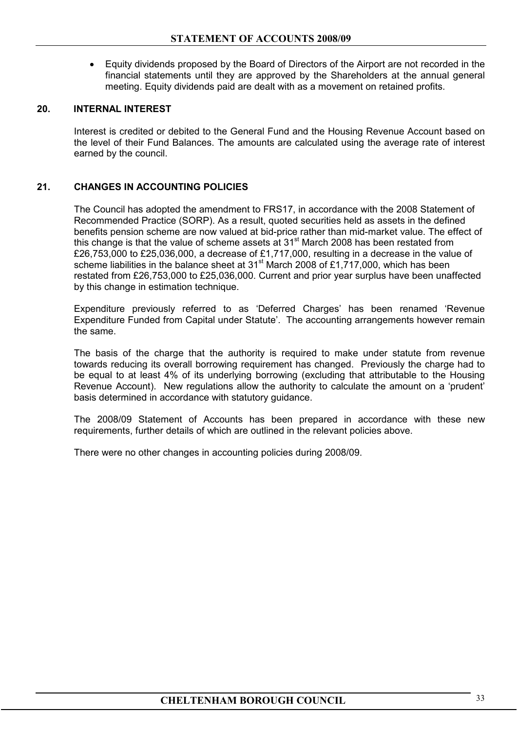• Equity dividends proposed by the Board of Directors of the Airport are not recorded in the financial statements until they are approved by the Shareholders at the annual general meeting. Equity dividends paid are dealt with as a movement on retained profits.

## **20. INTERNAL INTEREST**

 Interest is credited or debited to the General Fund and the Housing Revenue Account based on the level of their Fund Balances. The amounts are calculated using the average rate of interest earned by the council.

## **21. CHANGES IN ACCOUNTING POLICIES**

 The Council has adopted the amendment to FRS17, in accordance with the 2008 Statement of Recommended Practice (SORP). As a result, quoted securities held as assets in the defined benefits pension scheme are now valued at bid-price rather than mid-market value. The effect of this change is that the value of scheme assets at  $31<sup>st</sup>$  March 2008 has been restated from £26,753,000 to £25,036,000, a decrease of £1,717,000, resulting in a decrease in the value of scheme liabilities in the balance sheet at 31<sup>st</sup> March 2008 of £1,717,000, which has been restated from £26,753,000 to £25,036,000. Current and prior year surplus have been unaffected by this change in estimation technique.

Expenditure previously referred to as 'Deferred Charges' has been renamed 'Revenue Expenditure Funded from Capital under Statute'. The accounting arrangements however remain the same.

The basis of the charge that the authority is required to make under statute from revenue towards reducing its overall borrowing requirement has changed. Previously the charge had to be equal to at least 4% of its underlying borrowing (excluding that attributable to the Housing Revenue Account). New regulations allow the authority to calculate the amount on a 'prudent' basis determined in accordance with statutory guidance.

The 2008/09 Statement of Accounts has been prepared in accordance with these new requirements, further details of which are outlined in the relevant policies above.

There were no other changes in accounting policies during 2008/09.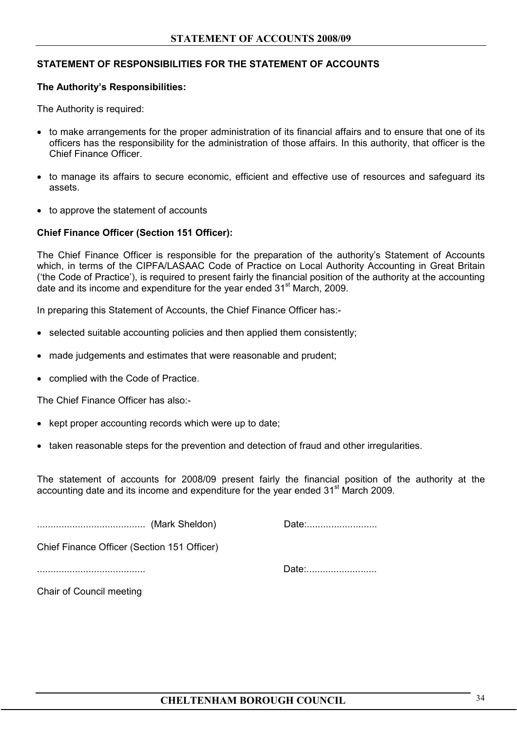### **STATEMENT OF RESPONSIBILITIES FOR THE STATEMENT OF ACCOUNTS**

#### **The Authority's Responsibilities:**

The Authority is required:

- to make arrangements for the proper administration of its financial affairs and to ensure that one of its officers has the responsibility for the administration of those affairs. In this authority, that officer is the Chief Finance Officer.
- to manage its affairs to secure economic, efficient and effective use of resources and safeguard its assets.
- to approve the statement of accounts

#### **Chief Finance Officer (Section 151 Officer):**

The Chief Finance Officer is responsible for the preparation of the authority's Statement of Accounts which, in terms of the CIPFA/LASAAC Code of Practice on Local Authority Accounting in Great Britain ('the Code of Practice'), is required to present fairly the financial position of the authority at the accounting date and its income and expenditure for the year ended 31<sup>st</sup> March, 2009.

In preparing this Statement of Accounts, the Chief Finance Officer has:-

- selected suitable accounting policies and then applied them consistently;
- made judgements and estimates that were reasonable and prudent;
- complied with the Code of Practice.

The Chief Finance Officer has also:-

- kept proper accounting records which were up to date;
- taken reasonable steps for the prevention and detection of fraud and other irregularities.

The statement of accounts for 2008/09 present fairly the financial position of the authority at the accounting date and its income and expenditure for the year ended 31<sup>st</sup> March 2009.

........................................ (Mark Sheldon) Date:..........................

Chief Finance Officer (Section 151 Officer)

........................................ Date:..........................

Chair of Council meeting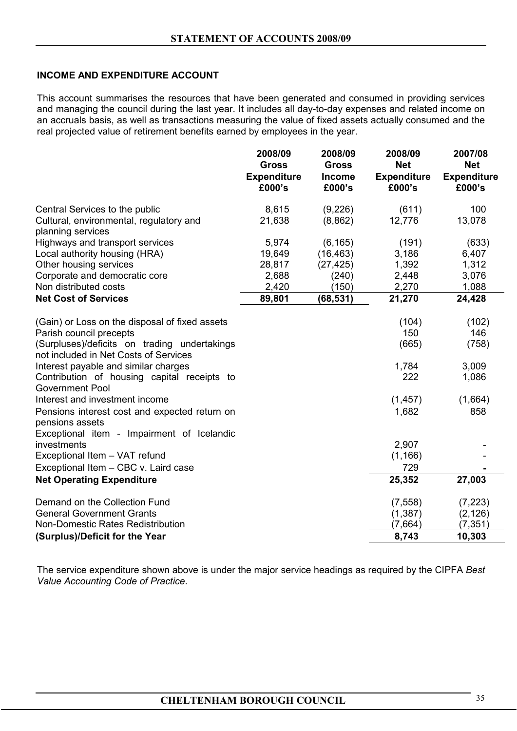## **INCOME AND EXPENDITURE ACCOUNT**

This account summarises the resources that have been generated and consumed in providing services and managing the council during the last year. It includes all day-to-day expenses and related income on an accruals basis, as well as transactions measuring the value of fixed assets actually consumed and the real projected value of retirement benefits earned by employees in the year.

|                                                                                       | 2008/09<br><b>Gross</b><br><b>Expenditure</b><br>£000's | 2008/09<br><b>Gross</b><br><b>Income</b><br>£000's | 2008/09<br><b>Net</b><br><b>Expenditure</b><br>£000's | 2007/08<br><b>Net</b><br><b>Expenditure</b><br>£000's |
|---------------------------------------------------------------------------------------|---------------------------------------------------------|----------------------------------------------------|-------------------------------------------------------|-------------------------------------------------------|
| Central Services to the public                                                        | 8,615                                                   | (9,226)                                            | (611)                                                 | 100                                                   |
| Cultural, environmental, regulatory and<br>planning services                          | 21,638                                                  | (8,862)                                            | 12,776                                                | 13,078                                                |
| Highways and transport services                                                       | 5,974                                                   | (6, 165)                                           | (191)                                                 | (633)                                                 |
| Local authority housing (HRA)                                                         | 19,649                                                  | (16, 463)                                          | 3,186                                                 | 6,407                                                 |
| Other housing services                                                                | 28,817                                                  | (27, 425)                                          | 1,392                                                 | 1,312                                                 |
| Corporate and democratic core                                                         | 2,688                                                   | (240)                                              | 2,448                                                 | 3,076                                                 |
| Non distributed costs                                                                 | 2,420                                                   | (150)                                              | 2,270                                                 | 1,088                                                 |
| <b>Net Cost of Services</b>                                                           | 89,801                                                  | (68, 531)                                          | 21,270                                                | 24,428                                                |
| (Gain) or Loss on the disposal of fixed assets                                        |                                                         |                                                    | (104)                                                 | (102)                                                 |
| Parish council precepts                                                               |                                                         |                                                    | 150                                                   | 146                                                   |
| (Surpluses)/deficits on trading undertakings<br>not included in Net Costs of Services |                                                         |                                                    | (665)                                                 | (758)                                                 |
| Interest payable and similar charges                                                  |                                                         |                                                    | 1,784                                                 | 3,009                                                 |
| Contribution of housing capital receipts to<br><b>Government Pool</b>                 |                                                         |                                                    | 222                                                   | 1,086                                                 |
| Interest and investment income                                                        |                                                         |                                                    | (1, 457)                                              | (1,664)                                               |
| Pensions interest cost and expected return on<br>pensions assets                      |                                                         |                                                    | 1,682                                                 | 858                                                   |
| Exceptional item - Impairment of Icelandic<br>investments                             |                                                         |                                                    | 2,907                                                 |                                                       |
| Exceptional Item - VAT refund                                                         |                                                         |                                                    | (1, 166)                                              |                                                       |
| Exceptional Item - CBC v. Laird case                                                  |                                                         |                                                    | 729                                                   |                                                       |
| <b>Net Operating Expenditure</b>                                                      |                                                         |                                                    | 25,352                                                | 27,003                                                |
| Demand on the Collection Fund                                                         |                                                         |                                                    | (7, 558)                                              | (7, 223)                                              |
| <b>General Government Grants</b>                                                      |                                                         |                                                    | (1, 387)                                              | (2, 126)                                              |
| Non-Domestic Rates Redistribution                                                     |                                                         |                                                    | (7,664)                                               | (7, 351)                                              |
| (Surplus)/Deficit for the Year                                                        |                                                         |                                                    | 8,743                                                 | 10,303                                                |

The service expenditure shown above is under the major service headings as required by the CIPFA *Best Value Accounting Code of Practice*.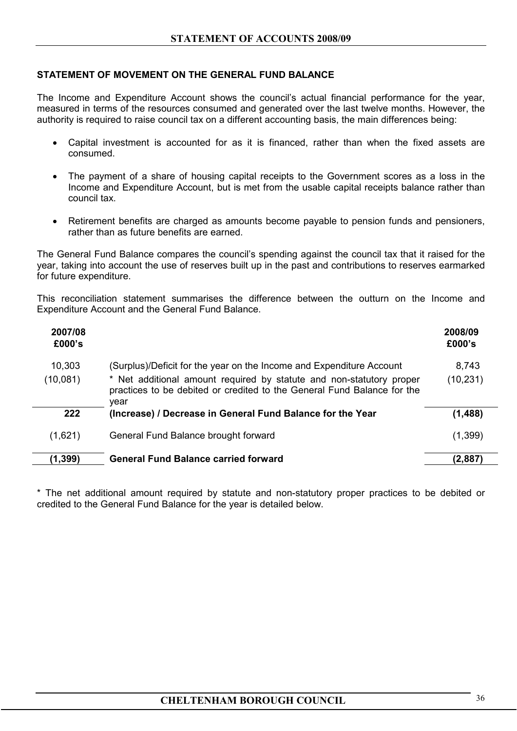## **STATEMENT OF MOVEMENT ON THE GENERAL FUND BALANCE**

The Income and Expenditure Account shows the council's actual financial performance for the year, measured in terms of the resources consumed and generated over the last twelve months. However, the authority is required to raise council tax on a different accounting basis, the main differences being:

- Capital investment is accounted for as it is financed, rather than when the fixed assets are consumed.
- The payment of a share of housing capital receipts to the Government scores as a loss in the Income and Expenditure Account, but is met from the usable capital receipts balance rather than council tax.
- Retirement benefits are charged as amounts become payable to pension funds and pensioners, rather than as future benefits are earned.

The General Fund Balance compares the council's spending against the council tax that it raised for the year, taking into account the use of reserves built up in the past and contributions to reserves earmarked for future expenditure.

This reconciliation statement summarises the difference between the outturn on the Income and Expenditure Account and the General Fund Balance.

| 2007/08<br>£000's |                                                                                                                                                         | 2008/09<br>£000's |
|-------------------|---------------------------------------------------------------------------------------------------------------------------------------------------------|-------------------|
| 10,303            | (Surplus)/Deficit for the year on the Income and Expenditure Account                                                                                    | 8,743             |
| (10,081)          | * Net additional amount required by statute and non-statutory proper<br>practices to be debited or credited to the General Fund Balance for the<br>vear | (10, 231)         |
| 222               | (Increase) / Decrease in General Fund Balance for the Year                                                                                              | (1, 488)          |
| (1,621)           | General Fund Balance brought forward                                                                                                                    | (1, 399)          |
| (1, 399)          | <b>General Fund Balance carried forward</b>                                                                                                             | (2,887)           |

\* The net additional amount required by statute and non-statutory proper practices to be debited or credited to the General Fund Balance for the year is detailed below.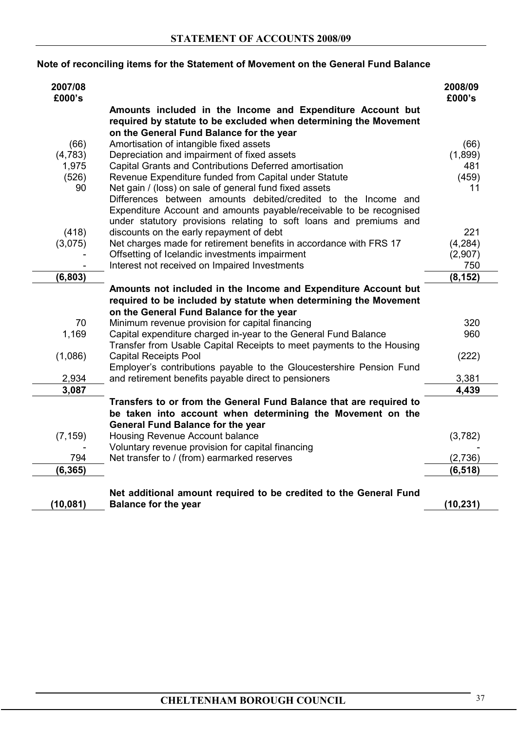# **Note of reconciling items for the Statement of Movement on the General Fund Balance**

| 2007/08<br>£000's |                                                                       | 2008/09<br>£000's |
|-------------------|-----------------------------------------------------------------------|-------------------|
|                   | Amounts included in the Income and Expenditure Account but            |                   |
|                   | required by statute to be excluded when determining the Movement      |                   |
|                   | on the General Fund Balance for the year                              |                   |
| (66)              | Amortisation of intangible fixed assets                               | (66)              |
| (4, 783)          | Depreciation and impairment of fixed assets                           | (1,899)           |
| 1,975             | Capital Grants and Contributions Deferred amortisation                | 481               |
| (526)             | Revenue Expenditure funded from Capital under Statute                 | (459)             |
| 90                | Net gain / (loss) on sale of general fund fixed assets                | 11                |
|                   | Differences between amounts debited/credited to the Income and        |                   |
|                   | Expenditure Account and amounts payable/receivable to be recognised   |                   |
|                   | under statutory provisions relating to soft loans and premiums and    |                   |
| (418)             | discounts on the early repayment of debt                              | 221               |
| (3,075)           | Net charges made for retirement benefits in accordance with FRS 17    | (4, 284)          |
|                   | Offsetting of Icelandic investments impairment                        | (2,907)           |
|                   | Interest not received on Impaired Investments                         | 750               |
| (6, 803)          |                                                                       | (8, 152)          |
|                   | Amounts not included in the Income and Expenditure Account but        |                   |
|                   | required to be included by statute when determining the Movement      |                   |
|                   | on the General Fund Balance for the year                              |                   |
| 70                | Minimum revenue provision for capital financing                       | 320               |
| 1,169             | Capital expenditure charged in-year to the General Fund Balance       | 960               |
|                   | Transfer from Usable Capital Receipts to meet payments to the Housing |                   |
| (1,086)           | <b>Capital Receipts Pool</b>                                          | (222)             |
|                   | Employer's contributions payable to the Gloucestershire Pension Fund  |                   |
| 2,934             | and retirement benefits payable direct to pensioners                  | 3,381             |
| 3,087             |                                                                       | 4,439             |
|                   | Transfers to or from the General Fund Balance that are required to    |                   |
|                   | be taken into account when determining the Movement on the            |                   |
|                   | <b>General Fund Balance for the year</b>                              |                   |
| (7, 159)          | Housing Revenue Account balance                                       | (3,782)           |
|                   | Voluntary revenue provision for capital financing                     |                   |
| 794               | Net transfer to / (from) earmarked reserves                           | (2,736)           |
| (6, 365)          |                                                                       | (6, 518)          |
|                   |                                                                       |                   |
|                   | Net additional amount required to be credited to the General Fund     |                   |
| (10, 081)         | <b>Balance for the year</b>                                           | (10, 231)         |
|                   |                                                                       |                   |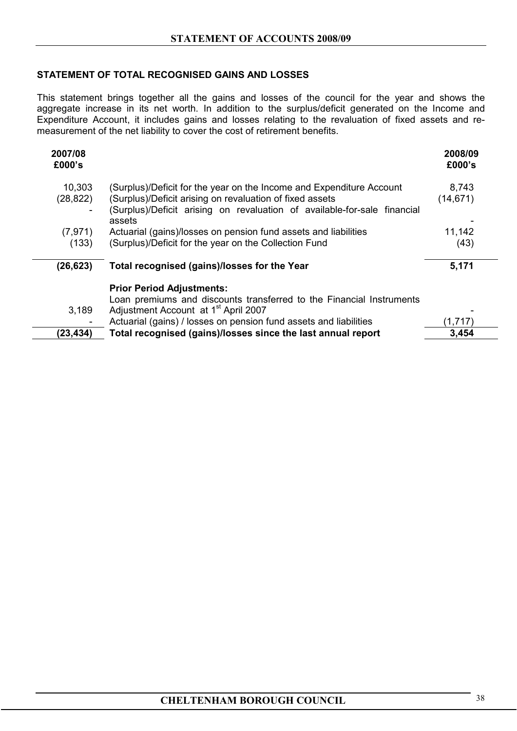# **STATEMENT OF TOTAL RECOGNISED GAINS AND LOSSES**

This statement brings together all the gains and losses of the council for the year and shows the aggregate increase in its net worth. In addition to the surplus/deficit generated on the Income and Expenditure Account, it includes gains and losses relating to the revaluation of fixed assets and remeasurement of the net liability to cover the cost of retirement benefits.

| 2007/08<br>£000's        |                                                                                    | 2008/09<br>£000's |
|--------------------------|------------------------------------------------------------------------------------|-------------------|
| 10,303                   | (Surplus)/Deficit for the year on the Income and Expenditure Account               | 8,743             |
| (28, 822)                | (Surplus)/Deficit arising on revaluation of fixed assets                           | (14, 671)         |
| $\overline{\phantom{a}}$ | (Surplus)/Deficit arising on revaluation of available-for-sale financial<br>assets |                   |
| (7, 971)                 | Actuarial (gains)/losses on pension fund assets and liabilities                    | 11,142            |
| (133)                    | (Surplus)/Deficit for the year on the Collection Fund                              | (43)              |
| (26, 623)                | Total recognised (gains)/losses for the Year                                       | 5,171             |
|                          | <b>Prior Period Adjustments:</b>                                                   |                   |
|                          | Loan premiums and discounts transferred to the Financial Instruments               |                   |
| 3,189                    | Adjustment Account at 1 <sup>st</sup> April 2007                                   |                   |
| -                        | Actuarial (gains) / losses on pension fund assets and liabilities                  | (1,717)           |
| (23,434)                 | Total recognised (gains)/losses since the last annual report                       | 3,454             |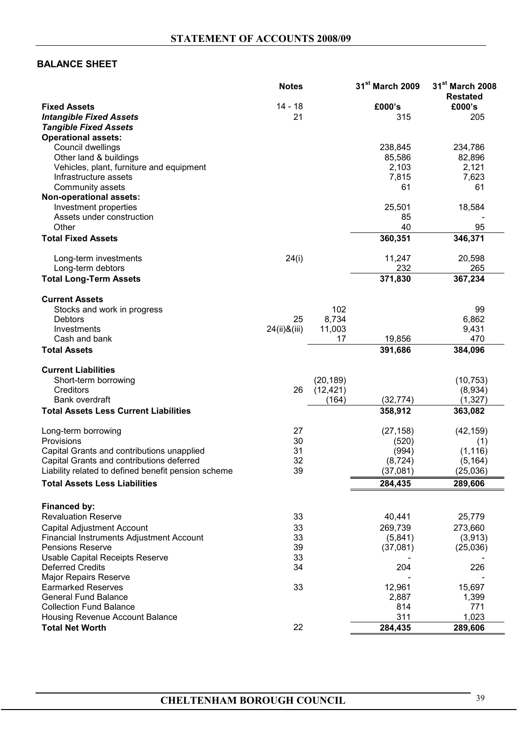# **BALANCE SHEET**

|                                                                            | <b>Notes</b> |           | 31 <sup>st</sup> March 2009 | 31 <sup>st</sup> March 2008<br><b>Restated</b> |
|----------------------------------------------------------------------------|--------------|-----------|-----------------------------|------------------------------------------------|
| <b>Fixed Assets</b>                                                        | 14 - 18      |           | £000's                      | £000's                                         |
| <b>Intangible Fixed Assets</b>                                             | 21           |           | 315                         | 205                                            |
| <b>Tangible Fixed Assets</b>                                               |              |           |                             |                                                |
| <b>Operational assets:</b>                                                 |              |           |                             |                                                |
| Council dwellings                                                          |              |           | 238,845                     | 234,786                                        |
| Other land & buildings                                                     |              |           | 85,586                      | 82,896                                         |
| Vehicles, plant, furniture and equipment                                   |              |           | 2,103                       | 2,121                                          |
| Infrastructure assets                                                      |              |           | 7,815                       | 7,623                                          |
| Community assets                                                           |              |           | 61                          | 61                                             |
| Non-operational assets:                                                    |              |           |                             |                                                |
| Investment properties                                                      |              |           | 25,501                      | 18,584                                         |
| Assets under construction                                                  |              |           | 85                          |                                                |
| Other                                                                      |              |           | 40                          | 95                                             |
| <b>Total Fixed Assets</b>                                                  |              |           | 360,351                     | 346,371                                        |
| Long-term investments                                                      | 24(i)        |           | 11,247                      | 20,598                                         |
| Long-term debtors                                                          |              |           | 232                         | 265                                            |
| <b>Total Long-Term Assets</b>                                              |              |           | 371,830                     | 367,234                                        |
| <b>Current Assets</b>                                                      |              |           |                             |                                                |
| Stocks and work in progress                                                |              | 102       |                             | 99                                             |
| <b>Debtors</b>                                                             | 25           | 8,734     |                             | 6,862                                          |
| Investments                                                                | 24(ii)&(iii) | 11,003    |                             | 9,431                                          |
| Cash and bank                                                              |              | 17        | 19,856                      | 470                                            |
| <b>Total Assets</b>                                                        |              |           | 391,686                     | 384,096                                        |
| <b>Current Liabilities</b>                                                 |              |           |                             |                                                |
| Short-term borrowing                                                       |              | (20, 189) |                             | (10, 753)                                      |
| Creditors                                                                  | 26           | (12, 421) |                             | (8,934)                                        |
| Bank overdraft                                                             |              | (164)     | (32, 774)                   | (1, 327)                                       |
| <b>Total Assets Less Current Liabilities</b>                               |              |           | 358,912                     | 363,082                                        |
| Long-term borrowing                                                        | 27           |           | (27, 158)                   | (42, 159)                                      |
| Provisions                                                                 | 30           |           | (520)                       | (1)                                            |
| Capital Grants and contributions unapplied                                 | 31           |           | (994)                       | (1, 116)                                       |
| Capital Grants and contributions deferred                                  | 32           |           | (8, 724)                    | (5, 164)                                       |
| Liability related to defined benefit pension scheme                        | 39           |           | (37,081)                    | (25,036)                                       |
| <b>Total Assets Less Liabilities</b>                                       |              |           | 284,435                     | 289,606                                        |
|                                                                            |              |           |                             |                                                |
| Financed by:<br><b>Revaluation Reserve</b>                                 | 33           |           | 40,441                      | 25,779                                         |
|                                                                            |              |           |                             |                                                |
| <b>Capital Adjustment Account</b>                                          | 33           |           | 269,739                     | 273,660                                        |
| <b>Financial Instruments Adjustment Account</b><br><b>Pensions Reserve</b> | 33<br>39     |           | (5,841)                     | (3,913)                                        |
|                                                                            |              |           | (37,081)                    | (25,036)                                       |
| <b>Usable Capital Receipts Reserve</b>                                     | 33           |           | 204                         |                                                |
| <b>Deferred Credits</b>                                                    | 34           |           |                             | 226                                            |
| <b>Major Repairs Reserve</b><br><b>Earmarked Reserves</b>                  | 33           |           | 12,961                      |                                                |
| <b>General Fund Balance</b>                                                |              |           |                             | 15,697                                         |
| <b>Collection Fund Balance</b>                                             |              |           | 2,887<br>814                | 1,399<br>771                                   |
| Housing Revenue Account Balance                                            |              |           | 311                         | 1,023                                          |
| <b>Total Net Worth</b>                                                     | 22           |           | 284,435                     | 289,606                                        |
|                                                                            |              |           |                             |                                                |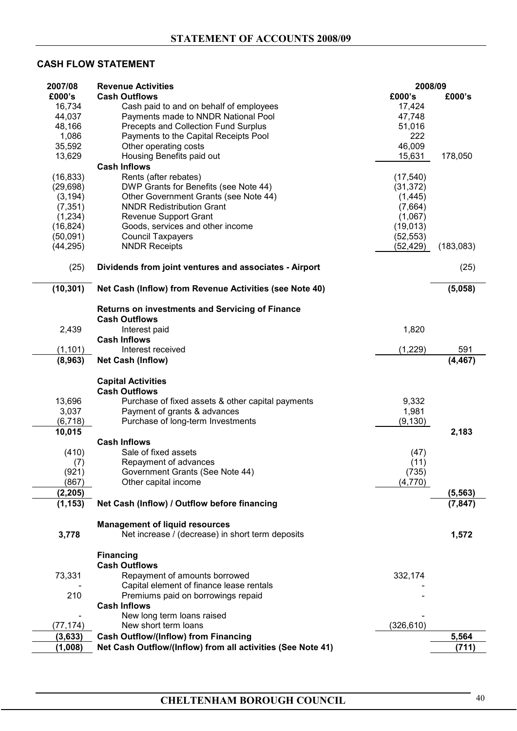# **CASH FLOW STATEMENT**

| 2007/08               | <b>Revenue Activities</b>                                                                 | 2008/09              |           |
|-----------------------|-------------------------------------------------------------------------------------------|----------------------|-----------|
| £000's                | <b>Cash Outflows</b>                                                                      | £000's               | £000's    |
| 16,734                | Cash paid to and on behalf of employees                                                   | 17,424               |           |
| 44,037                | Payments made to NNDR National Pool                                                       | 47,748               |           |
| 48,166                | Precepts and Collection Fund Surplus                                                      | 51,016               |           |
| 1,086                 | Payments to the Capital Receipts Pool                                                     | 222                  |           |
| 35,592                | Other operating costs                                                                     | 46,009               |           |
| 13,629                | Housing Benefits paid out                                                                 | 15,631               | 178,050   |
|                       | <b>Cash Inflows</b>                                                                       |                      |           |
| (16, 833)             | Rents (after rebates)                                                                     | (17, 540)            |           |
| (29, 698)             | DWP Grants for Benefits (see Note 44)                                                     | (31, 372)            |           |
| (3, 194)              | Other Government Grants (see Note 44)                                                     | (1, 445)             |           |
| (7, 351)              | <b>NNDR Redistribution Grant</b>                                                          | (7,664)              |           |
| (1, 234)              | <b>Revenue Support Grant</b><br>Goods, services and other income                          | (1,067)<br>(19, 013) |           |
| (16, 824)<br>(50,091) | <b>Council Taxpayers</b>                                                                  | (52, 553)            |           |
| (44, 295)             | <b>NNDR Receipts</b>                                                                      | (52, 429)            | (183,083) |
|                       |                                                                                           |                      |           |
| (25)                  | Dividends from joint ventures and associates - Airport                                    |                      | (25)      |
|                       |                                                                                           |                      |           |
| (10, 301)             | Net Cash (Inflow) from Revenue Activities (see Note 40)                                   |                      | (5,058)   |
|                       | <b>Returns on investments and Servicing of Finance</b>                                    |                      |           |
|                       | <b>Cash Outflows</b>                                                                      |                      |           |
| 2,439                 | Interest paid                                                                             | 1,820                |           |
|                       | <b>Cash Inflows</b>                                                                       |                      |           |
| (1, 101)              | Interest received                                                                         | (1, 229)             | 591       |
| (8,963)               | <b>Net Cash (Inflow)</b>                                                                  |                      | (4, 467)  |
|                       |                                                                                           |                      |           |
|                       | <b>Capital Activities</b>                                                                 |                      |           |
|                       | <b>Cash Outflows</b>                                                                      |                      |           |
| 13,696                | Purchase of fixed assets & other capital payments                                         | 9,332                |           |
| 3,037                 | Payment of grants & advances                                                              | 1,981                |           |
| (6, 718)              | Purchase of long-term Investments                                                         | (9, 130)             |           |
| 10,015                | <b>Cash Inflows</b>                                                                       |                      | 2,183     |
| (410)                 | Sale of fixed assets                                                                      | (47)                 |           |
| (7)                   | Repayment of advances                                                                     | (11)                 |           |
| (921)                 | Government Grants (See Note 44)                                                           | (735)                |           |
| (867)                 | Other capital income                                                                      | (4,770)              |           |
| (2, 205)              |                                                                                           |                      | (5, 563)  |
| (1, 153)              | Net Cash (Inflow) / Outflow before financing                                              |                      | (7, 847)  |
|                       |                                                                                           |                      |           |
| 3,778                 | <b>Management of liquid resources</b><br>Net increase / (decrease) in short term deposits |                      | 1,572     |
|                       |                                                                                           |                      |           |
|                       | <b>Financing</b>                                                                          |                      |           |
|                       | <b>Cash Outflows</b>                                                                      |                      |           |
| 73,331                | Repayment of amounts borrowed                                                             | 332,174              |           |
|                       | Capital element of finance lease rentals                                                  |                      |           |
| 210                   | Premiums paid on borrowings repaid                                                        |                      |           |
|                       | <b>Cash Inflows</b>                                                                       |                      |           |
|                       | New long term loans raised                                                                |                      |           |
| (77, 174)             | New short term loans                                                                      | (326,610)            |           |
| (3, 633)              | <b>Cash Outflow/(Inflow) from Financing</b>                                               |                      | 5,564     |
| (1,008)               | Net Cash Outflow/(Inflow) from all activities (See Note 41)                               |                      | (711)     |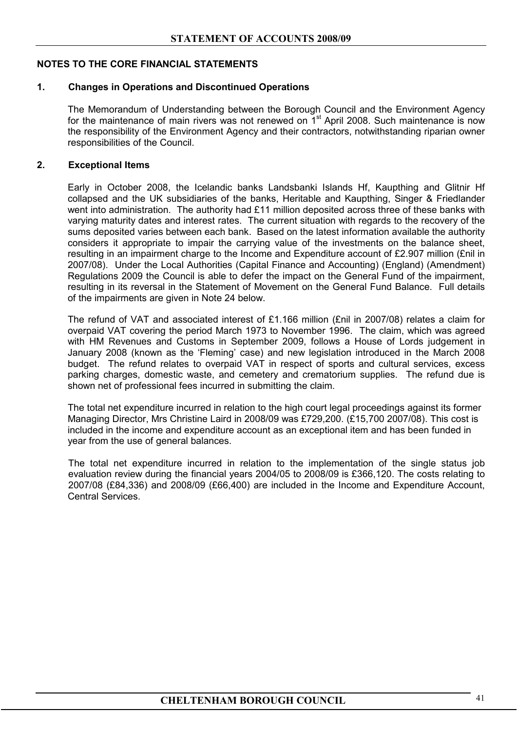# **NOTES TO THE CORE FINANCIAL STATEMENTS**

## **1. Changes in Operations and Discontinued Operations**

The Memorandum of Understanding between the Borough Council and the Environment Agency for the maintenance of main rivers was not renewed on  $1<sup>st</sup>$  April 2008. Such maintenance is now the responsibility of the Environment Agency and their contractors, notwithstanding riparian owner responsibilities of the Council.

## **2. Exceptional Items**

Early in October 2008, the Icelandic banks Landsbanki Islands Hf, Kaupthing and Glitnir Hf collapsed and the UK subsidiaries of the banks, Heritable and Kaupthing, Singer & Friedlander went into administration. The authority had £11 million deposited across three of these banks with varying maturity dates and interest rates. The current situation with regards to the recovery of the sums deposited varies between each bank. Based on the latest information available the authority considers it appropriate to impair the carrying value of the investments on the balance sheet, resulting in an impairment charge to the Income and Expenditure account of £2.907 million (£nil in 2007/08). Under the Local Authorities (Capital Finance and Accounting) (England) (Amendment) Regulations 2009 the Council is able to defer the impact on the General Fund of the impairment, resulting in its reversal in the Statement of Movement on the General Fund Balance. Full details of the impairments are given in Note 24 below.

The refund of VAT and associated interest of £1.166 million (£nil in 2007/08) relates a claim for overpaid VAT covering the period March 1973 to November 1996. The claim, which was agreed with HM Revenues and Customs in September 2009, follows a House of Lords judgement in January 2008 (known as the 'Fleming' case) and new legislation introduced in the March 2008 budget. The refund relates to overpaid VAT in respect of sports and cultural services, excess parking charges, domestic waste, and cemetery and crematorium supplies. The refund due is shown net of professional fees incurred in submitting the claim.

The total net expenditure incurred in relation to the high court legal proceedings against its former Managing Director, Mrs Christine Laird in 2008/09 was £729,200. (£15,700 2007/08). This cost is included in the income and expenditure account as an exceptional item and has been funded in year from the use of general balances.

The total net expenditure incurred in relation to the implementation of the single status job evaluation review during the financial years 2004/05 to 2008/09 is £366,120. The costs relating to 2007/08 (£84,336) and 2008/09 (£66,400) are included in the Income and Expenditure Account, Central Services.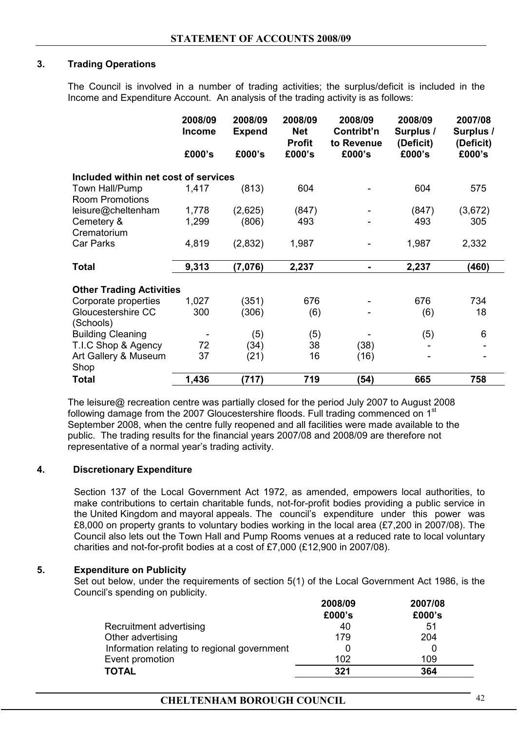# **3. Trading Operations**

The Council is involved in a number of trading activities; the surplus/deficit is included in the Income and Expenditure Account. An analysis of the trading activity is as follows:

|                                          | 2008/09<br><b>Income</b> | 2008/09<br><b>Expend</b> | 2008/09<br><b>Net</b><br><b>Profit</b> | 2008/09<br>Contribt'n<br>to Revenue | 2008/09<br>Surplus /<br>(Deficit) | 2007/08<br>Surplus /<br>(Deficit) |
|------------------------------------------|--------------------------|--------------------------|----------------------------------------|-------------------------------------|-----------------------------------|-----------------------------------|
|                                          | £000's                   | £000's                   | £000's                                 | £000's                              | £000's                            | £000's                            |
| Included within net cost of services     |                          |                          |                                        |                                     |                                   |                                   |
| Town Hall/Pump<br><b>Room Promotions</b> | 1,417                    | (813)                    | 604                                    |                                     | 604                               | 575                               |
| leisure@cheltenham                       | 1,778                    | (2,625)                  | (847)                                  |                                     | (847)                             | (3,672)                           |
| Cemetery &                               | 1,299                    | (806)                    | 493                                    |                                     | 493                               | 305                               |
| Crematorium                              |                          |                          |                                        |                                     |                                   |                                   |
| Car Parks                                | 4,819                    | (2,832)                  | 1,987                                  |                                     | 1,987                             | 2,332                             |
| <b>Total</b>                             | 9,313                    | (7,076)                  | 2,237                                  |                                     | 2,237                             | (460)                             |
| <b>Other Trading Activities</b>          |                          |                          |                                        |                                     |                                   |                                   |
| Corporate properties                     | 1,027                    | (351)                    | 676                                    |                                     | 676                               | 734                               |
| Gloucestershire CC                       | 300                      | (306)                    | (6)                                    |                                     | (6)                               | 18                                |
| (Schools)                                |                          |                          |                                        |                                     |                                   |                                   |
| <b>Building Cleaning</b>                 |                          | (5)                      | (5)                                    |                                     | (5)                               | 6                                 |
| T.I.C Shop & Agency                      | 72                       | (34)                     | 38                                     | (38)                                |                                   |                                   |
| Art Gallery & Museum<br>Shop             | 37                       | (21)                     | 16                                     | (16)                                |                                   |                                   |
| <b>Total</b>                             | 1,436                    | (717)                    | 719                                    | (54)                                | 665                               | 758                               |

The leisure@ recreation centre was partially closed for the period July 2007 to August 2008 following damage from the 2007 Gloucestershire floods. Full trading commenced on 1<sup>st</sup> September 2008, when the centre fully reopened and all facilities were made available to the public.The trading results for the financial years 2007/08 and 2008/09 are therefore not representative of a normal year's trading activity.

#### **4. Discretionary Expenditure**

Section 137 of the Local Government Act 1972, as amended, empowers local authorities, to make contributions to certain charitable funds, not-for-profit bodies providing a public service in the United Kingdom and mayoral appeals. The council's expenditure under this power was £8,000 on property grants to voluntary bodies working in the local area (£7,200 in 2007/08). The Council also lets out the Town Hall and Pump Rooms venues at a reduced rate to local voluntary charities and not-for-profit bodies at a cost of £7,000 (£12,900 in 2007/08).

#### **5. Expenditure on Publicity**

Set out below, under the requirements of section 5(1) of the Local Government Act 1986, is the Council's spending on publicity.

|                                             | 2008/09 | 2007/08 |
|---------------------------------------------|---------|---------|
|                                             | £000's  | £000's  |
| Recruitment advertising                     | 40      | 51      |
| Other advertising                           | 179     | 204     |
| Information relating to regional government |         |         |
| Event promotion                             | 102     | 109     |
| <b>TOTAL</b>                                | 321     | 364     |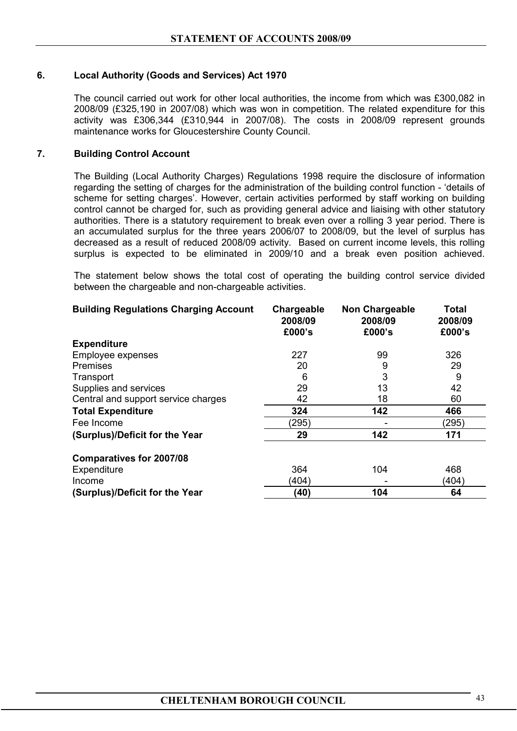# **6. Local Authority (Goods and Services) Act 1970**

The council carried out work for other local authorities, the income from which was £300,082 in 2008/09 (£325,190 in 2007/08) which was won in competition. The related expenditure for this activity was £306,344 (£310,944 in 2007/08). The costs in 2008/09 represent grounds maintenance works for Gloucestershire County Council.

#### **7. Building Control Account**

 The Building (Local Authority Charges) Regulations 1998 require the disclosure of information regarding the setting of charges for the administration of the building control function - 'details of scheme for setting charges'. However, certain activities performed by staff working on building control cannot be charged for, such as providing general advice and liaising with other statutory authorities. There is a statutory requirement to break even over a rolling 3 year period. There is an accumulated surplus for the three years 2006/07 to 2008/09, but the level of surplus has decreased as a result of reduced 2008/09 activity. Based on current income levels, this rolling surplus is expected to be eliminated in 2009/10 and a break even position achieved.

The statement below shows the total cost of operating the building control service divided between the chargeable and non-chargeable activities.

| <b>Building Regulations Charging Account</b> | Chargeable<br>2008/09<br>£000's | <b>Non Chargeable</b><br>2008/09<br>£000's | <b>Total</b><br>2008/09<br>£000's |
|----------------------------------------------|---------------------------------|--------------------------------------------|-----------------------------------|
| <b>Expenditure</b>                           |                                 |                                            |                                   |
| Employee expenses                            | 227                             | 99                                         | 326                               |
| <b>Premises</b>                              | 20                              | 9                                          | 29                                |
| Transport                                    | 6                               | 3                                          | 9                                 |
| Supplies and services                        | 29                              | 13                                         | 42                                |
| Central and support service charges          | 42                              | 18                                         | 60                                |
| <b>Total Expenditure</b>                     | 324                             | 142                                        | 466                               |
| Fee Income                                   | (295)                           |                                            | (295)                             |
| (Surplus)/Deficit for the Year               | 29                              | 142                                        | 171                               |
| <b>Comparatives for 2007/08</b>              |                                 |                                            |                                   |
| Expenditure                                  | 364                             | 104                                        | 468                               |
| Income                                       | (404)                           |                                            | (404)                             |
| (Surplus)/Deficit for the Year               | (40)                            | 104                                        | 64                                |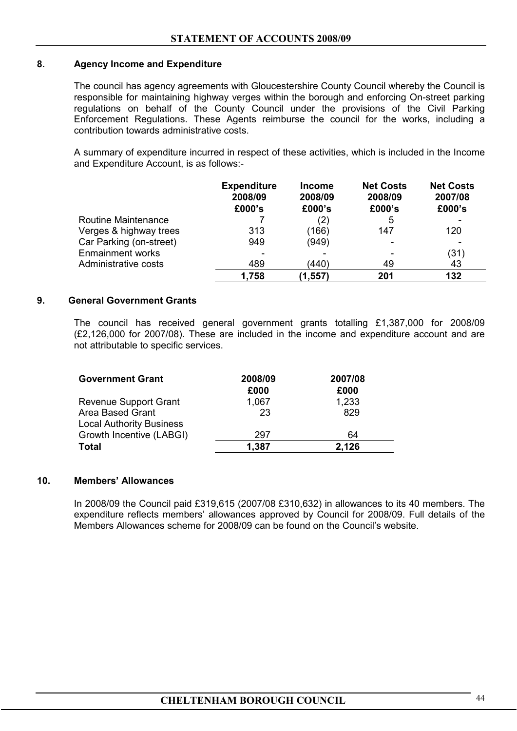# **8. Agency Income and Expenditure**

The council has agency agreements with Gloucestershire County Council whereby the Council is responsible for maintaining highway verges within the borough and enforcing On-street parking regulations on behalf of the County Council under the provisions of the Civil Parking Enforcement Regulations. These Agents reimburse the council for the works, including a contribution towards administrative costs.

A summary of expenditure incurred in respect of these activities, which is included in the Income and Expenditure Account, is as follows:-

|                            | <b>Expenditure</b><br>2008/09<br>£000's | <b>Income</b><br>2008/09<br>£000's | <b>Net Costs</b><br>2008/09<br>£000's | <b>Net Costs</b><br>2007/08<br>£000's |
|----------------------------|-----------------------------------------|------------------------------------|---------------------------------------|---------------------------------------|
| <b>Routine Maintenance</b> |                                         | (2)                                | 5                                     |                                       |
| Verges & highway trees     | 313                                     | (166)                              | 147                                   | 120                                   |
| Car Parking (on-street)    | 949                                     | (949)                              |                                       |                                       |
| <b>Enmainment works</b>    |                                         |                                    |                                       | (31)                                  |
| Administrative costs       | 489                                     | (440)                              | 49                                    | 43                                    |
|                            | 1,758                                   | (1, 557)                           | 201                                   | 132                                   |

# **9. General Government Grants**

The council has received general government grants totalling £1,387,000 for 2008/09 (£2,126,000 for 2007/08). These are included in the income and expenditure account and are not attributable to specific services.

| <b>Government Grant</b>         | 2008/09<br>£000 | 2007/08<br>£000 |
|---------------------------------|-----------------|-----------------|
| Revenue Support Grant           | 1,067           | 1,233           |
| Area Based Grant                | 23              | 829             |
| <b>Local Authority Business</b> |                 |                 |
| Growth Incentive (LABGI)        | 297             | 64              |
| <b>Total</b>                    | 1,387           | 2,126           |

# **10. Members' Allowances**

 In 2008/09 the Council paid £319,615 (2007/08 £310,632) in allowances to its 40 members. The expenditure reflects members' allowances approved by Council for 2008/09. Full details of the Members Allowances scheme for 2008/09 can be found on the Council's website.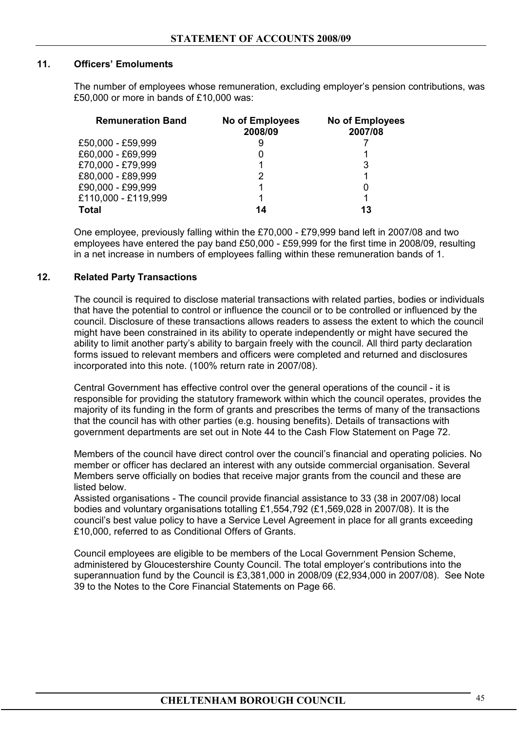# **11. Officers' Emoluments**

The number of employees whose remuneration, excluding employer's pension contributions, was £50,000 or more in bands of £10,000 was:

| <b>Remuneration Band</b> | <b>No of Employees</b><br>2008/09 | No of Employees<br>2007/08 |
|--------------------------|-----------------------------------|----------------------------|
| £50,000 - £59,999        |                                   |                            |
| £60,000 - £69,999        |                                   |                            |
| £70,000 - £79,999        |                                   |                            |
| £80,000 - £89,999        |                                   |                            |
| £90,000 - £99,999        |                                   |                            |
| £110,000 - £119,999      |                                   |                            |
| <b>Total</b>             | 14                                | 13                         |

One employee, previously falling within the £70,000 - £79,999 band left in 2007/08 and two employees have entered the pay band £50,000 - £59,999 for the first time in 2008/09, resulting in a net increase in numbers of employees falling within these remuneration bands of 1.

# **12. Related Party Transactions**

The council is required to disclose material transactions with related parties, bodies or individuals that have the potential to control or influence the council or to be controlled or influenced by the council. Disclosure of these transactions allows readers to assess the extent to which the council might have been constrained in its ability to operate independently or might have secured the ability to limit another party's ability to bargain freely with the council. All third party declaration forms issued to relevant members and officers were completed and returned and disclosures incorporated into this note. (100% return rate in 2007/08).

Central Government has effective control over the general operations of the council - it is responsible for providing the statutory framework within which the council operates, provides the majority of its funding in the form of grants and prescribes the terms of many of the transactions that the council has with other parties (e.g. housing benefits). Details of transactions with government departments are set out in Note 44 to the Cash Flow Statement on Page 72.

Members of the council have direct control over the council's financial and operating policies. No member or officer has declared an interest with any outside commercial organisation. Several Members serve officially on bodies that receive major grants from the council and these are listed below.

Assisted organisations - The council provide financial assistance to 33 (38 in 2007/08) local bodies and voluntary organisations totalling £1,554,792 (£1,569,028 in 2007/08). It is the council's best value policy to have a Service Level Agreement in place for all grants exceeding £10,000, referred to as Conditional Offers of Grants.

Council employees are eligible to be members of the Local Government Pension Scheme, administered by Gloucestershire County Council. The total employer's contributions into the superannuation fund by the Council is £3,381,000 in 2008/09 (£2,934,000 in 2007/08). See Note 39 to the Notes to the Core Financial Statements on Page 66.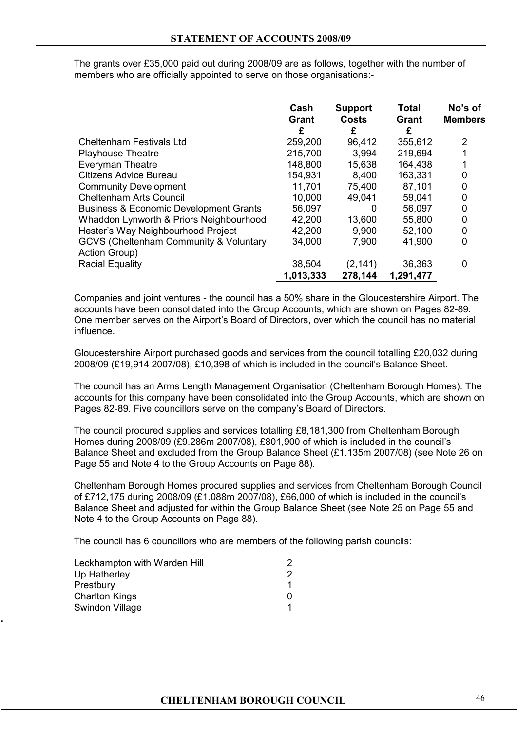The grants over £35,000 paid out during 2008/09 are as follows, together with the number of members who are officially appointed to serve on those organisations:-

|                                                         | Cash<br><b>Grant</b><br>£ | <b>Support</b><br><b>Costs</b><br>£ | <b>Total</b><br>Grant<br>£ | No's of<br><b>Members</b> |
|---------------------------------------------------------|---------------------------|-------------------------------------|----------------------------|---------------------------|
| <b>Cheltenham Festivals Ltd</b>                         | 259,200                   | 96,412                              | 355,612                    | 2                         |
| <b>Playhouse Theatre</b>                                | 215,700                   | 3,994                               | 219,694                    |                           |
| <b>Everyman Theatre</b>                                 | 148,800                   | 15,638                              | 164,438                    |                           |
| <b>Citizens Advice Bureau</b>                           | 154,931                   | 8,400                               | 163,331                    | 0                         |
| <b>Community Development</b>                            | 11,701                    | 75,400                              | 87,101                     | 0                         |
| <b>Cheltenham Arts Council</b>                          | 10,000                    | 49,041                              | 59,041                     | 0                         |
| <b>Business &amp; Economic Development Grants</b>       | 56,097                    | 0                                   | 56,097                     | 0                         |
| Whaddon Lynworth & Priors Neighbourhood                 | 42,200                    | 13,600                              | 55,800                     | 0                         |
| Hester's Way Neighbourhood Project                      | 42,200                    | 9,900                               | 52,100                     | 0                         |
| GCVS (Cheltenham Community & Voluntary<br>Action Group) | 34,000                    | 7,900                               | 41,900                     | 0                         |
| <b>Racial Equality</b>                                  | 38,504                    | (2, 141)                            | 36,363                     | 0                         |
|                                                         | 1,013,333                 | 278,144                             | 1,291,477                  |                           |

Companies and joint ventures - the council has a 50% share in the Gloucestershire Airport. The accounts have been consolidated into the Group Accounts, which are shown on Pages 82-89. One member serves on the Airport's Board of Directors, over which the council has no material influence.

Gloucestershire Airport purchased goods and services from the council totalling £20,032 during 2008/09 (£19,914 2007/08), £10,398 of which is included in the council's Balance Sheet.

The council has an Arms Length Management Organisation (Cheltenham Borough Homes). The accounts for this company have been consolidated into the Group Accounts, which are shown on Pages 82-89. Five councillors serve on the company's Board of Directors.

The council procured supplies and services totalling £8,181,300 from Cheltenham Borough Homes during 2008/09 (£9.286m 2007/08), £801,900 of which is included in the council's Balance Sheet and excluded from the Group Balance Sheet (£1.135m 2007/08) (see Note 26 on Page 55 and Note 4 to the Group Accounts on Page 88).

Cheltenham Borough Homes procured supplies and services from Cheltenham Borough Council of £712,175 during 2008/09 (£1.088m 2007/08), £66,000 of which is included in the council's Balance Sheet and adjusted for within the Group Balance Sheet (see Note 25 on Page 55 and Note 4 to the Group Accounts on Page 88).

The council has 6 councillors who are members of the following parish councils:

| Leckhampton with Warden Hill |  |
|------------------------------|--|
| Up Hatherley                 |  |
| Prestbury                    |  |
| <b>Charlton Kings</b>        |  |
| Swindon Village              |  |

**13.**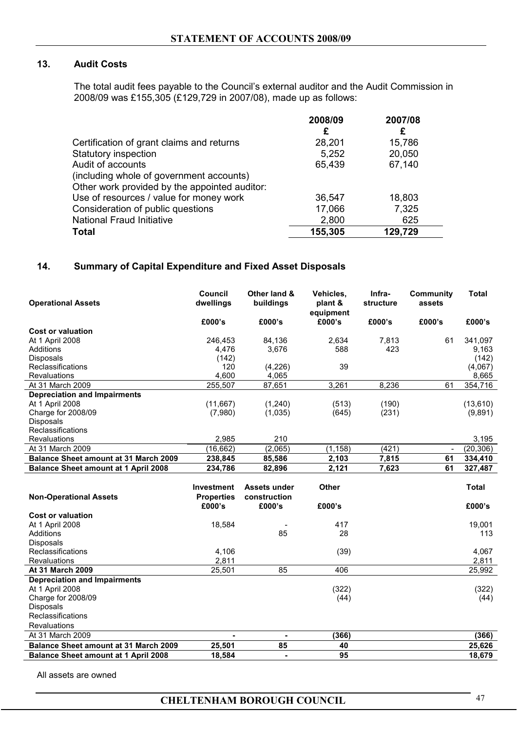# **13. Audit Costs**

The total audit fees payable to the Council's external auditor and the Audit Commission in 2008/09 was £155,305 (£129,729 in 2007/08), made up as follows:

|                                               | 2008/09 | 2007/08 |
|-----------------------------------------------|---------|---------|
|                                               | £       | £       |
| Certification of grant claims and returns     | 28,201  | 15,786  |
| <b>Statutory inspection</b>                   | 5,252   | 20,050  |
| Audit of accounts                             | 65,439  | 67,140  |
| (including whole of government accounts)      |         |         |
| Other work provided by the appointed auditor: |         |         |
| Use of resources / value for money work       | 36,547  | 18,803  |
| Consideration of public questions             | 17,066  | 7,325   |
| <b>National Fraud Initiative</b>              | 2,800   | 625     |
| <b>Total</b>                                  | 155,305 | 129,729 |

# **14. Summary of Capital Expenditure and Fixed Asset Disposals**

| <b>Operational Assets</b>                    | Council<br>dwellings | Other land &<br>buildings | Vehicles,<br>plant &<br>equipment | Infra-<br><b>structure</b> | Community<br>assets | Total     |
|----------------------------------------------|----------------------|---------------------------|-----------------------------------|----------------------------|---------------------|-----------|
|                                              | £000's               | £000's                    | £000's                            | £000's                     | £000's              | £000's    |
| Cost or valuation                            |                      |                           |                                   |                            |                     |           |
| At 1 April 2008                              | 246,453              | 84,136                    | 2,634                             | 7,813                      | 61                  | 341,097   |
| Additions                                    | 4,476                | 3,676                     | 588                               | 423                        |                     | 9,163     |
| <b>Disposals</b>                             | (142)                |                           |                                   |                            |                     | (142)     |
| Reclassifications                            | 120                  | (4,226)                   | 39                                |                            |                     | (4,067)   |
| <b>Revaluations</b>                          | 4,600                | 4,065                     |                                   |                            |                     | 8,665     |
| At 31 March 2009                             | 255,507              | 87,651                    | 3,261                             | 8,236                      | 61                  | 354,716   |
| <b>Depreciation and Impairments</b>          |                      |                           |                                   |                            |                     |           |
| At 1 April 2008                              | (11,667)             | (1,240)                   | (513)                             | (190)                      |                     | (13,610)  |
| Charge for 2008/09                           | (7,980)              | (1,035)                   | (645)                             | (231)                      |                     | (9,891)   |
| <b>Disposals</b>                             |                      |                           |                                   |                            |                     |           |
| Reclassifications                            |                      |                           |                                   |                            |                     |           |
| <b>Revaluations</b>                          | 2,985                | 210                       |                                   |                            |                     | 3,195     |
| At 31 March 2009                             | (16,662)             | (2,065)                   | (1, 158)                          | (421)                      |                     | (20, 306) |
| <b>Balance Sheet amount at 31 March 2009</b> | 238,845              | 85,586                    | 2,103                             | 7,815                      | 61                  | 334,410   |
| <b>Balance Sheet amount at 1 April 2008</b>  | 234,786              | 82,896                    | 2,121                             | 7,623                      | 61                  | 327,487   |
|                                              |                      |                           |                                   |                            |                     |           |

|                                              | <b>Investment</b>           | Assets under           | <b>Other</b> | <b>Total</b> |
|----------------------------------------------|-----------------------------|------------------------|--------------|--------------|
| <b>Non-Operational Assets</b>                | <b>Properties</b><br>£000's | construction<br>£000's | £000's       | £000's       |
| <b>Cost or valuation</b>                     |                             |                        |              |              |
| At 1 April 2008                              | 18,584                      |                        | 417          | 19,001       |
| Additions                                    |                             | 85                     | 28           | 113          |
| <b>Disposals</b>                             |                             |                        |              |              |
| Reclassifications                            | 4,106                       |                        | (39)         | 4,067        |
| <b>Revaluations</b>                          | 2,811                       |                        |              | 2,811        |
| <b>At 31 March 2009</b>                      | 25,501                      | 85                     | 406          | 25,992       |
| <b>Depreciation and Impairments</b>          |                             |                        |              |              |
| At 1 April 2008                              |                             |                        | (322)        | (322)        |
| Charge for 2008/09                           |                             |                        | (44)         | (44)         |
| <b>Disposals</b>                             |                             |                        |              |              |
| Reclassifications                            |                             |                        |              |              |
| <b>Revaluations</b>                          |                             |                        |              |              |
| At 31 March 2009                             | ۰                           | -                      | (366)        | (366)        |
| <b>Balance Sheet amount at 31 March 2009</b> | 25,501                      | 85                     | 40           | 25,626       |
| <b>Balance Sheet amount at 1 April 2008</b>  | 18,584                      | -                      | 95           | 18,679       |

All assets are owned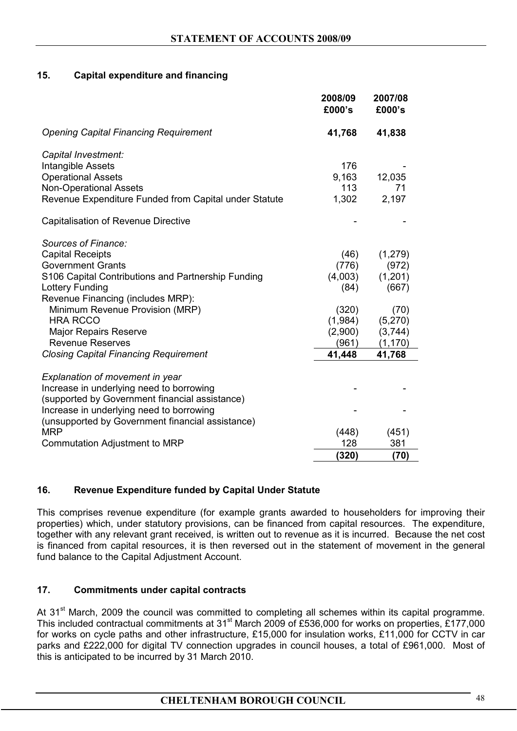# **15. Capital expenditure and financing**

|                                                       | 2008/09<br>£000's | 2007/08<br>£000's |
|-------------------------------------------------------|-------------------|-------------------|
| <b>Opening Capital Financing Requirement</b>          | 41,768            | 41,838            |
| Capital Investment:                                   |                   |                   |
| Intangible Assets                                     | 176               |                   |
| <b>Operational Assets</b>                             | 9,163             | 12,035            |
| <b>Non-Operational Assets</b>                         | 113               | 71                |
| Revenue Expenditure Funded from Capital under Statute | 1,302             | 2,197             |
| <b>Capitalisation of Revenue Directive</b>            |                   |                   |
| Sources of Finance:                                   |                   |                   |
| <b>Capital Receipts</b>                               | (46)              | (1,279)           |
| <b>Government Grants</b>                              | (776)             | (972)             |
| S106 Capital Contributions and Partnership Funding    | (4,003)           | (1,201)           |
| Lottery Funding                                       | (84)              | (667)             |
| Revenue Financing (includes MRP):                     |                   |                   |
| Minimum Revenue Provision (MRP)                       | (320)             | (70)              |
| <b>HRA RCCO</b>                                       | (1,984)           | (5,270)           |
| <b>Major Repairs Reserve</b>                          | (2,900)           | (3,744)           |
| <b>Revenue Reserves</b>                               | (961)             | (1, 170)          |
| <b>Closing Capital Financing Requirement</b>          | 41,448            | 41,768            |
| Explanation of movement in year                       |                   |                   |
| Increase in underlying need to borrowing              |                   |                   |
| (supported by Government financial assistance)        |                   |                   |
| Increase in underlying need to borrowing              |                   |                   |
| (unsupported by Government financial assistance)      |                   |                   |
| <b>MRP</b>                                            | (448)             | (451)             |
| <b>Commutation Adjustment to MRP</b>                  | 128               | 381               |
|                                                       | (320)             | (70)              |

# **16. Revenue Expenditure funded by Capital Under Statute**

This comprises revenue expenditure (for example grants awarded to householders for improving their properties) which, under statutory provisions, can be financed from capital resources. The expenditure, together with any relevant grant received, is written out to revenue as it is incurred. Because the net cost is financed from capital resources, it is then reversed out in the statement of movement in the general fund balance to the Capital Adjustment Account.

# **17. Commitments under capital contracts**

At 31<sup>st</sup> March, 2009 the council was committed to completing all schemes within its capital programme. This included contractual commitments at 31<sup>st</sup> March 2009 of £536,000 for works on properties, £177,000 for works on cycle paths and other infrastructure, £15,000 for insulation works, £11,000 for CCTV in car parks and £222,000 for digital TV connection upgrades in council houses, a total of £961,000. Most of this is anticipated to be incurred by 31 March 2010.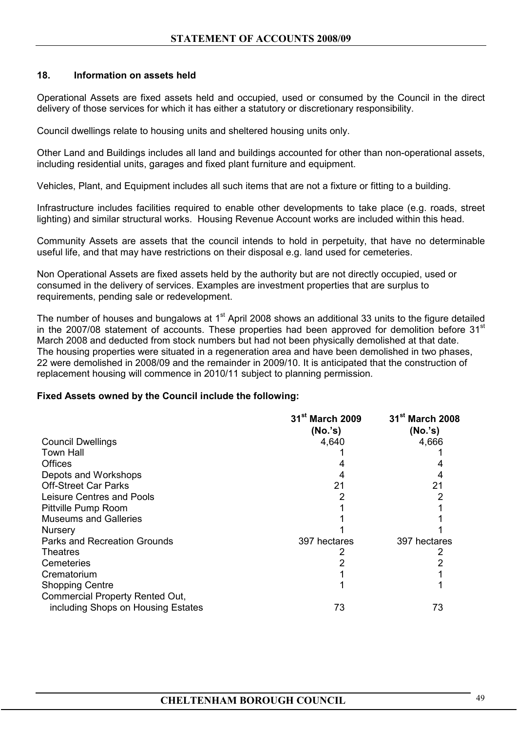# **18. Information on assets held**

Operational Assets are fixed assets held and occupied, used or consumed by the Council in the direct delivery of those services for which it has either a statutory or discretionary responsibility.

Council dwellings relate to housing units and sheltered housing units only.

Other Land and Buildings includes all land and buildings accounted for other than non-operational assets, including residential units, garages and fixed plant furniture and equipment.

Vehicles, Plant, and Equipment includes all such items that are not a fixture or fitting to a building.

Infrastructure includes facilities required to enable other developments to take place (e.g. roads, street lighting) and similar structural works. Housing Revenue Account works are included within this head.

Community Assets are assets that the council intends to hold in perpetuity, that have no determinable useful life, and that may have restrictions on their disposal e.g. land used for cemeteries.

Non Operational Assets are fixed assets held by the authority but are not directly occupied, used or consumed in the delivery of services. Examples are investment properties that are surplus to requirements, pending sale or redevelopment.

The number of houses and bungalows at 1<sup>st</sup> April 2008 shows an additional 33 units to the figure detailed in the 2007/08 statement of accounts. These properties had been approved for demolition before 31<sup>st</sup> March 2008 and deducted from stock numbers but had not been physically demolished at that date. The housing properties were situated in a regeneration area and have been demolished in two phases, 22 were demolished in 2008/09 and the remainder in 2009/10. It is anticipated that the construction of replacement housing will commence in 2010/11 subject to planning permission.

#### **Fixed Assets owned by the Council include the following:**

|                                    | 31 <sup>st</sup> March 2009 | 31 <sup>st</sup> March 2008 |
|------------------------------------|-----------------------------|-----------------------------|
|                                    | (No.'s)                     | (No.'s)                     |
| <b>Council Dwellings</b>           | 4,640                       | 4,666                       |
| <b>Town Hall</b>                   |                             |                             |
| Offices                            |                             |                             |
| Depots and Workshops               |                             |                             |
| <b>Off-Street Car Parks</b>        | 21                          | 21                          |
| Leisure Centres and Pools          |                             |                             |
| Pittville Pump Room                |                             |                             |
| <b>Museums and Galleries</b>       |                             |                             |
| <b>Nursery</b>                     |                             |                             |
| Parks and Recreation Grounds       | 397 hectares                | 397 hectares                |
| <b>Theatres</b>                    |                             |                             |
| Cemeteries                         |                             |                             |
| Crematorium                        |                             |                             |
| <b>Shopping Centre</b>             |                             |                             |
| Commercial Property Rented Out,    |                             |                             |
| including Shops on Housing Estates | 73                          | 73                          |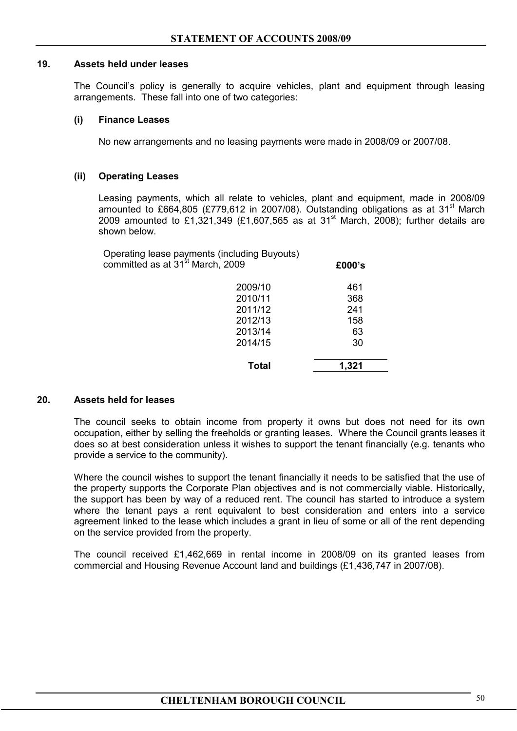#### **19. Assets held under leases**

 The Council's policy is generally to acquire vehicles, plant and equipment through leasing arrangements. These fall into one of two categories:

#### **(i) Finance Leases**

No new arrangements and no leasing payments were made in 2008/09 or 2007/08.

#### **(ii) Operating Leases**

Leasing payments, which all relate to vehicles, plant and equipment, made in 2008/09 amounted to £664,805 (£779,612 in 2007/08). Outstanding obligations as at  $31<sup>st</sup>$  March 2009 amounted to £1,321,349 (£1,607,565 as at 31<sup>st</sup> March, 2008); further details are shown below.

|              | £000's                                                                                       |
|--------------|----------------------------------------------------------------------------------------------|
| 2009/10      | 461                                                                                          |
| 2010/11      | 368                                                                                          |
| 2011/12      | 241                                                                                          |
| 2012/13      | 158                                                                                          |
| 2013/14      | 63                                                                                           |
| 2014/15      | 30                                                                                           |
| <b>Total</b> | 1,321                                                                                        |
|              | Operating lease payments (including Buyouts)<br>committed as at 31 <sup>st</sup> March, 2009 |

#### **20. Assets held for leases**

 The council seeks to obtain income from property it owns but does not need for its own occupation, either by selling the freeholds or granting leases. Where the Council grants leases it does so at best consideration unless it wishes to support the tenant financially (e.g. tenants who provide a service to the community).

 Where the council wishes to support the tenant financially it needs to be satisfied that the use of the property supports the Corporate Plan objectives and is not commercially viable. Historically, the support has been by way of a reduced rent. The council has started to introduce a system where the tenant pays a rent equivalent to best consideration and enters into a service agreement linked to the lease which includes a grant in lieu of some or all of the rent depending on the service provided from the property.

The council received £1,462,669 in rental income in 2008/09 on its granted leases from commercial and Housing Revenue Account land and buildings (£1,436,747 in 2007/08).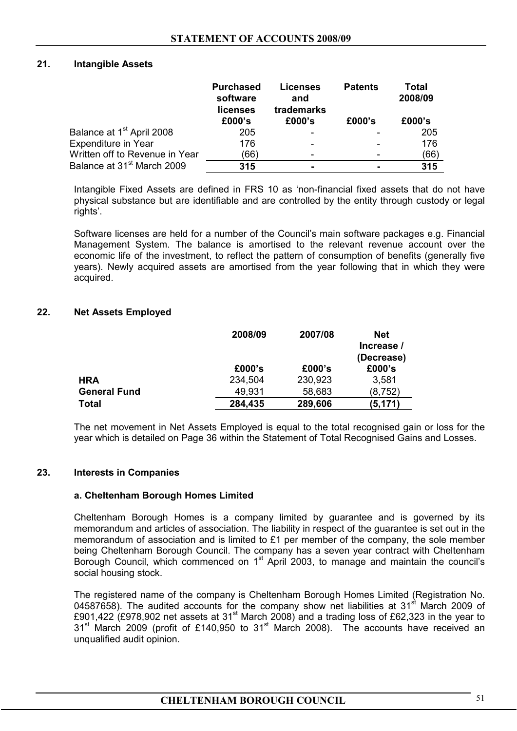#### **21. Intangible Assets**

|                                        | <b>Purchased</b><br>software<br>licenses | <b>Licenses</b><br>and<br>trademarks | <b>Patents</b> | Total<br>2008/09 |
|----------------------------------------|------------------------------------------|--------------------------------------|----------------|------------------|
|                                        | £000's                                   | £000's                               | £000's         | £000's           |
| Balance at 1 <sup>st</sup> April 2008  | 205                                      |                                      |                | 205              |
| Expenditure in Year                    | 176                                      |                                      |                | 176              |
| Written off to Revenue in Year         | (66)                                     |                                      |                | (66)             |
| Balance at 31 <sup>st</sup> March 2009 | 315                                      |                                      |                | 315              |

Intangible Fixed Assets are defined in FRS 10 as 'non-financial fixed assets that do not have physical substance but are identifiable and are controlled by the entity through custody or legal rights'.

 Software licenses are held for a number of the Council's main software packages e.g. Financial Management System. The balance is amortised to the relevant revenue account over the economic life of the investment, to reflect the pattern of consumption of benefits (generally five years). Newly acquired assets are amortised from the year following that in which they were acquired.

#### **22. Net Assets Employed**

|                     | 2008/09 | 2007/08 | <b>Net</b> |
|---------------------|---------|---------|------------|
|                     |         |         | Increase / |
|                     |         |         | (Decrease) |
|                     | £000's  | £000's  | £000's     |
| <b>HRA</b>          | 234,504 | 230,923 | 3,581      |
| <b>General Fund</b> | 49,931  | 58,683  | (8, 752)   |
| <b>Total</b>        | 284,435 | 289,606 | (5, 171)   |

 The net movement in Net Assets Employed is equal to the total recognised gain or loss for the year which is detailed on Page 36 within the Statement of Total Recognised Gains and Losses.

#### **23. Interests in Companies**

#### **a. Cheltenham Borough Homes Limited**

Cheltenham Borough Homes is a company limited by guarantee and is governed by its memorandum and articles of association. The liability in respect of the guarantee is set out in the memorandum of association and is limited to £1 per member of the company, the sole member being Cheltenham Borough Council. The company has a seven year contract with Cheltenham Borough Council, which commenced on  $1<sup>st</sup>$  April 2003, to manage and maintain the council's social housing stock.

The registered name of the company is Cheltenham Borough Homes Limited (Registration No. 04587658). The audited accounts for the company show net liabilities at  $31<sup>st</sup>$  March 2009 of £901,422 (£978,902 net assets at 31<sup>st</sup> March 2008) and a trading loss of £62,323 in the year to 31<sup>st</sup> March 2009 (profit of £140,950 to 31<sup>st</sup> March 2008). The accounts have received an unqualified audit opinion.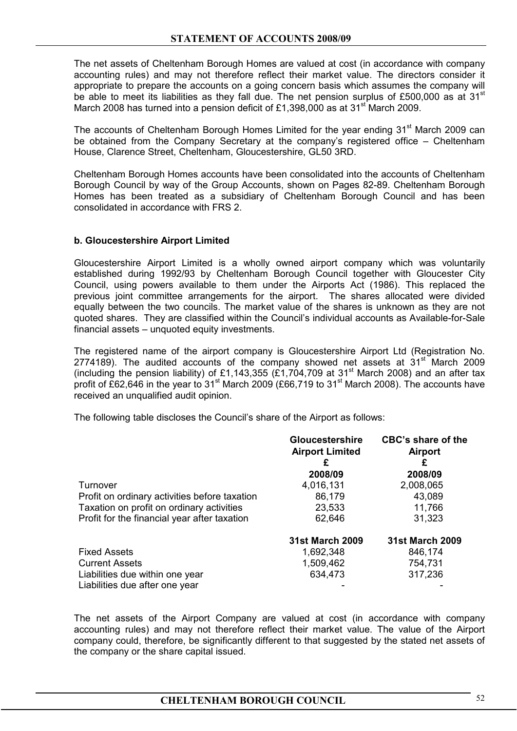The net assets of Cheltenham Borough Homes are valued at cost (in accordance with company accounting rules) and may not therefore reflect their market value. The directors consider it appropriate to prepare the accounts on a going concern basis which assumes the company will be able to meet its liabilities as they fall due. The net pension surplus of £500,000 as at  $31<sup>st</sup>$ March 2008 has turned into a pension deficit of £1,398,000 as at 31 $^{\rm st}$  March 2009.

The accounts of Cheltenham Borough Homes Limited for the year ending 31<sup>st</sup> March 2009 can be obtained from the Company Secretary at the company's registered office – Cheltenham House, Clarence Street, Cheltenham, Gloucestershire, GL50 3RD.

Cheltenham Borough Homes accounts have been consolidated into the accounts of Cheltenham Borough Council by way of the Group Accounts, shown on Pages 82-89. Cheltenham Borough Homes has been treated as a subsidiary of Cheltenham Borough Council and has been consolidated in accordance with FRS 2.

#### **b. Gloucestershire Airport Limited**

Gloucestershire Airport Limited is a wholly owned airport company which was voluntarily established during 1992/93 by Cheltenham Borough Council together with Gloucester City Council, using powers available to them under the Airports Act (1986). This replaced the previous joint committee arrangements for the airport. The shares allocated were divided equally between the two councils. The market value of the shares is unknown as they are not quoted shares. They are classified within the Council's individual accounts as Available-for-Sale financial assets – unquoted equity investments.

The registered name of the airport company is Gloucestershire Airport Ltd (Registration No. 2774189). The audited accounts of the company showed net assets at  $31<sup>st</sup>$  March 2009 (including the pension liability) of £1,143,355 (£1,704,709 at 31<sup>st</sup> March 2008) and an after tax profit of £62,646 in the year to 31<sup>st</sup> March 2009 (£66,719 to 31<sup>st</sup> March 2008). The accounts have received an unqualified audit opinion.

The following table discloses the Council's share of the Airport as follows:

|                                               | <b>Gloucestershire</b><br><b>Airport Limited</b><br>£ | <b>CBC's share of the</b><br><b>Airport</b> |
|-----------------------------------------------|-------------------------------------------------------|---------------------------------------------|
|                                               | 2008/09                                               | 2008/09                                     |
| Turnover                                      | 4,016,131                                             | 2,008,065                                   |
| Profit on ordinary activities before taxation | 86,179                                                | 43,089                                      |
| Taxation on profit on ordinary activities     | 23,533                                                | 11,766                                      |
| Profit for the financial year after taxation  | 62,646                                                | 31,323                                      |
|                                               | <b>31st March 2009</b>                                | <b>31st March 2009</b>                      |
| <b>Fixed Assets</b>                           | 1,692,348                                             | 846,174                                     |
| <b>Current Assets</b>                         | 1,509,462                                             | 754,731                                     |
| Liabilities due within one year               | 634,473                                               | 317,236                                     |
| Liabilities due after one year                |                                                       |                                             |

The net assets of the Airport Company are valued at cost (in accordance with company accounting rules) and may not therefore reflect their market value. The value of the Airport company could, therefore, be significantly different to that suggested by the stated net assets of the company or the share capital issued.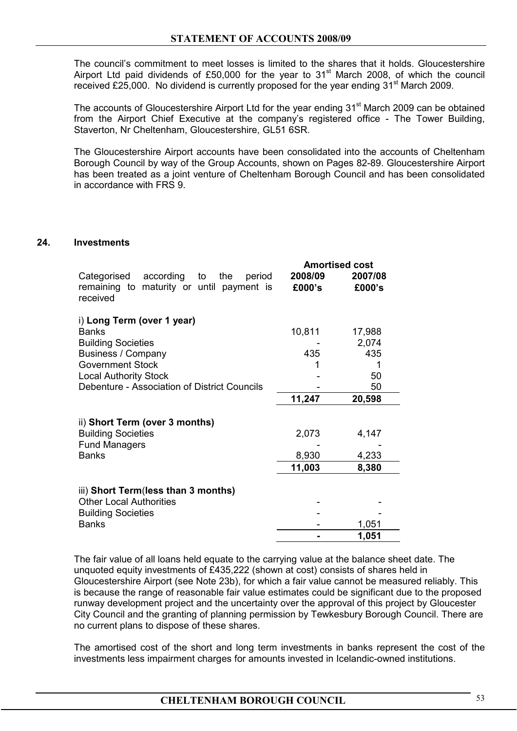The council's commitment to meet losses is limited to the shares that it holds. Gloucestershire Airport Ltd paid dividends of £50,000 for the year to 31<sup>st</sup> March 2008, of which the council received £25,000. No dividend is currently proposed for the year ending  $31<sup>st</sup>$  March 2009.

The accounts of Gloucestershire Airport Ltd for the year ending  $31<sup>st</sup>$  March 2009 can be obtained from the Airport Chief Executive at the company's registered office - The Tower Building, Staverton, Nr Cheltenham, Gloucestershire, GL51 6SR.

The Gloucestershire Airport accounts have been consolidated into the accounts of Cheltenham Borough Council by way of the Group Accounts, shown on Pages 82-89. Gloucestershire Airport has been treated as a joint venture of Cheltenham Borough Council and has been consolidated in accordance with FRS 9.

#### **24. Investments**

|                                                                                                                                                          |                   | <b>Amortised cost</b>        |
|----------------------------------------------------------------------------------------------------------------------------------------------------------|-------------------|------------------------------|
| according to<br>Categorised<br>the<br>period<br>remaining to maturity or until payment is<br>received                                                    | 2008/09<br>£000's | 2007/08<br>£000's            |
| i) Long Term (over 1 year)<br><b>Banks</b><br><b>Building Societies</b><br>Business / Company<br><b>Government Stock</b><br><b>Local Authority Stock</b> | 10,811<br>435     | 17,988<br>2,074<br>435<br>50 |
| Debenture - Association of District Councils                                                                                                             | 11,247            | 50<br>20,598                 |
| ii) Short Term (over 3 months)<br><b>Building Societies</b><br><b>Fund Managers</b>                                                                      | 2,073             | 4,147                        |
| <b>Banks</b>                                                                                                                                             | 8,930<br>11,003   | 4,233<br>8,380               |
| iii) Short Term(less than 3 months)<br><b>Other Local Authorities</b><br><b>Building Societies</b><br><b>Banks</b>                                       |                   | 1,051                        |
|                                                                                                                                                          |                   | 1,051                        |

The fair value of all loans held equate to the carrying value at the balance sheet date. The unquoted equity investments of £435,222 (shown at cost) consists of shares held in Gloucestershire Airport (see Note 23b), for which a fair value cannot be measured reliably. This is because the range of reasonable fair value estimates could be significant due to the proposed runway development project and the uncertainty over the approval of this project by Gloucester City Council and the granting of planning permission by Tewkesbury Borough Council. There are no current plans to dispose of these shares.

 The amortised cost of the short and long term investments in banks represent the cost of the investments less impairment charges for amounts invested in Icelandic-owned institutions.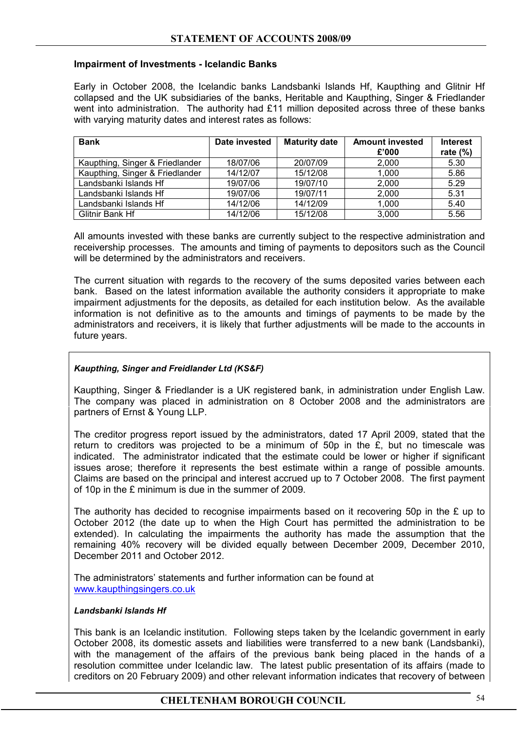## **Impairment of Investments - Icelandic Banks**

Early in October 2008, the Icelandic banks Landsbanki Islands Hf, Kaupthing and Glitnir Hf collapsed and the UK subsidiaries of the banks, Heritable and Kaupthing, Singer & Friedlander went into administration. The authority had £11 million deposited across three of these banks with varying maturity dates and interest rates as follows:

| <b>Bank</b>                     | Date invested | <b>Maturity date</b> | <b>Amount invested</b><br>£'000 | <b>Interest</b> |
|---------------------------------|---------------|----------------------|---------------------------------|-----------------|
|                                 |               |                      |                                 | rate $(\%)$     |
| Kaupthing, Singer & Friedlander | 18/07/06      | 20/07/09             | 2,000                           | 5.30            |
| Kaupthing, Singer & Friedlander | 14/12/07      | 15/12/08             | 1,000                           | 5.86            |
| Landsbanki Islands Hf           | 19/07/06      | 19/07/10             | 2,000                           | 5.29            |
| Landsbanki Islands Hf           | 19/07/06      | 19/07/11             | 2,000                           | 5.31            |
| Landsbanki Islands Hf           | 14/12/06      | 14/12/09             | 1,000                           | 5.40            |
| Glitnir Bank Hf                 | 14/12/06      | 15/12/08             | 3,000                           | 5.56            |

 All amounts invested with these banks are currently subject to the respective administration and receivership processes. The amounts and timing of payments to depositors such as the Council will be determined by the administrators and receivers.

 The current situation with regards to the recovery of the sums deposited varies between each bank. Based on the latest information available the authority considers it appropriate to make impairment adjustments for the deposits, as detailed for each institution below. As the available information is not definitive as to the amounts and timings of payments to be made by the administrators and receivers, it is likely that further adjustments will be made to the accounts in future years.

## *Kaupthing, Singer and Freidlander Ltd (KS&F)*

Kaupthing, Singer & Friedlander is a UK registered bank, in administration under English Law. The company was placed in administration on 8 October 2008 and the administrators are partners of Ernst & Young LLP.

The creditor progress report issued by the administrators, dated 17 April 2009, stated that the return to creditors was projected to be a minimum of 50p in the  $\hat{\epsilon}$ , but no timescale was indicated. The administrator indicated that the estimate could be lower or higher if significant issues arose; therefore it represents the best estimate within a range of possible amounts. Claims are based on the principal and interest accrued up to 7 October 2008. The first payment of 10p in the £ minimum is due in the summer of 2009.

The authority has decided to recognise impairments based on it recovering 50p in the  $\epsilon$  up to October 2012 (the date up to when the High Court has permitted the administration to be extended). In calculating the impairments the authority has made the assumption that the remaining 40% recovery will be divided equally between December 2009, December 2010, December 2011 and October 2012.

The administrators' statements and further information can be found at www.kaupthingsingers.co.uk

#### *Landsbanki Islands Hf*

This bank is an Icelandic institution. Following steps taken by the Icelandic government in early October 2008, its domestic assets and liabilities were transferred to a new bank (Landsbanki), with the management of the affairs of the previous bank being placed in the hands of a resolution committee under Icelandic law. The latest public presentation of its affairs (made to creditors on 20 February 2009) and other relevant information indicates that recovery of between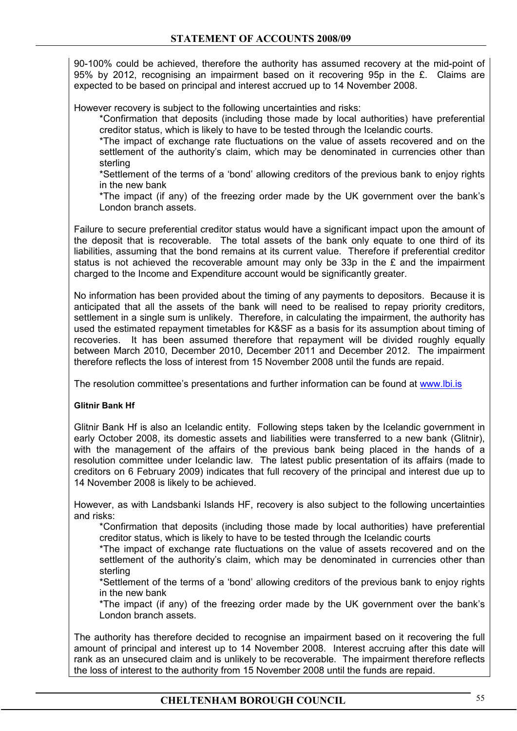90-100% could be achieved, therefore the authority has assumed recovery at the mid-point of 95% by 2012, recognising an impairment based on it recovering 95p in the £. Claims are expected to be based on principal and interest accrued up to 14 November 2008.

However recovery is subject to the following uncertainties and risks:

 \*Confirmation that deposits (including those made by local authorities) have preferential creditor status, which is likely to have to be tested through the Icelandic courts.

 \*The impact of exchange rate fluctuations on the value of assets recovered and on the settlement of the authority's claim, which may be denominated in currencies other than sterling

 \*Settlement of the terms of a 'bond' allowing creditors of the previous bank to enjoy rights in the new bank

 \*The impact (if any) of the freezing order made by the UK government over the bank's London branch assets.

Failure to secure preferential creditor status would have a significant impact upon the amount of the deposit that is recoverable. The total assets of the bank only equate to one third of its liabilities, assuming that the bond remains at its current value. Therefore if preferential creditor status is not achieved the recoverable amount may only be 33p in the £ and the impairment charged to the Income and Expenditure account would be significantly greater.

No information has been provided about the timing of any payments to depositors. Because it is anticipated that all the assets of the bank will need to be realised to repay priority creditors, settlement in a single sum is unlikely. Therefore, in calculating the impairment, the authority has used the estimated repayment timetables for K&SF as a basis for its assumption about timing of recoveries. It has been assumed therefore that repayment will be divided roughly equally between March 2010, December 2010, December 2011 and December 2012. The impairment therefore reflects the loss of interest from 15 November 2008 until the funds are repaid.

The resolution committee's presentations and further information can be found at www.lbi.is

#### **Glitnir Bank Hf**

Glitnir Bank Hf is also an Icelandic entity. Following steps taken by the Icelandic government in early October 2008, its domestic assets and liabilities were transferred to a new bank (Glitnir), with the management of the affairs of the previous bank being placed in the hands of a resolution committee under Icelandic law. The latest public presentation of its affairs (made to creditors on 6 February 2009) indicates that full recovery of the principal and interest due up to 14 November 2008 is likely to be achieved.

However, as with Landsbanki Islands HF, recovery is also subject to the following uncertainties and risks:

\*Confirmation that deposits (including those made by local authorities) have preferential creditor status, which is likely to have to be tested through the Icelandic courts

 \*The impact of exchange rate fluctuations on the value of assets recovered and on the settlement of the authority's claim, which may be denominated in currencies other than sterling

 \*Settlement of the terms of a 'bond' allowing creditors of the previous bank to enjoy rights in the new bank

 \*The impact (if any) of the freezing order made by the UK government over the bank's London branch assets.

The authority has therefore decided to recognise an impairment based on it recovering the full amount of principal and interest up to 14 November 2008. Interest accruing after this date will rank as an unsecured claim and is unlikely to be recoverable. The impairment therefore reflects the loss of interest to the authority from 15 November 2008 until the funds are repaid.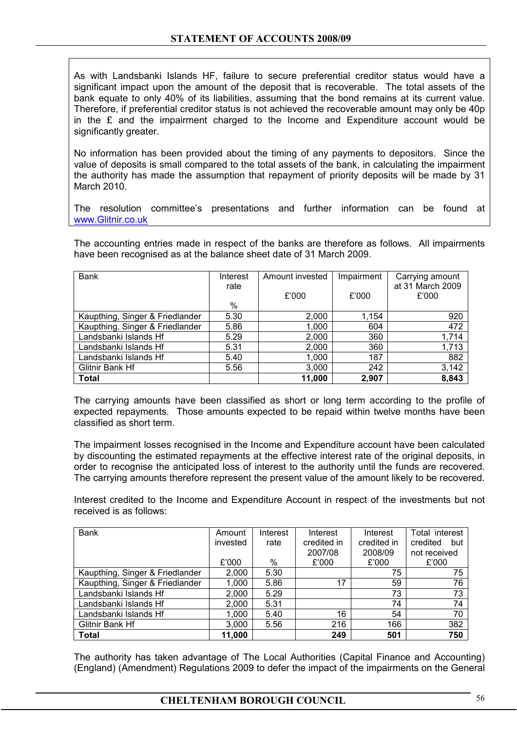As with Landsbanki Islands HF, failure to secure preferential creditor status would have a significant impact upon the amount of the deposit that is recoverable. The total assets of the bank equate to only 40% of its liabilities, assuming that the bond remains at its current value. Therefore, if preferential creditor status is not achieved the recoverable amount may only be 40p in the £ and the impairment charged to the Income and Expenditure account would be significantly greater.

No information has been provided about the timing of any payments to depositors. Since the value of deposits is small compared to the total assets of the bank, in calculating the impairment the authority has made the assumption that repayment of priority deposits will be made by 31 March 2010.

The resolution committee's presentations and further information can be found at www.Glitnir.co.uk

The accounting entries made in respect of the banks are therefore as follows. All impairments have been recognised as at the balance sheet date of 31 March 2009.

| <b>Bank</b>                     | Interest<br>rate | Amount invested | Impairment | Carrying amount<br>at 31 March 2009 |
|---------------------------------|------------------|-----------------|------------|-------------------------------------|
|                                 |                  | £'000           | £'000      | £'000                               |
|                                 | %                |                 |            |                                     |
| Kaupthing, Singer & Friedlander | 5.30             | 2,000           | 1,154      | 920                                 |
| Kaupthing, Singer & Friedlander | 5.86             | 1,000           | 604        | 472                                 |
| Landsbanki Islands Hf           | 5.29             | 2,000           | 360        | 1,714                               |
| Landsbanki Islands Hf           | 5.31             | 2,000           | 360        | 1,713                               |
| Landsbanki Islands Hf           | 5.40             | 1,000           | 187        | 882                                 |
| Glitnir Bank Hf                 | 5.56             | 3,000           | 242        | 3,142                               |
| <b>Total</b>                    |                  | 11,000          | 2.907      | 8,843                               |

The carrying amounts have been classified as short or long term according to the profile of expected repayments. Those amounts expected to be repaid within twelve months have been classified as short term.

The impairment losses recognised in the Income and Expenditure account have been calculated by discounting the estimated repayments at the effective interest rate of the original deposits, in order to recognise the anticipated loss of interest to the authority until the funds are recovered. The carrying amounts therefore represent the present value of the amount likely to be recovered.

Interest credited to the Income and Expenditure Account in respect of the investments but not received is as follows:

| <b>Bank</b>                     | Amount   | Interest | Interest    | Interest    | Total interest  |
|---------------------------------|----------|----------|-------------|-------------|-----------------|
|                                 | invested | rate     | credited in | credited in | but<br>credited |
|                                 |          |          | 2007/08     | 2008/09     | not received    |
|                                 | £'000    | %        | £'000       | £'000       | £'000           |
| Kaupthing, Singer & Friedlander | 2,000    | 5.30     |             | 75          | 75              |
| Kaupthing, Singer & Friedlander | 1,000    | 5.86     | 17          | 59          | 76              |
| Landsbanki Islands Hf           | 2,000    | 5.29     |             | 73          | 73              |
| Landsbanki Islands Hf           | 2,000    | 5.31     |             | 74          | 74              |
| Landsbanki Islands Hf           | 1,000    | 5.40     | 16          | 54          | 70              |
| Glitnir Bank Hf                 | 3,000    | 5.56     | 216         | 166         | 382             |
| <b>Total</b>                    | 11,000   |          | 249         | 501         | 750             |

The authority has taken advantage of The Local Authorities (Capital Finance and Accounting) (England) (Amendment) Regulations 2009 to defer the impact of the impairments on the General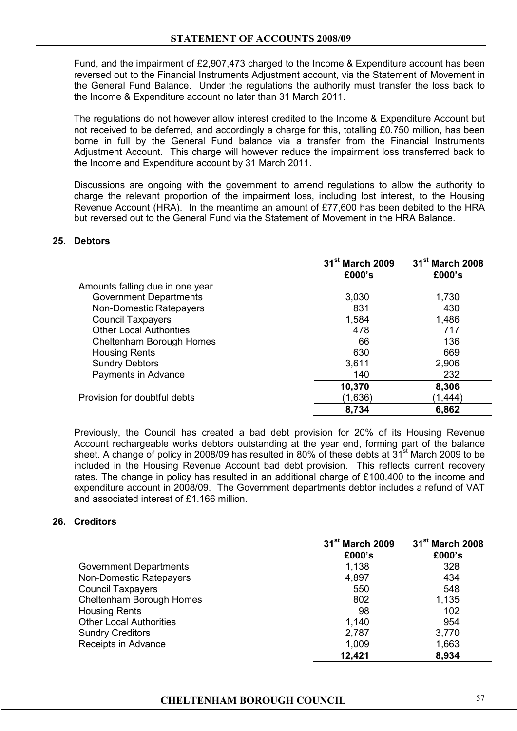Fund, and the impairment of £2,907,473 charged to the Income & Expenditure account has been reversed out to the Financial Instruments Adjustment account, via the Statement of Movement in the General Fund Balance. Under the regulations the authority must transfer the loss back to the Income & Expenditure account no later than 31 March 2011.

The regulations do not however allow interest credited to the Income & Expenditure Account but not received to be deferred, and accordingly a charge for this, totalling £0.750 million, has been borne in full by the General Fund balance via a transfer from the Financial Instruments Adjustment Account. This charge will however reduce the impairment loss transferred back to the Income and Expenditure account by 31 March 2011.

Discussions are ongoing with the government to amend regulations to allow the authority to charge the relevant proportion of the impairment loss, including lost interest, to the Housing Revenue Account (HRA). In the meantime an amount of £77,600 has been debited to the HRA but reversed out to the General Fund via the Statement of Movement in the HRA Balance.

# **25. Debtors**

|                                 | 31 <sup>st</sup> March 2009<br>£000's | 31 <sup>st</sup> March 2008<br>£000's |
|---------------------------------|---------------------------------------|---------------------------------------|
| Amounts falling due in one year |                                       |                                       |
| <b>Government Departments</b>   | 3,030                                 | 1,730                                 |
| Non-Domestic Ratepayers         | 831                                   | 430                                   |
| <b>Council Taxpayers</b>        | 1,584                                 | 1,486                                 |
| <b>Other Local Authorities</b>  | 478                                   | 717                                   |
| Cheltenham Borough Homes        | 66                                    | 136                                   |
| <b>Housing Rents</b>            | 630                                   | 669                                   |
| <b>Sundry Debtors</b>           | 3,611                                 | 2,906                                 |
| Payments in Advance             | 140                                   | 232                                   |
|                                 | 10,370                                | 8,306                                 |
| Provision for doubtful debts    | (1,636)                               | (1,444)                               |
|                                 | 8,734                                 | 6,862                                 |

Previously, the Council has created a bad debt provision for 20% of its Housing Revenue Account rechargeable works debtors outstanding at the year end, forming part of the balance sheet. A change of policy in 2008/09 has resulted in 80% of these debts at  $31^{st}$  March 2009 to be included in the Housing Revenue Account bad debt provision. This reflects current recovery rates. The change in policy has resulted in an additional charge of £100,400 to the income and expenditure account in 2008/09. The Government departments debtor includes a refund of VAT and associated interest of £1.166 million.

#### **26. Creditors**

|                                | 31 <sup>st</sup> March 2009<br>£000's | 31 <sup>st</sup> March 2008<br>£000's |
|--------------------------------|---------------------------------------|---------------------------------------|
| <b>Government Departments</b>  | 1,138                                 | 328                                   |
| Non-Domestic Ratepayers        | 4,897                                 | 434                                   |
| <b>Council Taxpayers</b>       | 550                                   | 548                                   |
| Cheltenham Borough Homes       | 802                                   | 1,135                                 |
| <b>Housing Rents</b>           | 98                                    | 102                                   |
| <b>Other Local Authorities</b> | 1,140                                 | 954                                   |
| <b>Sundry Creditors</b>        | 2,787                                 | 3,770                                 |
| Receipts in Advance            | 1,009                                 | 1,663                                 |
|                                | 12,421                                | 8,934                                 |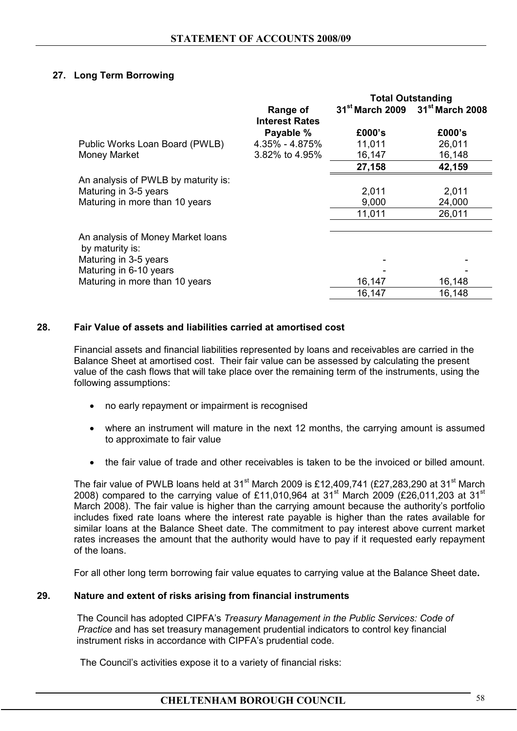# **27. Long Term Borrowing**

|                                                      |                                   | <b>Total Outstanding</b>                                |        |
|------------------------------------------------------|-----------------------------------|---------------------------------------------------------|--------|
|                                                      | Range of<br><b>Interest Rates</b> | 31 <sup>st</sup> March 2009 31 <sup>st</sup> March 2008 |        |
|                                                      | Payable %                         | £000's                                                  | £000's |
| Public Works Loan Board (PWLB)                       | 4.35% - 4.875%                    | 11,011                                                  | 26,011 |
| Money Market                                         | 3.82% to 4.95%                    | 16,147                                                  | 16,148 |
|                                                      |                                   | 27,158                                                  | 42,159 |
| An analysis of PWLB by maturity is:                  |                                   |                                                         |        |
| Maturing in 3-5 years                                |                                   | 2,011                                                   | 2,011  |
| Maturing in more than 10 years                       |                                   | 9,000                                                   | 24,000 |
|                                                      |                                   | 11,011                                                  | 26,011 |
|                                                      |                                   |                                                         |        |
| An analysis of Money Market Ioans<br>by maturity is: |                                   |                                                         |        |
| Maturing in 3-5 years                                |                                   |                                                         |        |
| Maturing in 6-10 years                               |                                   |                                                         |        |
| Maturing in more than 10 years                       |                                   | 16,147                                                  | 16,148 |
|                                                      |                                   | 16,147                                                  | 16,148 |

# **28. Fair Value of assets and liabilities carried at amortised cost**

Financial assets and financial liabilities represented by loans and receivables are carried in the Balance Sheet at amortised cost. Their fair value can be assessed by calculating the present value of the cash flows that will take place over the remaining term of the instruments, using the following assumptions:

- no early repayment or impairment is recognised
- where an instrument will mature in the next 12 months, the carrying amount is assumed to approximate to fair value
- the fair value of trade and other receivables is taken to be the invoiced or billed amount.

The fair value of PWLB loans held at 31<sup>st</sup> March 2009 is £12,409,741 (£27,283,290 at 31<sup>st</sup> March 2008) compared to the carrying value of £11,010,964 at  $31^{st}$  March 2009 (£26,011,203 at  $31^{st}$ March 2008). The fair value is higher than the carrying amount because the authority's portfolio includes fixed rate loans where the interest rate payable is higher than the rates available for similar loans at the Balance Sheet date. The commitment to pay interest above current market rates increases the amount that the authority would have to pay if it requested early repayment of the loans.

For all other long term borrowing fair value equates to carrying value at the Balance Sheet date**.** 

#### **29. Nature and extent of risks arising from financial instruments**

The Council has adopted CIPFA's *Treasury Management in the Public Services: Code of* *Practice* and has set treasury management prudential indicators to control key financial instrument risks in accordance with CIPFA's prudential code.

The Council's activities expose it to a variety of financial risks: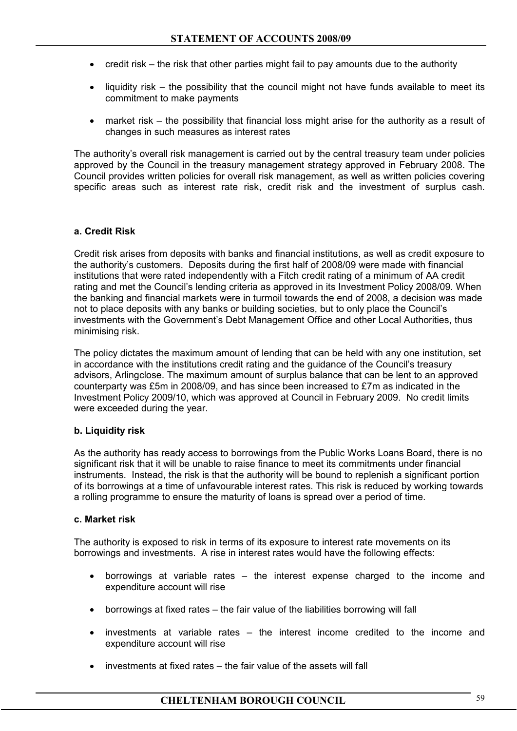- credit risk the risk that other parties might fail to pay amounts due to the authority
- liquidity risk the possibility that the council might not have funds available to meet its commitment to make payments
- market risk the possibility that financial loss might arise for the authority as a result of changes in such measures as interest rates

The authority's overall risk management is carried out by the central treasury team under policies approved by the Council in the treasury management strategy approved in February 2008. The Council provides written policies for overall risk management, as well as written policies covering specific areas such as interest rate risk, credit risk and the investment of surplus cash.

# **a. Credit Risk**

Credit risk arises from deposits with banks and financial institutions, as well as credit exposure to the authority's customers. Deposits during the first half of 2008/09 were made with financial institutions that were rated independently with a Fitch credit rating of a minimum of AA credit rating and met the Council's lending criteria as approved in its Investment Policy 2008/09. When the banking and financial markets were in turmoil towards the end of 2008, a decision was made not to place deposits with any banks or building societies, but to only place the Council's investments with the Government's Debt Management Office and other Local Authorities, thus minimising risk.

The policy dictates the maximum amount of lending that can be held with any one institution, set in accordance with the institutions credit rating and the guidance of the Council's treasury advisors, Arlingclose. The maximum amount of surplus balance that can be lent to an approved counterparty was £5m in 2008/09, and has since been increased to £7m as indicated in the Investment Policy 2009/10, which was approved at Council in February 2009. No credit limits were exceeded during the year.

#### **b. Liquidity risk**

As the authority has ready access to borrowings from the Public Works Loans Board, there is no significant risk that it will be unable to raise finance to meet its commitments under financial instruments. Instead, the risk is that the authority will be bound to replenish a significant portion of its borrowings at a time of unfavourable interest rates. This risk is reduced by working towards a rolling programme to ensure the maturity of loans is spread over a period of time.

#### **c. Market risk**

The authority is exposed to risk in terms of its exposure to interest rate movements on its borrowings and investments. A rise in interest rates would have the following effects:

- borrowings at variable rates the interest expense charged to the income and expenditure account will rise
- borrowings at fixed rates the fair value of the liabilities borrowing will fall
- investments at variable rates the interest income credited to the income and expenditure account will rise
- investments at fixed rates the fair value of the assets will fall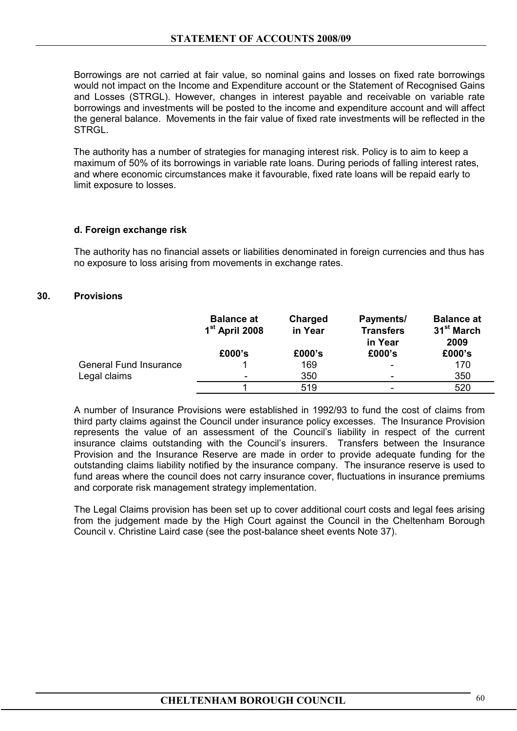Borrowings are not carried at fair value, so nominal gains and losses on fixed rate borrowings would not impact on the Income and Expenditure account or the Statement of Recognised Gains and Losses (STRGL). However, changes in interest payable and receivable on variable rate borrowings and investments will be posted to the income and expenditure account and will affect the general balance. Movements in the fair value of fixed rate investments will be reflected in the **STRGL** 

 The authority has a number of strategies for managing interest risk. Policy is to aim to keep a maximum of 50% of its borrowings in variable rate loans. During periods of falling interest rates, and where economic circumstances make it favourable, fixed rate loans will be repaid early to limit exposure to losses.

#### **d. Foreign exchange risk**

The authority has no financial assets or liabilities denominated in foreign currencies and thus has no exposure to loss arising from movements in exchange rates.

# **30. Provisions**

|                               | <b>Balance at</b><br>1 <sup>st</sup> April 2008 | Charged<br>in Year | Payments/<br><b>Transfers</b><br>in Year | <b>Balance at</b><br>31 <sup>st</sup> March<br>2009 |
|-------------------------------|-------------------------------------------------|--------------------|------------------------------------------|-----------------------------------------------------|
|                               | £000's                                          | £000's             | £000's                                   | £000's                                              |
| <b>General Fund Insurance</b> |                                                 | 169                | $\overline{\phantom{a}}$                 | 170                                                 |
| Legal claims                  | $\qquad \qquad \blacksquare$                    | 350                | $\overline{\phantom{0}}$                 | 350                                                 |
|                               |                                                 | 519                |                                          | 520                                                 |

 A number of Insurance Provisions were established in 1992/93 to fund the cost of claims from third party claims against the Council under insurance policy excesses. The Insurance Provision represents the value of an assessment of the Council's liability in respect of the current insurance claims outstanding with the Council's insurers. Transfers between the Insurance Provision and the Insurance Reserve are made in order to provide adequate funding for the outstanding claims liability notified by the insurance company. The insurance reserve is used to fund areas where the council does not carry insurance cover, fluctuations in insurance premiums and corporate risk management strategy implementation.

 The Legal Claims provision has been set up to cover additional court costs and legal fees arising from the judgement made by the High Court against the Council in the Cheltenham Borough Council v. Christine Laird case (see the post-balance sheet events Note 37).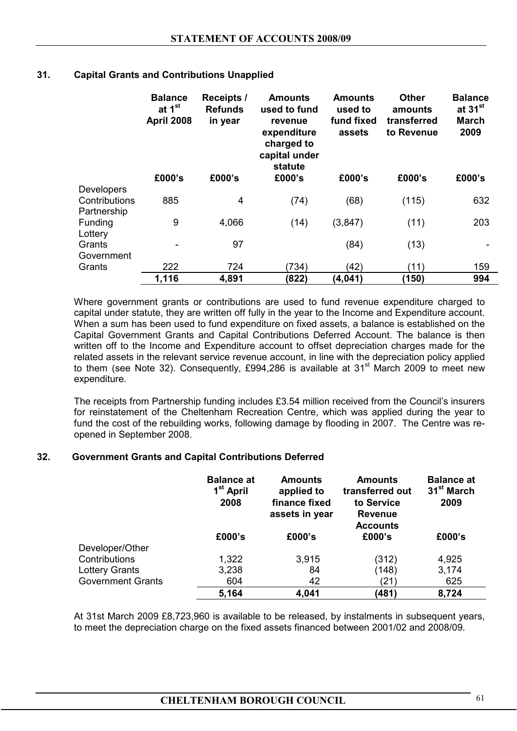| 31. |  | <b>Capital Grants and Contributions Unapplied</b> |  |
|-----|--|---------------------------------------------------|--|
|     |  |                                                   |  |

|                   | <b>Balance</b><br>at 1 <sup>st</sup><br><b>April 2008</b> | <b>Receipts /</b><br><b>Refunds</b><br>in year | <b>Amounts</b><br>used to fund<br>revenue<br>expenditure<br>charged to<br>capital under<br>statute | Amounts<br>used to<br>fund fixed<br>assets | <b>Other</b><br>amounts<br>transferred<br>to Revenue | <b>Balance</b><br>at 31 <sup>st</sup><br>March<br>2009 |
|-------------------|-----------------------------------------------------------|------------------------------------------------|----------------------------------------------------------------------------------------------------|--------------------------------------------|------------------------------------------------------|--------------------------------------------------------|
|                   | £000's                                                    | £000's                                         | £000's                                                                                             | £000's                                     | £000's                                               | £000's                                                 |
| <b>Developers</b> |                                                           |                                                |                                                                                                    |                                            |                                                      |                                                        |
| Contributions     | 885                                                       | 4                                              | (74)                                                                                               | (68)                                       | (115)                                                | 632                                                    |
| Partnership       |                                                           |                                                |                                                                                                    |                                            |                                                      |                                                        |
| Funding           | 9                                                         | 4,066                                          | (14)                                                                                               | (3, 847)                                   | (11)                                                 | 203                                                    |
| Lottery           |                                                           |                                                |                                                                                                    |                                            |                                                      |                                                        |
| Grants            |                                                           | 97                                             |                                                                                                    | (84)                                       | (13)                                                 |                                                        |
| Government        |                                                           |                                                |                                                                                                    |                                            |                                                      |                                                        |
| Grants            | 222                                                       | 724                                            | (734)                                                                                              | (42)                                       | (11)                                                 | 159                                                    |
|                   | 1,116                                                     | 4,891                                          | (822)                                                                                              | (4, 041)                                   | (150)                                                | 994                                                    |

Where government grants or contributions are used to fund revenue expenditure charged to capital under statute, they are written off fully in the year to the Income and Expenditure account. When a sum has been used to fund expenditure on fixed assets, a balance is established on the Capital Government Grants and Capital Contributions Deferred Account. The balance is then written off to the Income and Expenditure account to offset depreciation charges made for the related assets in the relevant service revenue account, in line with the depreciation policy applied to them (see Note 32). Consequently, £994,286 is available at 31 $^{\rm st}$  March 2009 to meet new expenditure.

The receipts from Partnership funding includes £3.54 million received from the Council's insurers for reinstatement of the Cheltenham Recreation Centre, which was applied during the year to fund the cost of the rebuilding works, following damage by flooding in 2007. The Centre was reopened in September 2008.

#### **32. Government Grants and Capital Contributions Deferred**

|                          | <b>Balance at</b><br>1 <sup>st</sup> April<br>2008<br>£000's | <b>Amounts</b><br>applied to<br>finance fixed<br>assets in year<br>£000's | <b>Amounts</b><br>transferred out<br>to Service<br><b>Revenue</b><br><b>Accounts</b><br>£000's | <b>Balance at</b><br>31 <sup>st</sup> March<br>2009<br>£000's |
|--------------------------|--------------------------------------------------------------|---------------------------------------------------------------------------|------------------------------------------------------------------------------------------------|---------------------------------------------------------------|
| Developer/Other          |                                                              |                                                                           |                                                                                                |                                                               |
| Contributions            | 1,322                                                        | 3,915                                                                     | (312)                                                                                          | 4,925                                                         |
| <b>Lottery Grants</b>    | 3,238                                                        | 84                                                                        | (148)                                                                                          | 3,174                                                         |
| <b>Government Grants</b> | 604                                                          | 42                                                                        | (21)                                                                                           | 625                                                           |
|                          | 5,164                                                        | 4,041                                                                     | (481)                                                                                          | 8,724                                                         |

At 31st March 2009 £8,723,960 is available to be released, by instalments in subsequent years, to meet the depreciation charge on the fixed assets financed between 2001/02 and 2008/09.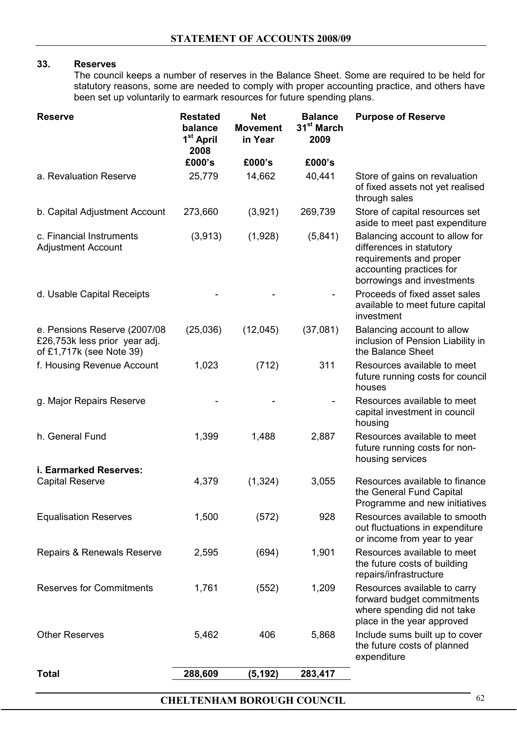# **33. Reserves**

The council keeps a number of reserves in the Balance Sheet. Some are required to be held for statutory reasons, some are needed to comply with proper accounting practice, and others have been set up voluntarily to earmark resources for future spending plans.

|                                                                                            | balance<br>1 <sup>st</sup> April<br>2008 | <b>Movement</b><br>in Year | 31 <sup>st</sup> March<br>2009 | <b>Purpose of Reserve</b>                                                                                                                       |
|--------------------------------------------------------------------------------------------|------------------------------------------|----------------------------|--------------------------------|-------------------------------------------------------------------------------------------------------------------------------------------------|
|                                                                                            | £000's                                   | £000's                     | £000's                         |                                                                                                                                                 |
| a. Revaluation Reserve                                                                     | 25,779                                   | 14,662                     | 40,441                         | Store of gains on revaluation<br>of fixed assets not yet realised<br>through sales                                                              |
| b. Capital Adjustment Account                                                              | 273,660                                  | (3,921)                    | 269,739                        | Store of capital resources set<br>aside to meet past expenditure                                                                                |
| c. Financial Instruments<br><b>Adjustment Account</b>                                      | (3,913)                                  | (1,928)                    | (5,841)                        | Balancing account to allow for<br>differences in statutory<br>requirements and proper<br>accounting practices for<br>borrowings and investments |
| d. Usable Capital Receipts                                                                 |                                          |                            |                                | Proceeds of fixed asset sales<br>available to meet future capital<br>investment                                                                 |
| e. Pensions Reserve (2007/08)<br>£26,753k less prior year adj.<br>of £1,717k (see Note 39) | (25,036)                                 | (12,045)                   | (37,081)                       | Balancing account to allow<br>inclusion of Pension Liability in<br>the Balance Sheet                                                            |
| f. Housing Revenue Account                                                                 | 1,023                                    | (712)                      | 311                            | Resources available to meet<br>future running costs for council<br>houses                                                                       |
| g. Major Repairs Reserve                                                                   |                                          |                            |                                | Resources available to meet<br>capital investment in council<br>housing                                                                         |
| h. General Fund                                                                            | 1,399                                    | 1,488                      | 2,887                          | Resources available to meet<br>future running costs for non-<br>housing services                                                                |
| i. Earmarked Reserves:<br><b>Capital Reserve</b>                                           | 4,379                                    | (1, 324)                   | 3,055                          | Resources available to finance<br>the General Fund Capital<br>Programme and new initiatives                                                     |
| <b>Equalisation Reserves</b>                                                               | 1,500                                    | (572)                      | 928                            | Resources available to smooth<br>out fluctuations in expenditure<br>or income from year to year                                                 |
| Repairs & Renewals Reserve                                                                 | 2,595                                    | (694)                      | 1,901                          | Resources available to meet<br>the future costs of building<br>repairs/infrastructure                                                           |
| <b>Reserves for Commitments</b>                                                            | 1,761                                    | (552)                      | 1,209                          | Resources available to carry<br>forward budget commitments<br>where spending did not take<br>place in the year approved                         |
| <b>Other Reserves</b>                                                                      | 5,462                                    | 406                        | 5,868                          | Include sums built up to cover<br>the future costs of planned<br>expenditure                                                                    |
| <b>Total</b>                                                                               | 288,609                                  | (5, 192)                   | 283,417                        |                                                                                                                                                 |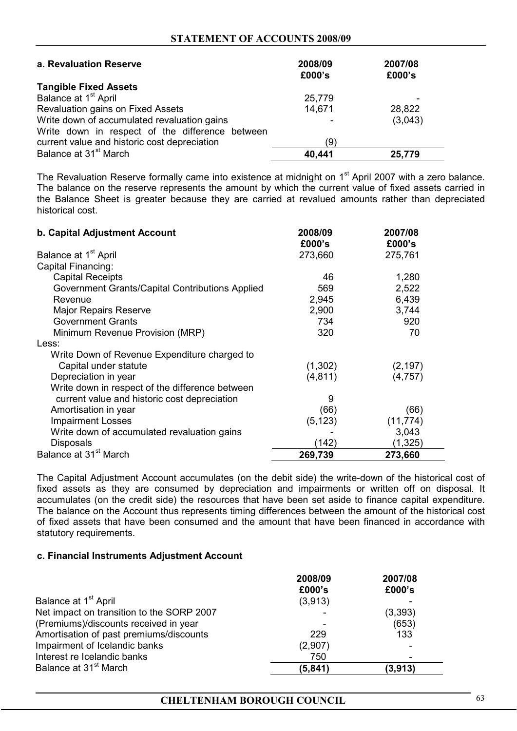#### **STATEMENT OF ACCOUNTS 2008/09**

| a. Revaluation Reserve                          | 2008/09<br>£000's | 2007/08<br>£000's |
|-------------------------------------------------|-------------------|-------------------|
| <b>Tangible Fixed Assets</b>                    |                   |                   |
| Balance at 1 <sup>st</sup> April                | 25,779            |                   |
| Revaluation gains on Fixed Assets               | 14,671            | 28,822            |
| Write down of accumulated revaluation gains     |                   | (3,043)           |
| Write down in respect of the difference between |                   |                   |
| current value and historic cost depreciation    | (9)               |                   |
| Balance at 31 <sup>st</sup> March               | 40,441            | 25,779            |

The Revaluation Reserve formally came into existence at midnight on 1<sup>st</sup> April 2007 with a zero balance. The balance on the reserve represents the amount by which the current value of fixed assets carried in the Balance Sheet is greater because they are carried at revalued amounts rather than depreciated historical cost.

| b. Capital Adjustment Account                   | 2008/09<br>£000's | 2007/08<br>£000's |
|-------------------------------------------------|-------------------|-------------------|
| Balance at 1 <sup>st</sup> April                | 273,660           | 275,761           |
| Capital Financing:                              |                   |                   |
| <b>Capital Receipts</b>                         | 46                | 1,280             |
| Government Grants/Capital Contributions Applied | 569               | 2,522             |
| Revenue                                         | 2,945             | 6,439             |
| <b>Major Repairs Reserve</b>                    | 2,900             | 3,744             |
| <b>Government Grants</b>                        | 734               | 920               |
| Minimum Revenue Provision (MRP)                 | 320               | 70                |
| Less:                                           |                   |                   |
| Write Down of Revenue Expenditure charged to    |                   |                   |
| Capital under statute                           | (1,302)           | (2, 197)          |
| Depreciation in year                            | (4, 811)          | (4,757)           |
| Write down in respect of the difference between |                   |                   |
| current value and historic cost depreciation    | 9                 |                   |
| Amortisation in year                            | (66)              | (66)              |
| <b>Impairment Losses</b>                        | (5, 123)          | (11, 774)         |
| Write down of accumulated revaluation gains     |                   | 3,043             |
| <b>Disposals</b>                                | (142)             | (1, 325)          |
| Balance at 31 <sup>st</sup> March               | 269,739           | 273,660           |

The Capital Adjustment Account accumulates (on the debit side) the write-down of the historical cost of fixed assets as they are consumed by depreciation and impairments or written off on disposal. It accumulates (on the credit side) the resources that have been set aside to finance capital expenditure. The balance on the Account thus represents timing differences between the amount of the historical cost of fixed assets that have been consumed and the amount that have been financed in accordance with statutory requirements.

#### **c. Financial Instruments Adjustment Account**

|                                           | 2008/09<br>£000's | 2007/08<br>£000's |
|-------------------------------------------|-------------------|-------------------|
| Balance at 1 <sup>st</sup> April          | (3,913)           |                   |
| Net impact on transition to the SORP 2007 |                   | (3,393)           |
| (Premiums)/discounts received in year     |                   | (653)             |
| Amortisation of past premiums/discounts   | 229               | 133               |
| Impairment of Icelandic banks             | (2,907)           |                   |
| Interest re Icelandic banks               | 750               |                   |
| Balance at 31 <sup>st</sup> March         | (5, 841)          | (3,913)           |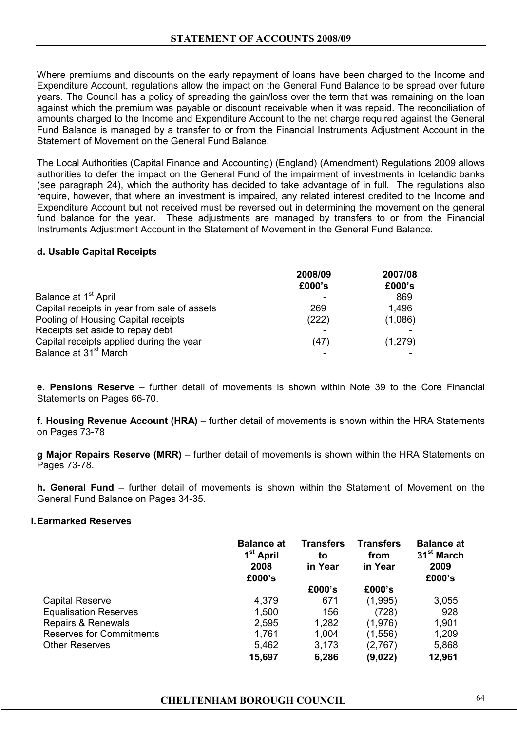Where premiums and discounts on the early repayment of loans have been charged to the Income and Expenditure Account, regulations allow the impact on the General Fund Balance to be spread over future years. The Council has a policy of spreading the gain/loss over the term that was remaining on the loan against which the premium was payable or discount receivable when it was repaid. The reconciliation of amounts charged to the Income and Expenditure Account to the net charge required against the General Fund Balance is managed by a transfer to or from the Financial Instruments Adjustment Account in the Statement of Movement on the General Fund Balance.

The Local Authorities (Capital Finance and Accounting) (England) (Amendment) Regulations 2009 allows authorities to defer the impact on the General Fund of the impairment of investments in Icelandic banks (see paragraph 24), which the authority has decided to take advantage of in full. The regulations also require, however, that where an investment is impaired, any related interest credited to the Income and Expenditure Account but not received must be reversed out in determining the movement on the general fund balance for the year. These adjustments are managed by transfers to or from the Financial Instruments Adjustment Account in the Statement of Movement in the General Fund Balance.

#### **d. Usable Capital Receipts**

|                                              | 2008/09 | 2007/08  |
|----------------------------------------------|---------|----------|
|                                              | £000's  | £000's   |
| Balance at 1 <sup>st</sup> April             |         | 869      |
| Capital receipts in year from sale of assets | 269     | 1,496    |
| Pooling of Housing Capital receipts          | (222)   | (1,086)  |
| Receipts set aside to repay debt             |         |          |
| Capital receipts applied during the year     | (47)    | (1, 279) |
| Balance at 31 <sup>st</sup> March            |         |          |

**e. Pensions Reserve** – further detail of movements is shown within Note 39 to the Core Financial Statements on Pages 66-70.

**f. Housing Revenue Account (HRA)** – further detail of movements is shown within the HRA Statements on Pages 73-78

**g Major Repairs Reserve (MRR)** – further detail of movements is shown within the HRA Statements on Pages 73-78.

**h. General Fund** – further detail of movements is shown within the Statement of Movement on the General Fund Balance on Pages 34-35.

#### **i. Earmarked Reserves**

|                                 | <b>Balance at</b><br>1 <sup>st</sup> April<br>2008<br>£000's | <b>Transfers</b><br>to<br>in Year | <b>Transfers</b><br>from<br>in Year | <b>Balance at</b><br>31 <sup>st</sup> March<br>2009<br>£000's |
|---------------------------------|--------------------------------------------------------------|-----------------------------------|-------------------------------------|---------------------------------------------------------------|
|                                 |                                                              | £000's                            | £000's                              |                                                               |
| <b>Capital Reserve</b>          | 4,379                                                        | 671                               | (1,995)                             | 3,055                                                         |
| <b>Equalisation Reserves</b>    | 1,500                                                        | 156                               | (728)                               | 928                                                           |
| <b>Repairs &amp; Renewals</b>   | 2,595                                                        | 1,282                             | (1,976)                             | 1,901                                                         |
| <b>Reserves for Commitments</b> | 1,761                                                        | 1,004                             | (1, 556)                            | 1,209                                                         |
| <b>Other Reserves</b>           | 5,462                                                        | 3,173                             | (2,767)                             | 5,868                                                         |
|                                 | 15,697                                                       | 6,286                             | (9,022)                             | 12,961                                                        |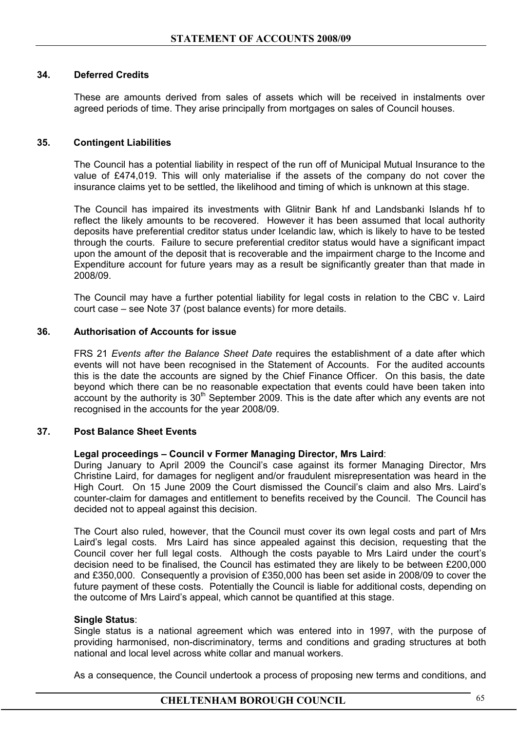#### **34. Deferred Credits**

 These are amounts derived from sales of assets which will be received in instalments over agreed periods of time. They arise principally from mortgages on sales of Council houses.

#### **35. Contingent Liabilities**

 The Council has a potential liability in respect of the run off of Municipal Mutual Insurance to the value of £474,019. This will only materialise if the assets of the company do not cover the insurance claims yet to be settled, the likelihood and timing of which is unknown at this stage.

The Council has impaired its investments with Glitnir Bank hf and Landsbanki Islands hf to reflect the likely amounts to be recovered. However it has been assumed that local authority deposits have preferential creditor status under Icelandic law, which is likely to have to be tested through the courts. Failure to secure preferential creditor status would have a significant impact upon the amount of the deposit that is recoverable and the impairment charge to the Income and Expenditure account for future years may as a result be significantly greater than that made in 2008/09.

The Council may have a further potential liability for legal costs in relation to the CBC v. Laird court case – see Note 37 (post balance events) for more details.

#### **36. Authorisation of Accounts for issue**

 FRS 21 *Events after the Balance Sheet Date* requires the establishment of a date after which events will not have been recognised in the Statement of Accounts. For the audited accounts this is the date the accounts are signed by the Chief Finance Officer. On this basis, the date beyond which there can be no reasonable expectation that events could have been taken into account by the authority is  $30<sup>th</sup>$  September 2009. This is the date after which any events are not recognised in the accounts for the year 2008/09.

#### **37. Post Balance Sheet Events**

#### **Legal proceedings – Council v Former Managing Director, Mrs Laird**:

During January to April 2009 the Council's case against its former Managing Director, Mrs Christine Laird, for damages for negligent and/or fraudulent misrepresentation was heard in the High Court. On 15 June 2009 the Court dismissed the Council's claim and also Mrs. Laird's counter-claim for damages and entitlement to benefits received by the Council. The Council has decided not to appeal against this decision.

The Court also ruled, however, that the Council must cover its own legal costs and part of Mrs Laird's legal costs. Mrs Laird has since appealed against this decision, requesting that the Council cover her full legal costs. Although the costs payable to Mrs Laird under the court's decision need to be finalised, the Council has estimated they are likely to be between £200,000 and £350,000. Consequently a provision of £350,000 has been set aside in 2008/09 to cover the future payment of these costs. Potentially the Council is liable for additional costs, depending on the outcome of Mrs Laird's appeal, which cannot be quantified at this stage.

#### **Single Status**:

Single status is a national agreement which was entered into in 1997, with the purpose of providing harmonised, non-discriminatory, terms and conditions and grading structures at both national and local level across white collar and manual workers.

As a consequence, the Council undertook a process of proposing new terms and conditions, and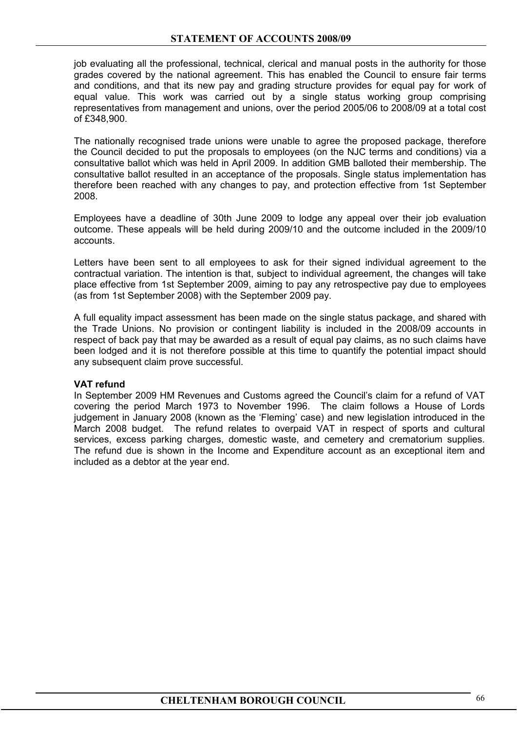job evaluating all the professional, technical, clerical and manual posts in the authority for those grades covered by the national agreement. This has enabled the Council to ensure fair terms and conditions, and that its new pay and grading structure provides for equal pay for work of equal value. This work was carried out by a single status working group comprising representatives from management and unions, over the period 2005/06 to 2008/09 at a total cost of £348,900.

The nationally recognised trade unions were unable to agree the proposed package, therefore the Council decided to put the proposals to employees (on the NJC terms and conditions) via a consultative ballot which was held in April 2009. In addition GMB balloted their membership. The consultative ballot resulted in an acceptance of the proposals. Single status implementation has therefore been reached with any changes to pay, and protection effective from 1st September 2008.

Employees have a deadline of 30th June 2009 to lodge any appeal over their job evaluation outcome. These appeals will be held during 2009/10 and the outcome included in the 2009/10 accounts.

Letters have been sent to all employees to ask for their signed individual agreement to the contractual variation. The intention is that, subject to individual agreement, the changes will take place effective from 1st September 2009, aiming to pay any retrospective pay due to employees (as from 1st September 2008) with the September 2009 pay.

A full equality impact assessment has been made on the single status package, and shared with the Trade Unions. No provision or contingent liability is included in the 2008/09 accounts in respect of back pay that may be awarded as a result of equal pay claims, as no such claims have been lodged and it is not therefore possible at this time to quantify the potential impact should any subsequent claim prove successful.

# **VAT refund**

In September 2009 HM Revenues and Customs agreed the Council's claim for a refund of VAT covering the period March 1973 to November 1996. The claim follows a House of Lords judgement in January 2008 (known as the 'Fleming' case) and new legislation introduced in the March 2008 budget. The refund relates to overpaid VAT in respect of sports and cultural services, excess parking charges, domestic waste, and cemetery and crematorium supplies. The refund due is shown in the Income and Expenditure account as an exceptional item and included as a debtor at the year end.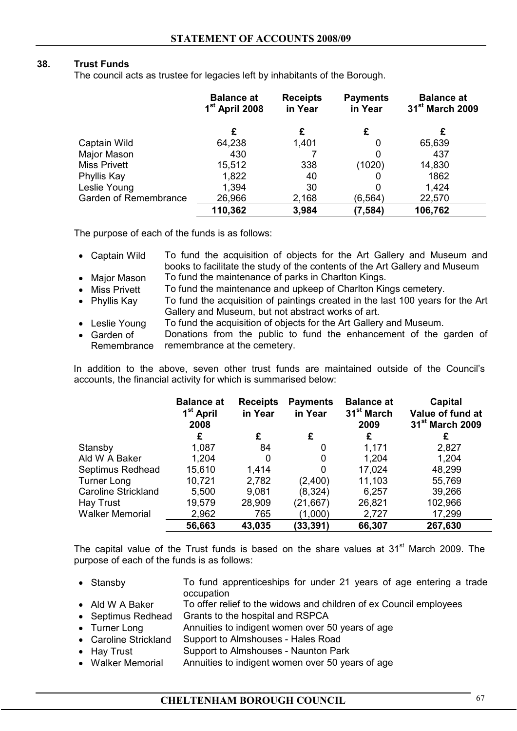# **38. Trust Funds**

The council acts as trustee for legacies left by inhabitants of the Borough.

|                       | <b>Balance at</b><br>1 <sup>st</sup> April 2008 | <b>Receipts</b><br>in Year | <b>Payments</b><br>in Year | <b>Balance at</b><br>31 <sup>st</sup> March 2009 |
|-----------------------|-------------------------------------------------|----------------------------|----------------------------|--------------------------------------------------|
|                       | £                                               | £                          | £                          |                                                  |
| Captain Wild          | 64,238                                          | 1,401                      | 0                          | 65,639                                           |
| Major Mason           | 430                                             |                            | 0                          | 437                                              |
| <b>Miss Privett</b>   | 15,512                                          | 338                        | (1020)                     | 14,830                                           |
| Phyllis Kay           | 1,822                                           | 40                         |                            | 1862                                             |
| Leslie Young          | 1,394                                           | 30                         |                            | 1,424                                            |
| Garden of Remembrance | 26,966                                          | 2,168                      | (6,564)                    | 22,570                                           |
|                       | 110,362                                         | 3,984                      | (7, 584)                   | 106,762                                          |

The purpose of each of the funds is as follows:

- Captain Wild To fund the acquisition of objects for the Art Gallery and Museum and books to facilitate the study of the contents of the Art Gallery and Museum
- Major Mason To fund the maintenance of parks in Charlton Kings.
- Miss Privett To fund the maintenance and upkeep of Charlton Kings cemetery.
- Phyllis Kay To fund the acquisition of paintings created in the last 100 years for the Art Gallery and Museum, but not abstract works of art.
- Leslie Young To fund the acquisition of objects for the Art Gallery and Museum.
- Garden of Remembrance Donations from the public to fund the enhancement of the garden of remembrance at the cemetery.

 In addition to the above, seven other trust funds are maintained outside of the Council's accounts, the financial activity for which is summarised below:

|                            | <b>Balance at</b><br>1 <sup>st</sup> April<br>2008 | <b>Receipts</b><br>in Year | <b>Payments</b><br>in Year | <b>Balance at</b><br>31 <sup>st</sup> March<br>2009 | <b>Capital</b><br>Value of fund at<br>31 <sup>st</sup> March 2009 |
|----------------------------|----------------------------------------------------|----------------------------|----------------------------|-----------------------------------------------------|-------------------------------------------------------------------|
|                            | £                                                  | £                          | £                          | £                                                   | £                                                                 |
| Stansby                    | 1,087                                              | 84                         | 0                          | 1,171                                               | 2,827                                                             |
| Ald W A Baker              | 1,204                                              | 0                          | 0                          | 1,204                                               | 1,204                                                             |
| Septimus Redhead           | 15,610                                             | 1,414                      | 0                          | 17,024                                              | 48,299                                                            |
| <b>Turner Long</b>         | 10,721                                             | 2,782                      | (2,400)                    | 11,103                                              | 55,769                                                            |
| <b>Caroline Strickland</b> | 5,500                                              | 9,081                      | (8, 324)                   | 6,257                                               | 39,266                                                            |
| Hay Trust                  | 19,579                                             | 28,909                     | (21,667)                   | 26,821                                              | 102,966                                                           |
| <b>Walker Memorial</b>     | 2,962                                              | 765                        | (1,000)                    | 2,727                                               | 17,299                                                            |
|                            | 56,663                                             | 43,035                     | (33, 391)                  | 66,307                                              | 267,630                                                           |

The capital value of the Trust funds is based on the share values at  $31<sup>st</sup>$  March 2009. The purpose of each of the funds is as follows:

- Stansby To fund apprenticeships for under 21 years of age entering a trade occupation
- Ald W A Baker To offer relief to the widows and children of ex Council employees
- Septimus Redhead Grants to the hospital and RSPCA
- Turner Long Annuities to indigent women over 50 years of age
- Caroline Strickland Support to Almshouses Hales Road
- Hay Trust Support to Almshouses Naunton Park
- Walker Memorial Annuities to indigent women over 50 years of age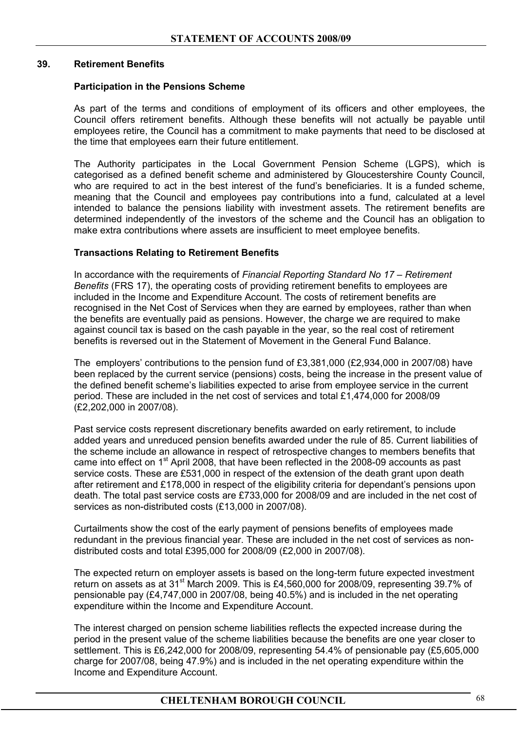# **39. Retirement Benefits**

#### **Participation in the Pensions Scheme**

 As part of the terms and conditions of employment of its officers and other employees, the Council offers retirement benefits. Although these benefits will not actually be payable until employees retire, the Council has a commitment to make payments that need to be disclosed at the time that employees earn their future entitlement.

 The Authority participates in the Local Government Pension Scheme (LGPS), which is categorised as a defined benefit scheme and administered by Gloucestershire County Council, who are required to act in the best interest of the fund's beneficiaries. It is a funded scheme, meaning that the Council and employees pay contributions into a fund, calculated at a level intended to balance the pensions liability with investment assets. The retirement benefits are determined independently of the investors of the scheme and the Council has an obligation to make extra contributions where assets are insufficient to meet employee benefits.

# **Transactions Relating to Retirement Benefits**

In accordance with the requirements of *Financial Reporting Standard No 17 – Retirement Benefits* (FRS 17), the operating costs of providing retirement benefits to employees are included in the Income and Expenditure Account. The costs of retirement benefits are recognised in the Net Cost of Services when they are earned by employees, rather than when the benefits are eventually paid as pensions. However, the charge we are required to make against council tax is based on the cash payable in the year, so the real cost of retirement benefits is reversed out in the Statement of Movement in the General Fund Balance.

The employers' contributions to the pension fund of £3,381,000 (£2,934,000 in 2007/08) have been replaced by the current service (pensions) costs, being the increase in the present value of the defined benefit scheme's liabilities expected to arise from employee service in the current period. These are included in the net cost of services and total £1,474,000 for 2008/09 (£2,202,000 in 2007/08).

Past service costs represent discretionary benefits awarded on early retirement, to include added years and unreduced pension benefits awarded under the rule of 85. Current liabilities of the scheme include an allowance in respect of retrospective changes to members benefits that came into effect on 1<sup>st</sup> April 2008, that have been reflected in the 2008-09 accounts as past service costs. These are £531,000 in respect of the extension of the death grant upon death after retirement and £178,000 in respect of the eligibility criteria for dependant's pensions upon death. The total past service costs are £733,000 for 2008/09 and are included in the net cost of services as non-distributed costs (£13,000 in 2007/08).

Curtailments show the cost of the early payment of pensions benefits of employees made redundant in the previous financial year. These are included in the net cost of services as nondistributed costs and total £395,000 for 2008/09 (£2,000 in 2007/08).

The expected return on employer assets is based on the long-term future expected investment return on assets as at 31<sup>st</sup> March 2009. This is £4,560,000 for 2008/09, representing 39.7% of pensionable pay (£4,747,000 in 2007/08, being 40.5%) and is included in the net operating expenditure within the Income and Expenditure Account.

The interest charged on pension scheme liabilities reflects the expected increase during the period in the present value of the scheme liabilities because the benefits are one year closer to settlement. This is £6,242,000 for 2008/09, representing 54.4% of pensionable pay (£5,605,000 charge for 2007/08, being 47.9%) and is included in the net operating expenditure within the Income and Expenditure Account.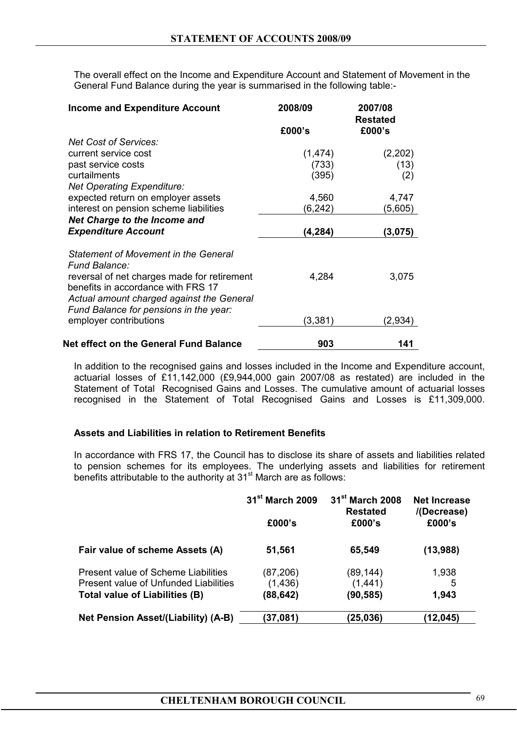The overall effect on the Income and Expenditure Account and Statement of Movement in the General Fund Balance during the year is summarised in the following table:-

| <b>Income and Expenditure Account</b>                        | 2008/09  | 2007/08<br><b>Restated</b> |
|--------------------------------------------------------------|----------|----------------------------|
|                                                              | £000's   | £000's                     |
| <b>Net Cost of Services:</b>                                 |          |                            |
| current service cost                                         | (1, 474) | (2,202)                    |
| past service costs                                           | (733)    | (13)                       |
| curtailments                                                 | (395)    | (2)                        |
| <b>Net Operating Expenditure:</b>                            |          |                            |
| expected return on employer assets                           | 4,560    | 4,747                      |
| interest on pension scheme liabilities                       | (6,242)  | (5,605)                    |
| <b>Net Charge to the Income and</b>                          |          |                            |
| <b>Expenditure Account</b>                                   | (4, 284) | (3,075)                    |
|                                                              |          |                            |
| Statement of Movement in the General<br><b>Fund Balance:</b> |          |                            |
| reversal of net charges made for retirement                  | 4,284    | 3,075                      |
| benefits in accordance with FRS 17                           |          |                            |
| Actual amount charged against the General                    |          |                            |
| Fund Balance for pensions in the year:                       |          |                            |
| employer contributions                                       | (3,381)  | (2,934)                    |
|                                                              |          |                            |
| <b>Net effect on the General Fund Balance</b>                | 903      | 141                        |

 In addition to the recognised gains and losses included in the Income and Expenditure account, actuarial losses of £11,142,000 (£9,944,000 gain 2007/08 as restated) are included in the Statement of Total Recognised Gains and Losses. The cumulative amount of actuarial losses recognised in the Statement of Total Recognised Gains and Losses is £11,309,000.

#### **Assets and Liabilities in relation to Retirement Benefits**

In accordance with FRS 17, the Council has to disclose its share of assets and liabilities related to pension schemes for its employees. The underlying assets and liabilities for retirement benefits attributable to the authority at  $31<sup>st</sup>$  March are as follows:

|                                       | 31 <sup>st</sup> March 2009 | 31 <sup>st</sup> March 2008<br><b>Restated</b> | <b>Net Increase</b><br>/(Decrease) |  |
|---------------------------------------|-----------------------------|------------------------------------------------|------------------------------------|--|
|                                       | £000's                      | £000's                                         | £000's                             |  |
| Fair value of scheme Assets (A)       | 51,561                      | 65,549                                         | (13,988)                           |  |
| Present value of Scheme Liabilities   | (87, 206)                   | (89, 144)                                      | 1,938                              |  |
| Present value of Unfunded Liabilities | (1,436)                     | (1,441)                                        | 5                                  |  |
| Total value of Liabilities (B)        | (88,642)                    | (90, 585)                                      | 1,943                              |  |
| Net Pension Asset/(Liability) (A-B)   | (37,081)                    | (25,036)                                       | (12,045)                           |  |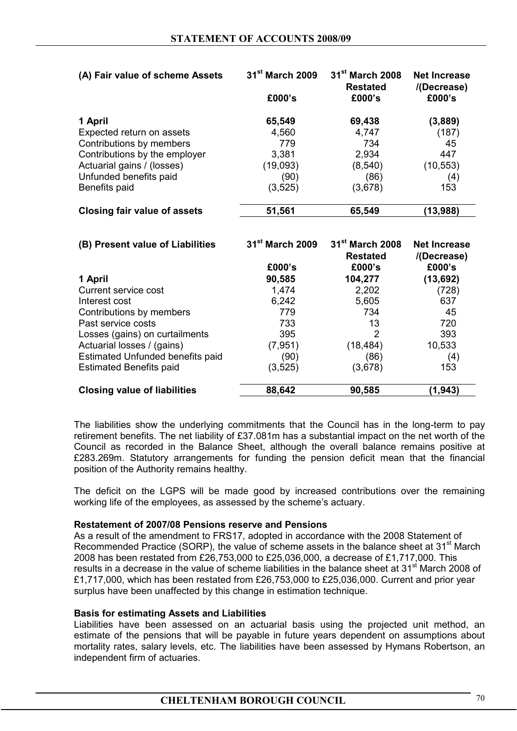| (A) Fair value of scheme Assets                                                                                                                                            | $31st$ March 2009<br>£000's                                     | 31 <sup>st</sup> March 2008<br><b>Restated</b><br>£000's       | <b>Net Increase</b><br>/(Decrease)<br>£000's             |
|----------------------------------------------------------------------------------------------------------------------------------------------------------------------------|-----------------------------------------------------------------|----------------------------------------------------------------|----------------------------------------------------------|
| 1 April<br>Expected return on assets<br>Contributions by members<br>Contributions by the employer<br>Actuarial gains / (losses)<br>Unfunded benefits paid<br>Benefits paid | 65,549<br>4,560<br>779<br>3,381<br>(19,093)<br>(90)<br>(3, 525) | 69,438<br>4,747<br>734<br>2,934<br>(8, 540)<br>(86)<br>(3,678) | (3,889)<br>(187)<br>45<br>447<br>(10, 553)<br>(4)<br>153 |
| <b>Closing fair value of assets</b>                                                                                                                                        | 51,561                                                          | 65,549                                                         | (13,988)                                                 |
|                                                                                                                                                                            |                                                                 |                                                                |                                                          |
| (B) Present value of Liabilities                                                                                                                                           | $31st$ March 2009<br>£000's                                     | 31 <sup>st</sup> March 2008<br><b>Restated</b><br>£000's       | <b>Net Increase</b><br>/(Decrease)<br>£000's             |
| 1 April<br>Current service cost                                                                                                                                            | 90,585<br>1,474                                                 | 104,277<br>2,202                                               | (13, 692)<br>(728)                                       |

**Closing value of liabilities 88,642 90,585 (1,943)** 

The liabilities show the underlying commitments that the Council has in the long-term to pay retirement benefits. The net liability of £37.081m has a substantial impact on the net worth of the Council as recorded in the Balance Sheet, although the overall balance remains positive at £283.269m. Statutory arrangements for funding the pension deficit mean that the financial position of the Authority remains healthy.

 The deficit on the LGPS will be made good by increased contributions over the remaining working life of the employees, as assessed by the scheme's actuary.

#### **Restatement of 2007/08 Pensions reserve and Pensions**

As a result of the amendment to FRS17, adopted in accordance with the 2008 Statement of Recommended Practice (SORP), the value of scheme assets in the balance sheet at  $31<sup>st</sup>$  March 2008 has been restated from £26,753,000 to £25,036,000, a decrease of £1,717,000. This results in a decrease in the value of scheme liabilities in the balance sheet at 31<sup>st</sup> March 2008 of £1,717,000, which has been restated from £26,753,000 to £25,036,000. Current and prior year surplus have been unaffected by this change in estimation technique.

#### **Basis for estimating Assets and Liabilities**

 Liabilities have been assessed on an actuarial basis using the projected unit method, an estimate of the pensions that will be payable in future years dependent on assumptions about mortality rates, salary levels, etc. The liabilities have been assessed by Hymans Robertson, an independent firm of actuaries.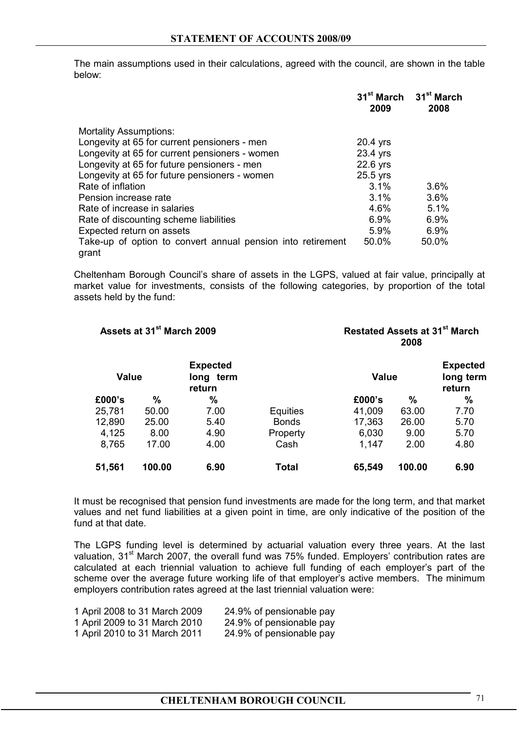The main assumptions used in their calculations, agreed with the council, are shown in the table below:

|                                                                      | 2009     | 31 <sup>st</sup> March 31 <sup>st</sup> March<br>2008 |
|----------------------------------------------------------------------|----------|-------------------------------------------------------|
| <b>Mortality Assumptions:</b>                                        |          |                                                       |
| Longevity at 65 for current pensioners - men                         | 20.4 yrs |                                                       |
| Longevity at 65 for current pensioners - women                       | 23.4 yrs |                                                       |
| Longevity at 65 for future pensioners - men                          | 22.6 yrs |                                                       |
| Longevity at 65 for future pensioners - women                        | 25.5 yrs |                                                       |
| Rate of inflation                                                    | 3.1%     | $3.6\%$                                               |
| Pension increase rate                                                | 3.1%     | 3.6%                                                  |
| Rate of increase in salaries                                         | 4.6%     | 5.1%                                                  |
| Rate of discounting scheme liabilities                               | 6.9%     | 6.9%                                                  |
| Expected return on assets                                            | 5.9%     | $6.9\%$                                               |
| Take-up of option to convert annual pension into retirement<br>grant | 50.0%    | 50.0%                                                 |

Cheltenham Borough Council's share of assets in the LGPS, valued at fair value, principally at market value for investments, consists of the following categories, by proportion of the total assets held by the fund:

| Assets at 31 <sup>st</sup> March 2009 |        |                                        | <b>Restated Assets at 31st March</b><br>2008 |              |        |                                        |
|---------------------------------------|--------|----------------------------------------|----------------------------------------------|--------------|--------|----------------------------------------|
| <b>Value</b>                          |        | <b>Expected</b><br>long term<br>return |                                              | <b>Value</b> |        | <b>Expected</b><br>long term<br>return |
| £000's                                | %      | %                                      |                                              | £000's       | %      | %                                      |
| 25,781                                | 50.00  | 7.00                                   | <b>Equities</b>                              | 41,009       | 63.00  | 7.70                                   |
| 12,890                                | 25.00  | 5.40                                   | <b>Bonds</b>                                 | 17,363       | 26.00  | 5.70                                   |
| 4,125                                 | 8.00   | 4.90                                   | Property                                     | 6,030        | 9.00   | 5.70                                   |
| 8,765                                 | 17.00  | 4.00                                   | Cash                                         | 1,147        | 2.00   | 4.80                                   |
| 51,561                                | 100.00 | 6.90                                   | Total                                        | 65,549       | 100.00 | 6.90                                   |

It must be recognised that pension fund investments are made for the long term, and that market values and net fund liabilities at a given point in time, are only indicative of the position of the fund at that date.

 The LGPS funding level is determined by actuarial valuation every three years. At the last valuation, 31<sup>st</sup> March 2007, the overall fund was 75% funded. Employers' contribution rates are calculated at each triennial valuation to achieve full funding of each employer's part of the scheme over the average future working life of that employer's active members. The minimum employers contribution rates agreed at the last triennial valuation were:

| 1 April 2008 to 31 March 2009 | 24.9% of pensionable pay |
|-------------------------------|--------------------------|
| 1 April 2009 to 31 March 2010 | 24.9% of pensionable pay |
| 1 April 2010 to 31 March 2011 | 24.9% of pensionable pay |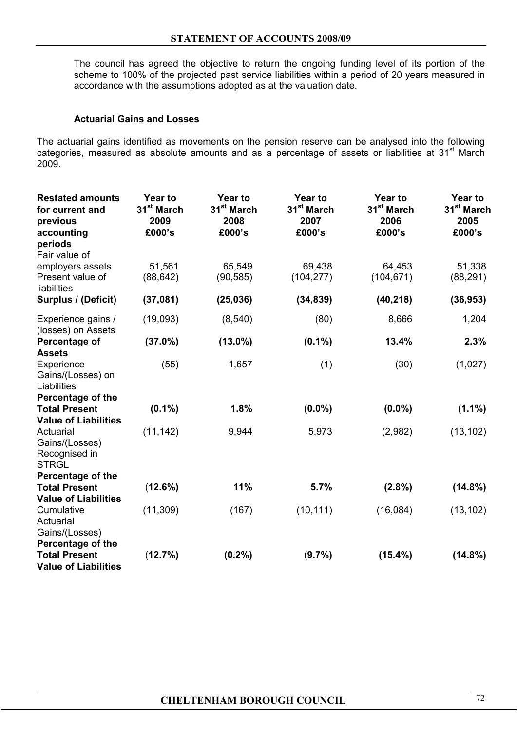The council has agreed the objective to return the ongoing funding level of its portion of the scheme to 100% of the projected past service liabilities within a period of 20 years measured in accordance with the assumptions adopted as at the valuation date.

#### **Actuarial Gains and Losses**

The actuarial gains identified as movements on the pension reserve can be analysed into the following categories, measured as absolute amounts and as a percentage of assets or liabilities at 31<sup>st</sup> March 2009.

| <b>Restated amounts</b><br>for current and<br>previous<br>accounting     | <b>Year to</b><br>31 <sup>st</sup> March<br>2009<br>£000's | <b>Year to</b><br>31 <sup>st</sup> March<br>2008<br>£000's | <b>Year to</b><br>31 <sup>st</sup> March<br>2007<br>£000's | <b>Year to</b><br>31 <sup>st</sup> March<br>2006<br>£000's | <b>Year to</b><br>31 <sup>st</sup> March<br>2005<br>£000's |
|--------------------------------------------------------------------------|------------------------------------------------------------|------------------------------------------------------------|------------------------------------------------------------|------------------------------------------------------------|------------------------------------------------------------|
| periods<br>Fair value of                                                 |                                                            |                                                            |                                                            |                                                            |                                                            |
| employers assets<br>Present value of<br>liabilities                      | 51,561<br>(88, 642)                                        | 65,549<br>(90, 585)                                        | 69,438<br>(104, 277)                                       | 64,453<br>(104, 671)                                       | 51,338<br>(88, 291)                                        |
| Surplus / (Deficit)                                                      | (37,081)                                                   | (25, 036)                                                  | (34, 839)                                                  | (40, 218)                                                  | (36, 953)                                                  |
| Experience gains /<br>(losses) on Assets                                 | (19,093)                                                   | (8, 540)                                                   | (80)                                                       | 8,666                                                      | 1,204                                                      |
| Percentage of<br><b>Assets</b>                                           | $(37.0\%)$                                                 | $(13.0\%)$                                                 | $(0.1\%)$                                                  | 13.4%                                                      | 2.3%                                                       |
| Experience<br>Gains/(Losses) on<br>Liabilities                           | (55)                                                       | 1,657                                                      | (1)                                                        | (30)                                                       | (1,027)                                                    |
| Percentage of the<br><b>Total Present</b><br><b>Value of Liabilities</b> | $(0.1\%)$                                                  | 1.8%                                                       | $(0.0\%)$                                                  | $(0.0\%)$                                                  | $(1.1\%)$                                                  |
| Actuarial<br>Gains/(Losses)<br>Recognised in<br><b>STRGL</b>             | (11, 142)                                                  | 9,944                                                      | 5,973                                                      | (2,982)                                                    | (13, 102)                                                  |
| <b>Percentage of the</b>                                                 |                                                            |                                                            |                                                            |                                                            |                                                            |
| <b>Total Present</b>                                                     | (12.6%)                                                    | 11%                                                        | 5.7%                                                       | (2.8%)                                                     | $(14.8\%)$                                                 |
| <b>Value of Liabilities</b><br>Cumulative<br>Actuarial<br>Gains/(Losses) | (11, 309)                                                  | (167)                                                      | (10, 111)                                                  | (16,084)                                                   | (13, 102)                                                  |
| Percentage of the<br><b>Total Present</b><br><b>Value of Liabilities</b> | (12.7%)                                                    | (0.2%                                                      | (9.7%)                                                     | $(15.4\%)$                                                 | $(14.8\%)$                                                 |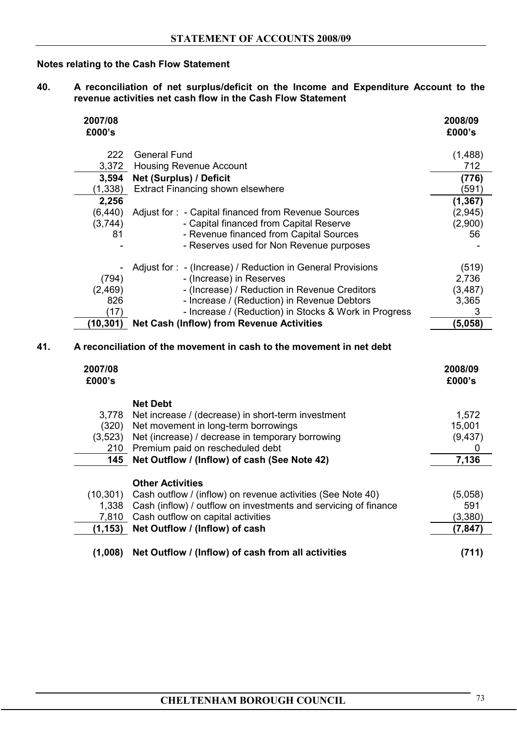# **Notes relating to the Cash Flow Statement**

**40. A reconciliation of net surplus/deficit on the Income and Expenditure Account to the revenue activities net cash flow in the Cash Flow Statement**

| 2007/08<br>£000's |                                                             | 2008/09<br>£000's |
|-------------------|-------------------------------------------------------------|-------------------|
| 222               | <b>General Fund</b>                                         | (1,488)           |
| 3,372             | <b>Housing Revenue Account</b>                              | 712               |
| 3,594             | Net (Surplus) / Deficit                                     | (776)             |
| (1, 338)          | <b>Extract Financing shown elsewhere</b>                    | (591)             |
| 2,256             |                                                             | (1, 367)          |
| (6, 440)          | Adjust for: - Capital financed from Revenue Sources         | (2, 945)          |
| (3,744)           | - Capital financed from Capital Reserve                     | (2,900)           |
| 81                | - Revenue financed from Capital Sources                     | 56                |
|                   | - Reserves used for Non Revenue purposes                    |                   |
|                   | Adjust for : - (Increase) / Reduction in General Provisions | (519)             |
| (794)             | - (Increase) in Reserves                                    | 2,736             |
| (2,469)           | - (Increase) / Reduction in Revenue Creditors               | (3, 487)          |
| 826               | - Increase / (Reduction) in Revenue Debtors                 | 3,365             |
| (17)              | - Increase / (Reduction) in Stocks & Work in Progress       | 3                 |
| (10,301)          | <b>Net Cash (Inflow) from Revenue Activities</b>            | (5,058)           |

| 2007/08<br>£000's |                                                                 | 2008/09<br>£000's |
|-------------------|-----------------------------------------------------------------|-------------------|
|                   | <b>Net Debt</b>                                                 |                   |
| 3,778             | Net increase / (decrease) in short-term investment              | 1,572             |
| (320)             | Net movement in long-term borrowings                            | 15,001            |
| (3,523)           | Net (increase) / decrease in temporary borrowing                | (9, 437)          |
| 210               | Premium paid on rescheduled debt                                |                   |
| 145               | Net Outflow / (Inflow) of cash (See Note 42)                    | 7,136             |
|                   | <b>Other Activities</b>                                         |                   |
| (10, 301)         | Cash outflow / (inflow) on revenue activities (See Note 40)     | (5,058)           |
| 1,338             | Cash (inflow) / outflow on investments and servicing of finance | 591               |
| 7,810             | Cash outflow on capital activities                              | (3,380)           |
| (1, 153)          | Net Outflow / (Inflow) of cash                                  | (7,847)           |
| (1,008)           | Net Outflow / (Inflow) of cash from all activities              | (711)             |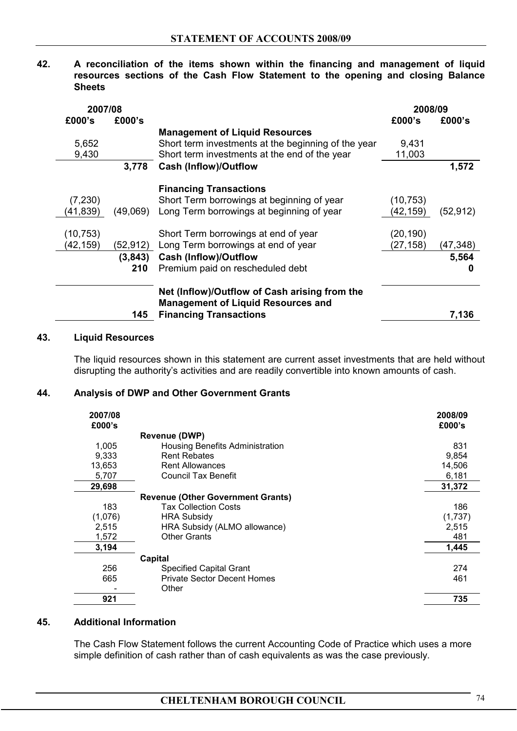**42. A reconciliation of the items shown within the financing and management of liquid resources sections of the Cash Flow Statement to the opening and closing Balance Sheets** 

| 2007/08   |          |                                                                                                                             | 2008/09   |           |
|-----------|----------|-----------------------------------------------------------------------------------------------------------------------------|-----------|-----------|
| £000's    | £000's   |                                                                                                                             | £000's    | £000's    |
|           |          | <b>Management of Liquid Resources</b>                                                                                       |           |           |
| 5,652     |          | Short term investments at the beginning of the year                                                                         | 9,431     |           |
| 9,430     |          | Short term investments at the end of the year                                                                               | 11,003    |           |
|           | 3,778    | <b>Cash (Inflow)/Outflow</b>                                                                                                |           | 1,572     |
|           |          | <b>Financing Transactions</b>                                                                                               |           |           |
| (7, 230)  |          | Short Term borrowings at beginning of year                                                                                  | (10,753)  |           |
| (41, 839) | (49,069) | Long Term borrowings at beginning of year                                                                                   | (42,159)  | (52, 912) |
| (10, 753) |          | Short Term borrowings at end of year                                                                                        | (20, 190) |           |
| (42, 159) | (52,912) | Long Term borrowings at end of year                                                                                         | (27, 158) | (47, 348) |
|           | (3, 843) | <b>Cash (Inflow)/Outflow</b>                                                                                                |           | 5,564     |
|           | 210      | Premium paid on rescheduled debt                                                                                            |           |           |
|           | 145      | Net (Inflow)/Outflow of Cash arising from the<br><b>Management of Liquid Resources and</b><br><b>Financing Transactions</b> |           | 7,136     |
|           |          |                                                                                                                             |           |           |

#### **43. Liquid Resources**

The liquid resources shown in this statement are current asset investments that are held without disrupting the authority's activities and are readily convertible into known amounts of cash.

#### **44. Analysis of DWP and Other Government Grants**

| 2007/08<br>£000's |                                          | 2008/09<br>£000's |
|-------------------|------------------------------------------|-------------------|
|                   | <b>Revenue (DWP)</b>                     |                   |
| 1,005             | Housing Benefits Administration          | 831               |
| 9,333             | <b>Rent Rebates</b>                      | 9,854             |
| 13,653            | <b>Rent Allowances</b>                   | 14,506            |
| 5,707             | Council Tax Benefit                      | 6,181             |
| 29,698            |                                          | 31,372            |
|                   | <b>Revenue (Other Government Grants)</b> |                   |
| 183               | <b>Tax Collection Costs</b>              | 186               |
| (1,076)           | <b>HRA Subsidy</b>                       | (1,737)           |
| 2,515             | HRA Subsidy (ALMO allowance)             | 2,515             |
| 1,572             | <b>Other Grants</b>                      | 481               |
| 3,194             |                                          | 1,445             |
|                   | Capital                                  |                   |
| 256               | <b>Specified Capital Grant</b>           | 274               |
| 665               | <b>Private Sector Decent Homes</b>       | 461               |
|                   | Other                                    |                   |
| 921               |                                          | 735               |
|                   |                                          |                   |

#### **45. Additional Information**

The Cash Flow Statement follows the current Accounting Code of Practice which uses a more simple definition of cash rather than of cash equivalents as was the case previously.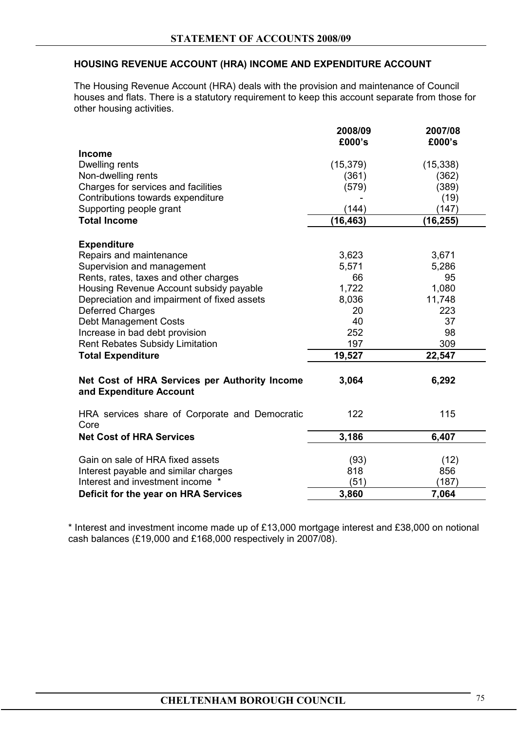# **HOUSING REVENUE ACCOUNT (HRA) INCOME AND EXPENDITURE ACCOUNT**

 The Housing Revenue Account (HRA) deals with the provision and maintenance of Council houses and flats. There is a statutory requirement to keep this account separate from those for other housing activities.

|                                                                          | 2008/09<br>£000's | 2007/08<br>£000's |
|--------------------------------------------------------------------------|-------------------|-------------------|
|                                                                          |                   |                   |
| <b>Income</b>                                                            | (15, 379)         |                   |
| Dwelling rents                                                           |                   | (15, 338)         |
| Non-dwelling rents                                                       | (361)             | (362)             |
| Charges for services and facilities                                      | (579)             | (389)             |
| Contributions towards expenditure                                        |                   | (19)              |
| Supporting people grant                                                  | (144)             | (147)             |
| <b>Total Income</b>                                                      | (16, 463)         | (16, 255)         |
| <b>Expenditure</b>                                                       |                   |                   |
| Repairs and maintenance                                                  | 3,623             | 3,671             |
| Supervision and management                                               | 5,571             | 5,286             |
| Rents, rates, taxes and other charges                                    | 66                | 95                |
| Housing Revenue Account subsidy payable                                  | 1,722             | 1,080             |
| Depreciation and impairment of fixed assets                              | 8,036             | 11,748            |
| <b>Deferred Charges</b>                                                  | 20                | 223               |
| <b>Debt Management Costs</b>                                             | 40                | 37                |
| Increase in bad debt provision                                           | 252               | 98                |
| <b>Rent Rebates Subsidy Limitation</b>                                   | 197               | 309               |
| <b>Total Expenditure</b>                                                 | 19,527            | 22,547            |
|                                                                          |                   |                   |
| Net Cost of HRA Services per Authority Income<br>and Expenditure Account | 3,064             | 6,292             |
| HRA services share of Corporate and Democratic<br>Core                   | 122               | 115               |
| <b>Net Cost of HRA Services</b>                                          | 3,186             | 6,407             |
|                                                                          |                   |                   |
| Gain on sale of HRA fixed assets                                         | (93)              | (12)              |
| Interest payable and similar charges                                     | 818               | 856               |
| Interest and investment income *                                         | (51)              | (187)             |
| Deficit for the year on HRA Services                                     | 3,860             | 7,064             |

 \* Interest and investment income made up of £13,000 mortgage interest and £38,000 on notional cash balances (£19,000 and £168,000 respectively in 2007/08).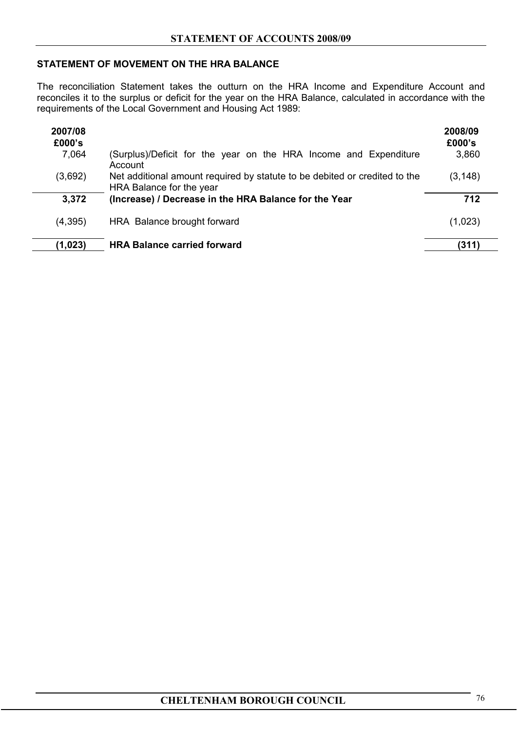# **STATEMENT OF MOVEMENT ON THE HRA BALANCE**

The reconciliation Statement takes the outturn on the HRA Income and Expenditure Account and reconciles it to the surplus or deficit for the year on the HRA Balance, calculated in accordance with the requirements of the Local Government and Housing Act 1989:

| 2007/08<br>£000's<br>7,064 | (Surplus)/Deficit for the year on the HRA Income and Expenditure<br>Account                            | 2008/09<br>£000's<br>3,860 |
|----------------------------|--------------------------------------------------------------------------------------------------------|----------------------------|
| (3,692)                    | Net additional amount required by statute to be debited or credited to the<br>HRA Balance for the year | (3, 148)                   |
| 3,372                      | (Increase) / Decrease in the HRA Balance for the Year                                                  | 712                        |
| (4,395)                    | HRA Balance brought forward                                                                            | (1,023)                    |
| (1, 023)                   | <b>HRA Balance carried forward</b>                                                                     | (311)                      |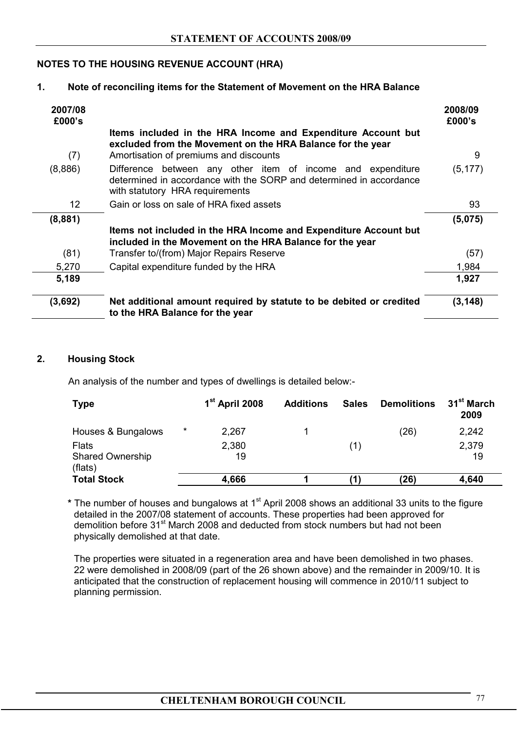# **NOTES TO THE HOUSING REVENUE ACCOUNT (HRA)**

# **1. Note of reconciling items for the Statement of Movement on the HRA Balance**

| 2007/08<br>£000's |                                                                                                                                                                       | 2008/09<br>£000's |
|-------------------|-----------------------------------------------------------------------------------------------------------------------------------------------------------------------|-------------------|
|                   | Items included in the HRA Income and Expenditure Account but<br>excluded from the Movement on the HRA Balance for the year                                            |                   |
| (7)               | Amortisation of premiums and discounts                                                                                                                                | 9                 |
| (8,886)           | Difference between any other item of income and expenditure<br>determined in accordance with the SORP and determined in accordance<br>with statutory HRA requirements | (5, 177)          |
| 12                | Gain or loss on sale of HRA fixed assets                                                                                                                              | 93                |
| (8,881)           |                                                                                                                                                                       | (5,075)           |
|                   | Items not included in the HRA Income and Expenditure Account but<br>included in the Movement on the HRA Balance for the year                                          |                   |
| (81)              | Transfer to/(from) Major Repairs Reserve                                                                                                                              | (57)              |
| 5,270             | Capital expenditure funded by the HRA                                                                                                                                 | 1,984             |
| 5,189             |                                                                                                                                                                       | 1,927             |
| (3,692)           | Net additional amount required by statute to be debited or credited<br>to the HRA Balance for the year                                                                | (3, 148)          |

# **2. Housing Stock**

An analysis of the number and types of dwellings is detailed below:-

| <b>Type</b>                        |         | 1 <sup>st</sup> April 2008 | <b>Additions</b> | <b>Sales</b> | <b>Demolitions</b> | 31 <sup>st</sup> March<br>2009 |
|------------------------------------|---------|----------------------------|------------------|--------------|--------------------|--------------------------------|
| Houses & Bungalows                 | $\star$ | 2,267                      |                  |              | (26)               | 2,242                          |
| <b>Flats</b>                       |         | 2,380                      |                  | (1)          |                    | 2,379                          |
| <b>Shared Ownership</b><br>(flats) |         | 19                         |                  |              |                    | 19                             |
| <b>Total Stock</b>                 |         | 4,666                      |                  |              | (26)               | 4,640                          |

\* The number of houses and bungalows at 1<sup>st</sup> April 2008 shows an additional 33 units to the figure detailed in the 2007/08 statement of accounts. These properties had been approved for demolition before 31<sup>st</sup> March 2008 and deducted from stock numbers but had not been physically demolished at that date.

The properties were situated in a regeneration area and have been demolished in two phases. 22 were demolished in 2008/09 (part of the 26 shown above) and the remainder in 2009/10. It is anticipated that the construction of replacement housing will commence in 2010/11 subject to planning permission.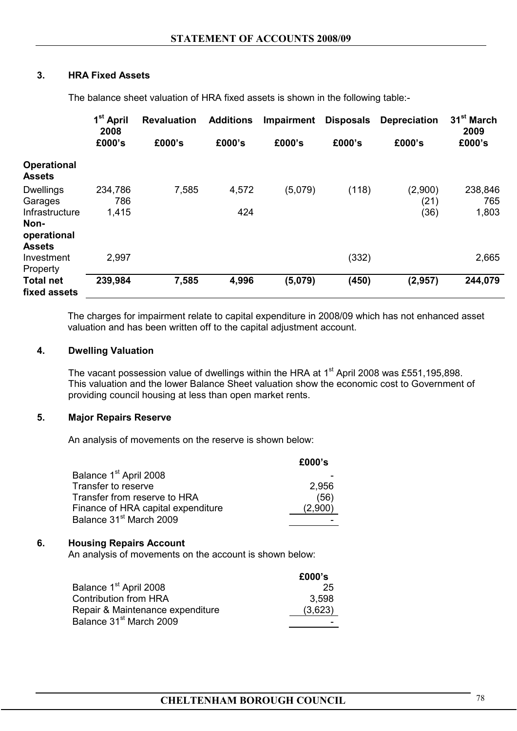# **3. HRA Fixed Assets**

The balance sheet valuation of HRA fixed assets is shown in the following table:-

|                                                        | 1 <sup>st</sup> April<br>2008 | <b>Revaluation</b> | <b>Additions</b> | <b>Impairment</b> | <b>Disposals</b> | <b>Depreciation</b> | 31 <sup>st</sup> March<br>2009 |
|--------------------------------------------------------|-------------------------------|--------------------|------------------|-------------------|------------------|---------------------|--------------------------------|
|                                                        | £000's                        | £000's             | £000's           | £000's            | £000's           | £000's              | £000's                         |
| <b>Operational</b><br><b>Assets</b>                    |                               |                    |                  |                   |                  |                     |                                |
| <b>Dwellings</b><br>Garages                            | 234,786<br>786                | 7,585              | 4,572            | (5,079)           | (118)            | (2,900)<br>(21)     | 238,846<br>765                 |
| Infrastructure<br>Non-<br>operational<br><b>Assets</b> | 1,415                         |                    | 424              |                   |                  | (36)                | 1,803                          |
| Investment<br>Property                                 | 2,997                         |                    |                  |                   | (332)            |                     | 2,665                          |
| <b>Total net</b><br>fixed assets                       | 239,984                       | 7,585              | 4,996            | (5,079)           | (450)            | (2,957)             | 244,079                        |

The charges for impairment relate to capital expenditure in 2008/09 which has not enhanced asset valuation and has been written off to the capital adjustment account.

#### **4. Dwelling Valuation**

The vacant possession value of dwellings within the HRA at 1<sup>st</sup> April 2008 was £551,195,898. This valuation and the lower Balance Sheet valuation show the economic cost to Government of providing council housing at less than open market rents.

#### **5. Major Repairs Reserve**

An analysis of movements on the reserve is shown below:

|                                     | £000's  |
|-------------------------------------|---------|
| Balance 1 <sup>st</sup> April 2008  |         |
| Transfer to reserve                 | 2,956   |
| Transfer from reserve to HRA        | (56)    |
| Finance of HRA capital expenditure  | (2,900) |
| Balance 31 <sup>st</sup> March 2009 |         |
|                                     |         |

#### **6. Housing Repairs Account**

An analysis of movements on the account is shown below:

|                                     | £000's  |
|-------------------------------------|---------|
| Balance 1 <sup>st</sup> April 2008  | 25      |
| <b>Contribution from HRA</b>        | 3.598   |
| Repair & Maintenance expenditure    | (3,623) |
| Balance 31 <sup>st</sup> March 2009 |         |
|                                     |         |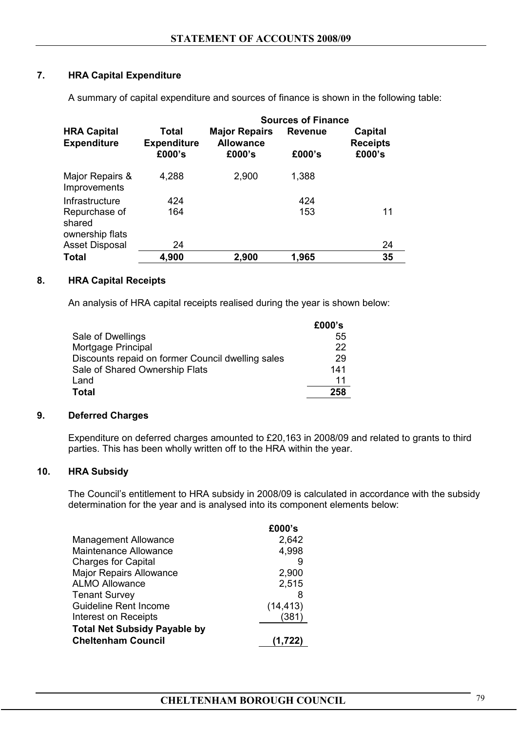# **7. HRA Capital Expenditure**

|                                            |                                       | <b>Sources of Finance</b>                          |                          |                                      |  |
|--------------------------------------------|---------------------------------------|----------------------------------------------------|--------------------------|--------------------------------------|--|
| <b>HRA Capital</b><br><b>Expenditure</b>   | Total<br><b>Expenditure</b><br>£000's | <b>Major Repairs</b><br><b>Allowance</b><br>£000's | <b>Revenue</b><br>£000's | Capital<br><b>Receipts</b><br>£000's |  |
| Major Repairs &<br>Improvements            | 4,288                                 | 2,900                                              | 1,388                    |                                      |  |
| Infrastructure                             | 424                                   |                                                    | 424                      |                                      |  |
| Repurchase of<br>shared<br>ownership flats | 164                                   |                                                    | 153                      | 11                                   |  |
| <b>Asset Disposal</b>                      | 24                                    |                                                    |                          | 24                                   |  |
| Total                                      | 4,900                                 | 2,900                                              | 1,965                    | 35                                   |  |

A summary of capital expenditure and sources of finance is shown in the following table:

#### **8. HRA Capital Receipts**

An analysis of HRA capital receipts realised during the year is shown below:

| £000's |
|--------|
| 55     |
| 22     |
| 29     |
| 141    |
| 11     |
| 258    |
|        |

#### **9. Deferred Charges**

Expenditure on deferred charges amounted to £20,163 in 2008/09 and related to grants to third parties. This has been wholly written off to the HRA within the year.

# **10. HRA Subsidy**

The Council's entitlement to HRA subsidy in 2008/09 is calculated in accordance with the subsidy determination for the year and is analysed into its component elements below:

|                                     | £000's    |
|-------------------------------------|-----------|
| <b>Management Allowance</b>         | 2,642     |
| <b>Maintenance Allowance</b>        | 4,998     |
| <b>Charges for Capital</b>          |           |
| <b>Major Repairs Allowance</b>      | 2,900     |
| <b>ALMO Allowance</b>               | 2,515     |
| <b>Tenant Survey</b>                | 8         |
| <b>Guideline Rent Income</b>        | (14, 413) |
| Interest on Receipts                | (381)     |
| <b>Total Net Subsidy Payable by</b> |           |
| <b>Cheltenham Council</b>           | (1,722)   |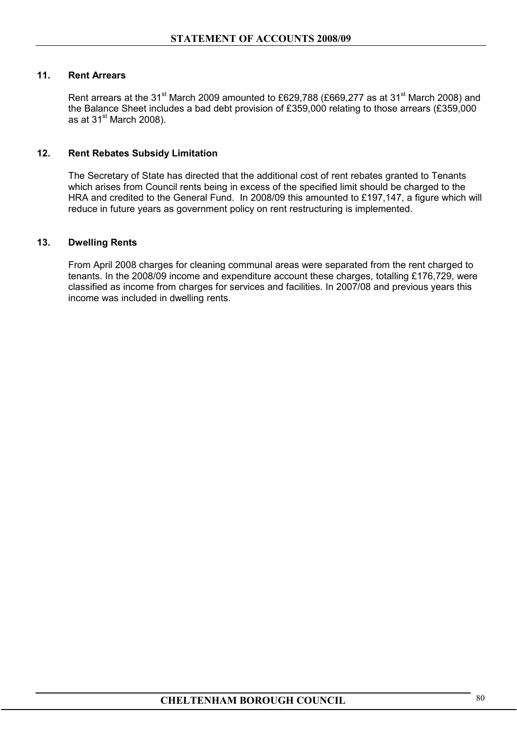#### **11. Rent Arrears**

Rent arrears at the 31<sup>st</sup> March 2009 amounted to £629,788 (£669,277 as at 31<sup>st</sup> March 2008) and the Balance Sheet includes a bad debt provision of £359,000 relating to those arrears (£359,000 as at  $31<sup>st</sup>$  March 2008).

#### **12. Rent Rebates Subsidy Limitation**

The Secretary of State has directed that the additional cost of rent rebates granted to Tenants which arises from Council rents being in excess of the specified limit should be charged to the HRA and credited to the General Fund. In 2008/09 this amounted to £197,147, a figure which will reduce in future years as government policy on rent restructuring is implemented.

#### **13. Dwelling Rents**

From April 2008 charges for cleaning communal areas were separated from the rent charged to tenants. In the 2008/09 income and expenditure account these charges, totalling £176,729, were classified as income from charges for services and facilities. In 2007/08 and previous years this income was included in dwelling rents.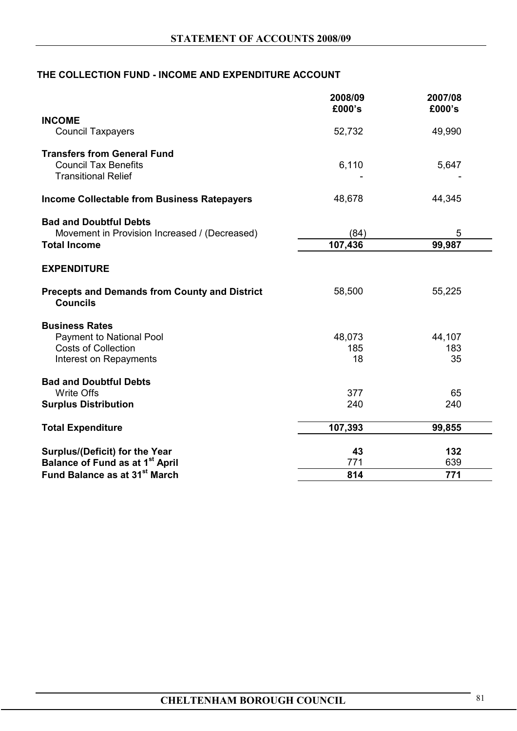# **THE COLLECTION FUND - INCOME AND EXPENDITURE ACCOUNT**

|                                                                         | 2008/09<br>£000's | 2007/08<br>£000's |
|-------------------------------------------------------------------------|-------------------|-------------------|
| <b>INCOME</b>                                                           |                   |                   |
| <b>Council Taxpayers</b>                                                | 52,732            | 49,990            |
| <b>Transfers from General Fund</b>                                      |                   |                   |
| <b>Council Tax Benefits</b>                                             | 6,110             | 5,647             |
| <b>Transitional Relief</b>                                              |                   |                   |
| <b>Income Collectable from Business Ratepayers</b>                      | 48,678            | 44,345            |
| <b>Bad and Doubtful Debts</b>                                           |                   |                   |
| Movement in Provision Increased / (Decreased)                           | (84)              | 5                 |
| <b>Total Income</b>                                                     | 107,436           | 99,987            |
| <b>EXPENDITURE</b>                                                      |                   |                   |
| <b>Precepts and Demands from County and District</b><br><b>Councils</b> | 58,500            | 55,225            |
| <b>Business Rates</b>                                                   |                   |                   |
| Payment to National Pool                                                | 48,073            | 44,107            |
| <b>Costs of Collection</b>                                              | 185               | 183               |
| Interest on Repayments                                                  | 18                | 35                |
| <b>Bad and Doubtful Debts</b>                                           |                   |                   |
| <b>Write Offs</b>                                                       | 377               | 65                |
| <b>Surplus Distribution</b>                                             | 240               | 240               |
| <b>Total Expenditure</b>                                                | 107,393           | 99,855            |
| <b>Surplus/(Deficit) for the Year</b>                                   | 43                | 132               |
| <b>Balance of Fund as at 1st April</b>                                  | 771               | 639               |
| Fund Balance as at 31 <sup>st</sup> March                               | 814               | 771               |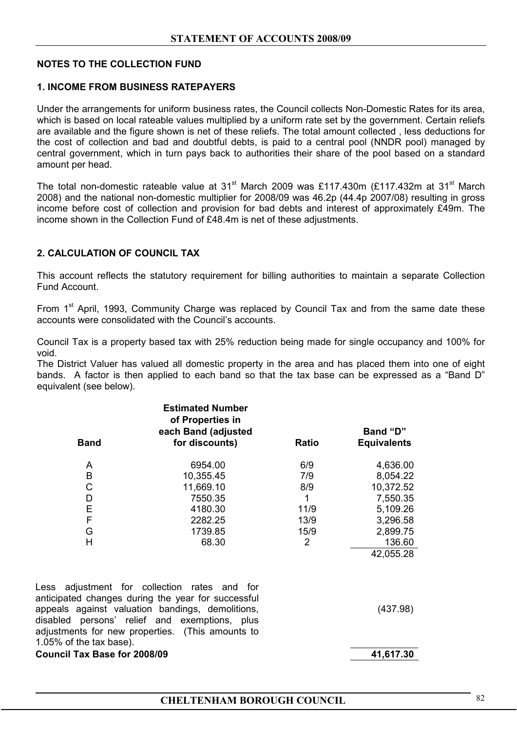# **NOTES TO THE COLLECTION FUND**

#### **1. INCOME FROM BUSINESS RATEPAYERS**

Under the arrangements for uniform business rates, the Council collects Non-Domestic Rates for its area, which is based on local rateable values multiplied by a uniform rate set by the government. Certain reliefs are available and the figure shown is net of these reliefs. The total amount collected , less deductions for the cost of collection and bad and doubtful debts, is paid to a central pool (NNDR pool) managed by central government, which in turn pays back to authorities their share of the pool based on a standard amount per head.

The total non-domestic rateable value at  $31<sup>st</sup>$  March 2009 was £117.430m (£117.432m at  $31<sup>st</sup>$  March 2008) and the national non-domestic multiplier for 2008/09 was 46.2p (44.4p 2007/08) resulting in gross income before cost of collection and provision for bad debts and interest of approximately £49m. The income shown in the Collection Fund of £48.4m is net of these adjustments.

# **2. CALCULATION OF COUNCIL TAX**

1.05% of the tax base).

This account reflects the statutory requirement for billing authorities to maintain a separate Collection Fund Account.

From 1<sup>st</sup> April, 1993, Community Charge was replaced by Council Tax and from the same date these accounts were consolidated with the Council's accounts.

Council Tax is a property based tax with 25% reduction being made for single occupancy and 100% for void.

The District Valuer has valued all domestic property in the area and has placed them into one of eight bands. A factor is then applied to each band so that the tax base can be expressed as a "Band D" equivalent (see below).

| <b>Band</b> | <b>Estimated Number</b><br>of Properties in<br>each Band (adjusted<br>for discounts)                                                                                                                    | Ratio | Band "D"<br><b>Equivalents</b> |
|-------------|---------------------------------------------------------------------------------------------------------------------------------------------------------------------------------------------------------|-------|--------------------------------|
| A           | 6954.00                                                                                                                                                                                                 | 6/9   | 4,636.00                       |
| B           | 10,355.45                                                                                                                                                                                               | 7/9   | 8,054.22                       |
| C           | 11,669.10                                                                                                                                                                                               | 8/9   | 10,372.52                      |
| D           | 7550.35                                                                                                                                                                                                 | 1     | 7,550.35                       |
| E           | 4180.30                                                                                                                                                                                                 | 11/9  | 5,109.26                       |
| F           | 2282.25                                                                                                                                                                                                 | 13/9  | 3,296.58                       |
| G           | 1739.85                                                                                                                                                                                                 | 15/9  | 2,899.75                       |
| H           | 68.30                                                                                                                                                                                                   | 2     | 136.60                         |
|             |                                                                                                                                                                                                         |       | 42,055.28                      |
|             | Less adjustment for collection rates and for<br>anticipated changes during the year for successful<br>appeals against valuation bandings, demolitions,<br>disabled persons' relief and exemptions, plus |       | (437.98)                       |
|             | adjustments for new properties. (This amounts to                                                                                                                                                        |       |                                |

**Council Tax Base for 2008/09 41,617.30**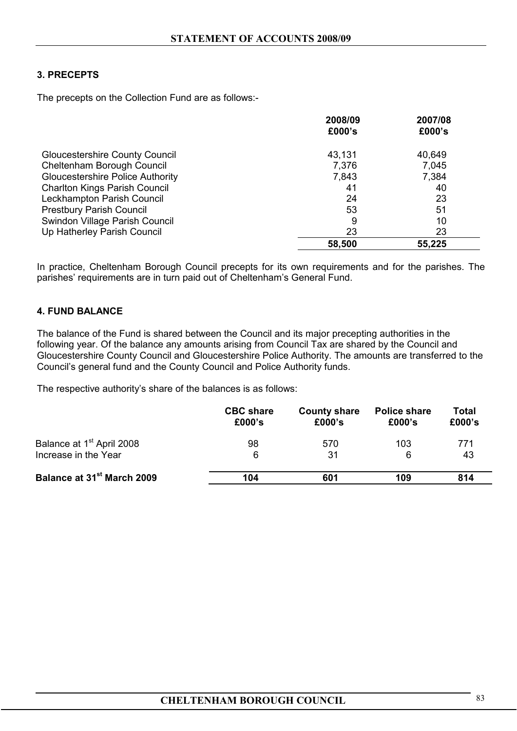# **3. PRECEPTS**

The precepts on the Collection Fund are as follows:-

|                                         | 2008/09 | 2007/08 |
|-----------------------------------------|---------|---------|
|                                         | £000's  | £000's  |
| <b>Gloucestershire County Council</b>   | 43,131  | 40,649  |
| Cheltenham Borough Council              | 7,376   | 7,045   |
| <b>Gloucestershire Police Authority</b> | 7,843   | 7,384   |
| <b>Charlton Kings Parish Council</b>    | 41      | 40      |
| Leckhampton Parish Council              | 24      | 23      |
| <b>Prestbury Parish Council</b>         | 53      | 51      |
| Swindon Village Parish Council          | 9       | 10      |
| Up Hatherley Parish Council             | 23      | 23      |
|                                         | 58,500  | 55,225  |

In practice, Cheltenham Borough Council precepts for its own requirements and for the parishes. The parishes' requirements are in turn paid out of Cheltenham's General Fund.

# **4. FUND BALANCE**

The balance of the Fund is shared between the Council and its major precepting authorities in the following year. Of the balance any amounts arising from Council Tax are shared by the Council and Gloucestershire County Council and Gloucestershire Police Authority. The amounts are transferred to the Council's general fund and the County Council and Police Authority funds.

The respective authority's share of the balances is as follows:

|                                        | <b>CBC</b> share<br>£000's | <b>County share</b><br>£000's | <b>Police share</b><br>£000's | <b>Total</b><br>£000's |
|----------------------------------------|----------------------------|-------------------------------|-------------------------------|------------------------|
| Balance at 1 <sup>st</sup> April 2008  | 98                         | 570                           | 103                           | 771                    |
| Increase in the Year                   | 6                          | 31                            | 6                             | 43                     |
| Balance at 31 <sup>st</sup> March 2009 | 104                        | 601                           | 109                           | 814                    |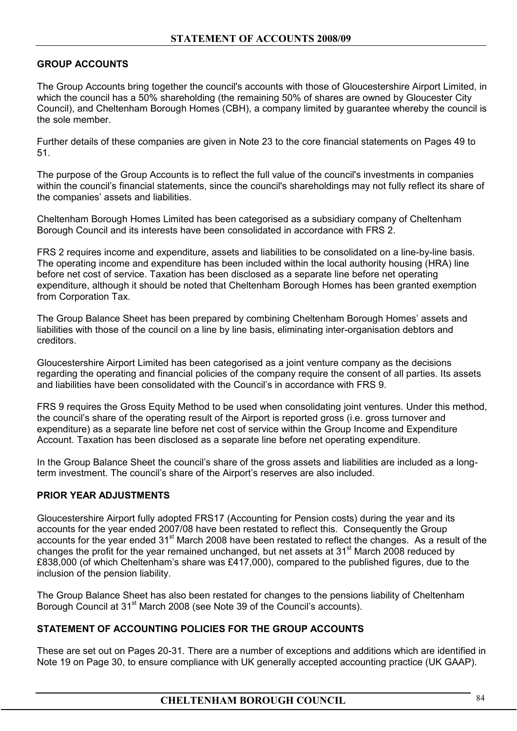# **GROUP ACCOUNTS**

The Group Accounts bring together the council's accounts with those of Gloucestershire Airport Limited, in which the council has a 50% shareholding (the remaining 50% of shares are owned by Gloucester City Council), and Cheltenham Borough Homes (CBH), a company limited by guarantee whereby the council is the sole member.

Further details of these companies are given in Note 23 to the core financial statements on Pages 49 to 51.

The purpose of the Group Accounts is to reflect the full value of the council's investments in companies within the council's financial statements, since the council's shareholdings may not fully reflect its share of the companies' assets and liabilities.

Cheltenham Borough Homes Limited has been categorised as a subsidiary company of Cheltenham Borough Council and its interests have been consolidated in accordance with FRS 2.

FRS 2 requires income and expenditure, assets and liabilities to be consolidated on a line-by-line basis. The operating income and expenditure has been included within the local authority housing (HRA) line before net cost of service. Taxation has been disclosed as a separate line before net operating expenditure, although it should be noted that Cheltenham Borough Homes has been granted exemption from Corporation Tax.

The Group Balance Sheet has been prepared by combining Cheltenham Borough Homes' assets and liabilities with those of the council on a line by line basis, eliminating inter-organisation debtors and creditors.

Gloucestershire Airport Limited has been categorised as a joint venture company as the decisions regarding the operating and financial policies of the company require the consent of all parties. Its assets and liabilities have been consolidated with the Council's in accordance with FRS 9.

FRS 9 requires the Gross Equity Method to be used when consolidating joint ventures. Under this method, the council's share of the operating result of the Airport is reported gross (i.e. gross turnover and expenditure) as a separate line before net cost of service within the Group Income and Expenditure Account. Taxation has been disclosed as a separate line before net operating expenditure.

In the Group Balance Sheet the council's share of the gross assets and liabilities are included as a longterm investment. The council's share of the Airport's reserves are also included.

# **PRIOR YEAR ADJUSTMENTS**

Gloucestershire Airport fully adopted FRS17 (Accounting for Pension costs) during the year and its accounts for the year ended 2007/08 have been restated to reflect this. Consequently the Group accounts for the year ended 31<sup>st</sup> March 2008 have been restated to reflect the changes. As a result of the changes the profit for the year remained unchanged, but net assets at 31st March 2008 reduced by £838,000 (of which Cheltenham's share was £417,000), compared to the published figures, due to the inclusion of the pension liability.

The Group Balance Sheet has also been restated for changes to the pensions liability of Cheltenham Borough Council at 31<sup>st</sup> March 2008 (see Note 39 of the Council's accounts).

# **STATEMENT OF ACCOUNTING POLICIES FOR THE GROUP ACCOUNTS**

These are set out on Pages 20-31. There are a number of exceptions and additions which are identified in Note 19 on Page 30, to ensure compliance with UK generally accepted accounting practice (UK GAAP).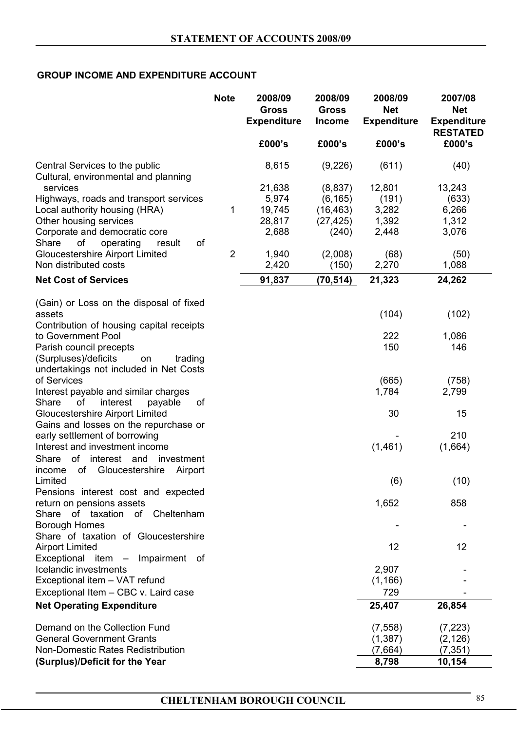# **GROUP INCOME AND EXPENDITURE ACCOUNT**

|                                                                        | <b>Note</b>    | 2008/09<br><b>Gross</b><br><b>Expenditure</b> | 2008/09<br><b>Gross</b><br><b>Income</b> | 2008/09<br><b>Net</b><br><b>Expenditure</b> | 2007/08<br><b>Net</b><br><b>Expenditure</b><br><b>RESTATED</b> |
|------------------------------------------------------------------------|----------------|-----------------------------------------------|------------------------------------------|---------------------------------------------|----------------------------------------------------------------|
|                                                                        |                | £000's                                        | £000's                                   | £000's                                      | £000's                                                         |
| Central Services to the public<br>Cultural, environmental and planning |                | 8,615                                         | (9,226)                                  | (611)                                       | (40)                                                           |
| services                                                               |                | 21,638                                        | (8,837)                                  | 12,801                                      | 13,243                                                         |
| Highways, roads and transport services                                 |                | 5,974                                         | (6, 165)                                 | (191)                                       | (633)                                                          |
| Local authority housing (HRA)                                          | 1              | 19,745                                        | (16, 463)                                | 3,282                                       | 6,266                                                          |
| Other housing services                                                 |                | 28,817                                        | (27, 425)                                | 1,392                                       | 1,312                                                          |
| Corporate and democratic core                                          |                | 2,688                                         | (240)                                    | 2,448                                       | 3,076                                                          |
| Share<br>οf<br>operating<br>οf<br>result                               |                |                                               |                                          |                                             |                                                                |
| <b>Gloucestershire Airport Limited</b>                                 | $\overline{2}$ | 1,940                                         | (2,008)                                  | (68)                                        | (50)                                                           |
| Non distributed costs                                                  |                | 2,420                                         | (150)                                    | 2,270                                       | 1,088                                                          |
| <b>Net Cost of Services</b>                                            |                | 91,837                                        | (70, 514)                                | 21,323                                      | 24,262                                                         |
| (Gain) or Loss on the disposal of fixed                                |                |                                               |                                          |                                             |                                                                |
| assets<br>Contribution of housing capital receipts                     |                |                                               |                                          | (104)                                       | (102)                                                          |
| to Government Pool                                                     |                |                                               |                                          | 222                                         | 1,086                                                          |
| Parish council precepts                                                |                |                                               |                                          | 150                                         | 146                                                            |
| (Surpluses)/deficits<br>trading<br>on                                  |                |                                               |                                          |                                             |                                                                |
| undertakings not included in Net Costs                                 |                |                                               |                                          |                                             |                                                                |
| of Services                                                            |                |                                               |                                          | (665)                                       | (758)                                                          |
| Interest payable and similar charges                                   |                |                                               |                                          | 1,784                                       | 2,799                                                          |
| of<br>interest<br>Share<br>payable<br>οf                               |                |                                               |                                          |                                             |                                                                |
| <b>Gloucestershire Airport Limited</b>                                 |                |                                               |                                          | 30                                          | 15                                                             |
| Gains and losses on the repurchase or                                  |                |                                               |                                          |                                             |                                                                |
| early settlement of borrowing                                          |                |                                               |                                          |                                             | 210                                                            |
| Interest and investment income                                         |                |                                               |                                          | (1,461)                                     | (1,664)                                                        |
| interest and<br>Share<br>of<br>investment                              |                |                                               |                                          |                                             |                                                                |
| of<br>Gloucestershire<br>Airport<br>income                             |                |                                               |                                          |                                             |                                                                |
| Limited                                                                |                |                                               |                                          | (6)                                         | (10)                                                           |
| Pensions interest cost and expected<br>return on pensions assets       |                |                                               |                                          | 1,652                                       | 858                                                            |
| Share of taxation<br>of Cheltenham                                     |                |                                               |                                          |                                             |                                                                |
| <b>Borough Homes</b>                                                   |                |                                               |                                          |                                             |                                                                |
| Share of taxation of Gloucestershire                                   |                |                                               |                                          |                                             |                                                                |
| <b>Airport Limited</b>                                                 |                |                                               |                                          | 12                                          | 12                                                             |
| Exceptional item - Impairment of                                       |                |                                               |                                          |                                             |                                                                |
| Icelandic investments                                                  |                |                                               |                                          | 2,907                                       |                                                                |
| Exceptional item - VAT refund                                          |                |                                               |                                          | (1, 166)                                    |                                                                |
| Exceptional Item - CBC v. Laird case                                   |                |                                               |                                          | 729                                         |                                                                |
| <b>Net Operating Expenditure</b>                                       |                |                                               |                                          | 25,407                                      | 26,854                                                         |
| Demand on the Collection Fund                                          |                |                                               |                                          | (7, 558)                                    | (7, 223)                                                       |
| <b>General Government Grants</b>                                       |                |                                               |                                          | (1,387)                                     | (2, 126)                                                       |
| Non-Domestic Rates Redistribution                                      |                |                                               |                                          | (7,664)                                     | (7, 351)                                                       |
| (Surplus)/Deficit for the Year                                         |                |                                               |                                          | 8,798                                       | 10,154                                                         |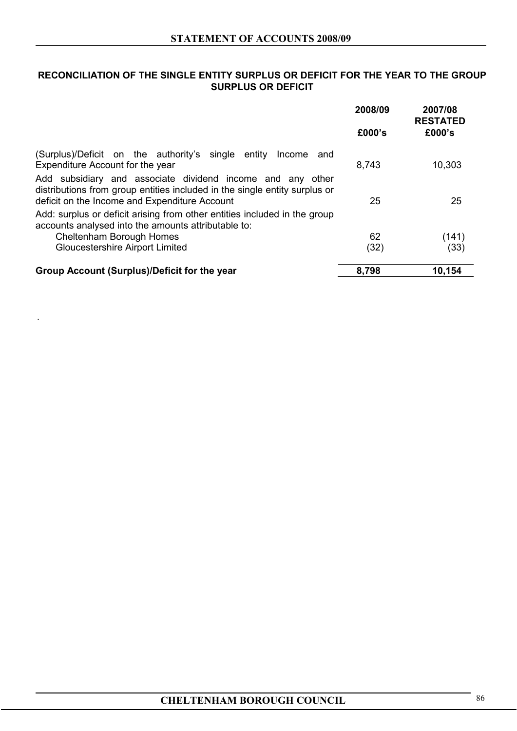# **RECONCILIATION OF THE SINGLE ENTITY SURPLUS OR DEFICIT FOR THE YEAR TO THE GROUP SURPLUS OR DEFICIT**

|                                                                                                                                                                                           | 2008/09 | 2007/08<br><b>RESTATED</b> |
|-------------------------------------------------------------------------------------------------------------------------------------------------------------------------------------------|---------|----------------------------|
|                                                                                                                                                                                           | £000's  | £000's                     |
| (Surplus)/Deficit on the authority's single entity<br>Income<br>and<br>Expenditure Account for the year                                                                                   | 8,743   | 10,303                     |
| Add subsidiary and associate dividend income and any other<br>distributions from group entities included in the single entity surplus or<br>deficit on the Income and Expenditure Account | 25      | 25                         |
| Add: surplus or deficit arising from other entities included in the group<br>accounts analysed into the amounts attributable to:                                                          |         |                            |
| Cheltenham Borough Homes<br><b>Gloucestershire Airport Limited</b>                                                                                                                        | 62      | (141)<br>(33)              |
|                                                                                                                                                                                           | (32)    |                            |
| Group Account (Surplus)/Deficit for the year                                                                                                                                              | 8,798   | 10,154                     |

.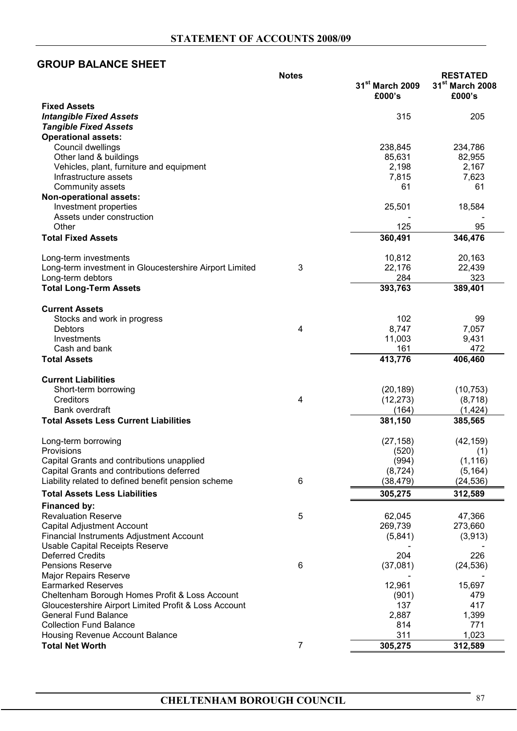# **GROUP BALANCE SHEET**

|                                                         | <b>Notes</b> |                             | <b>RESTATED</b>             |
|---------------------------------------------------------|--------------|-----------------------------|-----------------------------|
|                                                         |              | 31 <sup>st</sup> March 2009 | 31 <sup>st</sup> March 2008 |
|                                                         |              | £000's                      | £000's                      |
| <b>Fixed Assets</b>                                     |              |                             |                             |
| <b>Intangible Fixed Assets</b>                          |              | 315                         | 205                         |
| <b>Tangible Fixed Assets</b>                            |              |                             |                             |
| <b>Operational assets:</b>                              |              |                             |                             |
| Council dwellings                                       |              | 238,845                     | 234,786                     |
| Other land & buildings                                  |              | 85,631                      | 82,955                      |
| Vehicles, plant, furniture and equipment                |              | 2,198                       | 2,167                       |
| Infrastructure assets                                   |              | 7,815                       | 7,623                       |
| Community assets                                        |              | 61                          | 61                          |
| Non-operational assets:                                 |              |                             |                             |
| Investment properties                                   |              | 25,501                      | 18,584                      |
| Assets under construction                               |              |                             |                             |
| Other                                                   |              | 125                         | 95                          |
| <b>Total Fixed Assets</b>                               |              | 360,491                     | 346,476                     |
|                                                         |              |                             |                             |
| Long-term investments                                   |              | 10,812                      | 20,163                      |
| Long-term investment in Gloucestershire Airport Limited | 3            | 22,176                      | 22,439                      |
| Long-term debtors                                       |              | 284                         | 323                         |
| <b>Total Long-Term Assets</b>                           |              | 393,763                     | 389,401                     |
|                                                         |              |                             |                             |
|                                                         |              |                             |                             |
| <b>Current Assets</b>                                   |              |                             |                             |
| Stocks and work in progress                             |              | 102                         | 99                          |
| <b>Debtors</b>                                          | 4            | 8,747                       | 7,057                       |
| Investments                                             |              | 11,003                      | 9,431                       |
| Cash and bank                                           |              | 161                         | 472                         |
| <b>Total Assets</b>                                     |              | 413,776                     | 406,460                     |
|                                                         |              |                             |                             |
| <b>Current Liabilities</b>                              |              |                             |                             |
| Short-term borrowing                                    |              | (20, 189)                   | (10, 753)                   |
| Creditors                                               | 4            | (12, 273)                   | (8,718)                     |
| Bank overdraft                                          |              | (164)                       | (1,424)                     |
| <b>Total Assets Less Current Liabilities</b>            |              | 381,150                     | 385,565                     |
|                                                         |              |                             |                             |
| Long-term borrowing                                     |              | (27, 158)                   | (42, 159)                   |
| Provisions                                              |              | (520)                       | (1)                         |
| Capital Grants and contributions unapplied              |              | (994)                       | (1, 116)                    |
| Capital Grants and contributions deferred               |              | (8, 724)                    | (5, 164)                    |
| Liability related to defined benefit pension scheme     | 6            | (38, 479)                   | (24, 536)                   |
| <b>Total Assets Less Liabilities</b>                    |              | 305,275                     | 312,589                     |
|                                                         |              |                             |                             |
| Financed by:                                            |              |                             |                             |
| <b>Revaluation Reserve</b>                              | 5            | 62,045                      | 47,366                      |
| Capital Adjustment Account                              |              | 269,739                     | 273,660                     |
| Financial Instruments Adjustment Account                |              | (5,841)                     | (3,913)                     |
| Usable Capital Receipts Reserve                         |              |                             |                             |
| <b>Deferred Credits</b>                                 |              | 204                         | 226                         |
| <b>Pensions Reserve</b>                                 | 6            | (37,081)                    | (24, 536)                   |
| <b>Major Repairs Reserve</b>                            |              |                             |                             |
| <b>Earmarked Reserves</b>                               |              | 12,961                      | 15,697                      |
| Cheltenham Borough Homes Profit & Loss Account          |              | (901)                       | 479                         |
| Gloucestershire Airport Limited Profit & Loss Account   |              | 137                         | 417                         |
| <b>General Fund Balance</b>                             |              | 2,887                       | 1,399                       |
| <b>Collection Fund Balance</b>                          |              | 814                         | 771                         |
| Housing Revenue Account Balance                         |              | 311                         | 1,023                       |
| <b>Total Net Worth</b>                                  | 7            | 305,275                     | 312,589                     |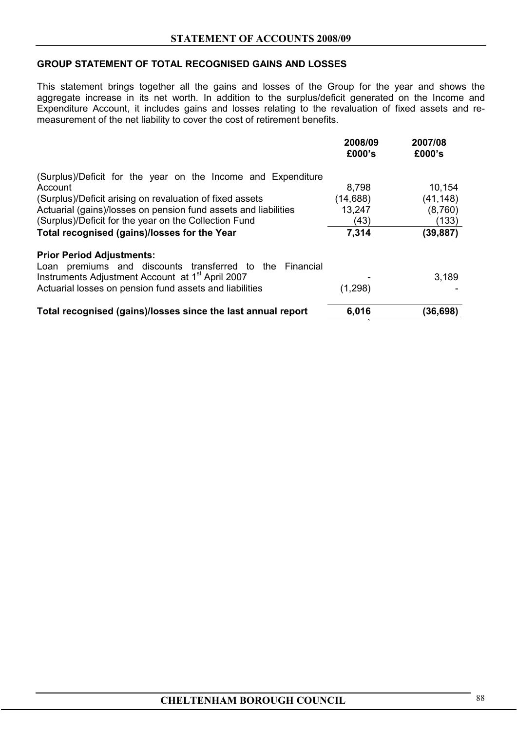# **GROUP STATEMENT OF TOTAL RECOGNISED GAINS AND LOSSES**

This statement brings together all the gains and losses of the Group for the year and shows the aggregate increase in its net worth. In addition to the surplus/deficit generated on the Income and Expenditure Account, it includes gains and losses relating to the revaluation of fixed assets and remeasurement of the net liability to cover the cost of retirement benefits.

|                                                                 | 2008/09<br>£000's | 2007/08<br>£000's |
|-----------------------------------------------------------------|-------------------|-------------------|
| (Surplus)/Deficit for the year on the Income and Expenditure    |                   |                   |
| Account                                                         | 8,798             | 10,154            |
| (Surplus)/Deficit arising on revaluation of fixed assets        | (14,688)          | (41, 148)         |
| Actuarial (gains)/losses on pension fund assets and liabilities | 13,247            | (8,760)           |
| (Surplus)/Deficit for the year on the Collection Fund           | (43)              | (133)             |
| Total recognised (gains)/losses for the Year                    | 7,314             | (39, 887)         |
| <b>Prior Period Adjustments:</b>                                |                   |                   |
| Loan premiums and discounts transferred to the Financial        |                   |                   |
| Instruments Adjustment Account at 1 <sup>st</sup> April 2007    |                   | 3,189             |
| Actuarial losses on pension fund assets and liabilities         | (1,298)           |                   |
| Total recognised (gains)/losses since the last annual report    | 6,016             | (36, 698)         |

`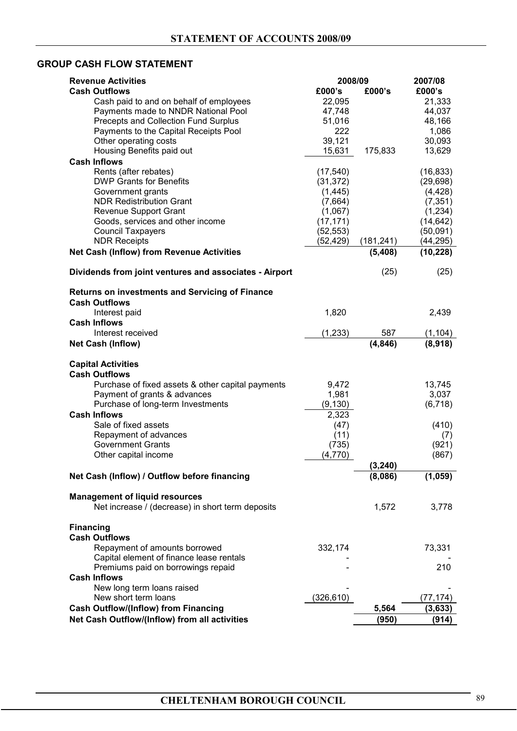# **GROUP CASH FLOW STATEMENT**

| <b>Revenue Activities</b>                              | 2008/09    |            | 2007/08   |
|--------------------------------------------------------|------------|------------|-----------|
| <b>Cash Outflows</b>                                   | £000's     | £000's     | £000's    |
| Cash paid to and on behalf of employees                | 22,095     |            | 21,333    |
| Payments made to NNDR National Pool                    | 47,748     |            | 44,037    |
| Precepts and Collection Fund Surplus                   | 51,016     |            | 48,166    |
| Payments to the Capital Receipts Pool                  | 222        |            | 1,086     |
| Other operating costs                                  | 39,121     |            | 30,093    |
| Housing Benefits paid out                              | 15,631     | 175,833    | 13,629    |
| <b>Cash Inflows</b>                                    |            |            |           |
| Rents (after rebates)                                  | (17, 540)  |            | (16, 833) |
| <b>DWP Grants for Benefits</b>                         | (31, 372)  |            | (29, 698) |
| Government grants                                      | (1, 445)   |            | (4, 428)  |
| <b>NDR Redistribution Grant</b>                        | (7,664)    |            | (7, 351)  |
| <b>Revenue Support Grant</b>                           | (1,067)    |            | (1,234)   |
| Goods, services and other income                       | (17, 171)  |            | (14, 642) |
| <b>Council Taxpayers</b><br><b>NDR Receipts</b>        | (52, 553)  |            | (50,091)  |
|                                                        | (52,429)   | (181, 241) | (44, 295) |
| Net Cash (Inflow) from Revenue Activities              |            | (5,408)    | (10, 228) |
| Dividends from joint ventures and associates - Airport |            | (25)       | (25)      |
| <b>Returns on investments and Servicing of Finance</b> |            |            |           |
| <b>Cash Outflows</b>                                   |            |            |           |
| Interest paid                                          | 1,820      |            | 2,439     |
| <b>Cash Inflows</b>                                    |            |            |           |
| Interest received                                      | (1, 233)   | 587        | (1, 104)  |
| <b>Net Cash (Inflow)</b>                               |            | (4, 846)   | (8,918)   |
| <b>Capital Activities</b>                              |            |            |           |
| <b>Cash Outflows</b>                                   |            |            |           |
| Purchase of fixed assets & other capital payments      | 9,472      |            | 13,745    |
| Payment of grants & advances                           | 1,981      |            | 3,037     |
| Purchase of long-term Investments                      | (9, 130)   |            | (6, 718)  |
| <b>Cash Inflows</b>                                    | 2,323      |            |           |
| Sale of fixed assets                                   | (47)       |            | (410)     |
| Repayment of advances                                  | (11)       |            | (7)       |
| <b>Government Grants</b>                               | (735)      |            | (921)     |
| Other capital income                                   | (4,770)    |            | (867)     |
|                                                        |            | (3,240)    |           |
| Net Cash (Inflow) / Outflow before financing           |            | (8,086)    | (1,059)   |
| <b>Management of liquid resources</b>                  |            |            |           |
| Net increase / (decrease) in short term deposits       |            | 1,572      | 3,778     |
| <b>Financing</b>                                       |            |            |           |
| <b>Cash Outflows</b>                                   |            |            |           |
| Repayment of amounts borrowed                          | 332,174    |            | 73,331    |
| Capital element of finance lease rentals               |            |            |           |
| Premiums paid on borrowings repaid                     |            |            | 210       |
| <b>Cash Inflows</b>                                    |            |            |           |
| New long term loans raised                             |            |            |           |
| New short term loans                                   | (326, 610) |            | (77,174)  |
| <b>Cash Outflow/(Inflow) from Financing</b>            |            | 5,564      | (3, 633)  |
| Net Cash Outflow/(Inflow) from all activities          |            | (950)      | (914)     |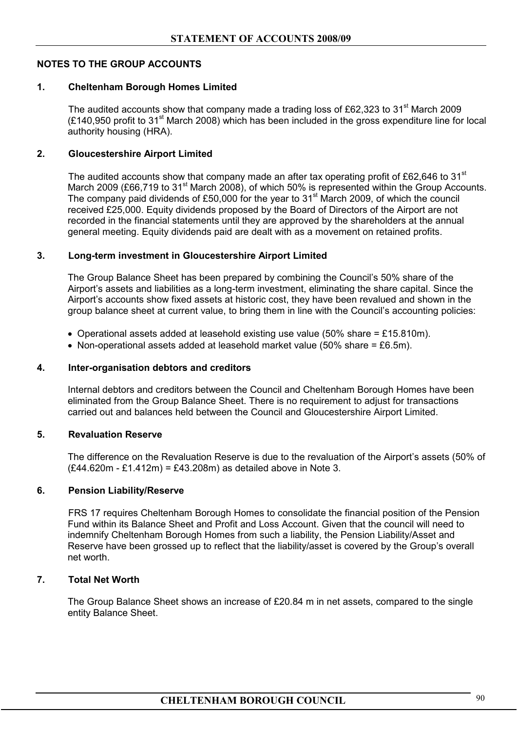# **NOTES TO THE GROUP ACCOUNTS**

# **1. Cheltenham Borough Homes Limited**

The audited accounts show that company made a trading loss of £62,323 to 31<sup>st</sup> March 2009  $(E140.950$  profit to 31<sup>st</sup> March 2008) which has been included in the gross expenditure line for local authority housing (HRA).

# **2. Gloucestershire Airport Limited**

The audited accounts show that company made an after tax operating profit of £62,646 to 31<sup>st</sup> March 2009 (£66.719 to 31<sup>st</sup> March 2008), of which 50% is represented within the Group Accounts. The company paid dividends of £50,000 for the year to 31<sup>st</sup> March 2009, of which the council received £25,000. Equity dividends proposed by the Board of Directors of the Airport are not recorded in the financial statements until they are approved by the shareholders at the annual general meeting. Equity dividends paid are dealt with as a movement on retained profits.

# **3. Long-term investment in Gloucestershire Airport Limited**

The Group Balance Sheet has been prepared by combining the Council's 50% share of the Airport's assets and liabilities as a long-term investment, eliminating the share capital. Since the Airport's accounts show fixed assets at historic cost, they have been revalued and shown in the group balance sheet at current value, to bring them in line with the Council's accounting policies:

- Operational assets added at leasehold existing use value (50% share  $= \text{\textsterling}15.810 \text{m}$ ).
- Non-operational assets added at leasehold market value (50% share = £6.5m).

#### **4. Inter-organisation debtors and creditors**

Internal debtors and creditors between the Council and Cheltenham Borough Homes have been eliminated from the Group Balance Sheet. There is no requirement to adjust for transactions carried out and balances held between the Council and Gloucestershire Airport Limited.

#### **5. Revaluation Reserve**

 The difference on the Revaluation Reserve is due to the revaluation of the Airport's assets (50% of (£44.620m - £1.412m) = £43.208m) as detailed above in Note 3.

#### **6. Pension Liability/Reserve**

 FRS 17 requires Cheltenham Borough Homes to consolidate the financial position of the Pension Fund within its Balance Sheet and Profit and Loss Account. Given that the council will need to indemnify Cheltenham Borough Homes from such a liability, the Pension Liability/Asset and Reserve have been grossed up to reflect that the liability/asset is covered by the Group's overall net worth.

#### **7. Total Net Worth**

The Group Balance Sheet shows an increase of £20.84 m in net assets, compared to the single entity Balance Sheet.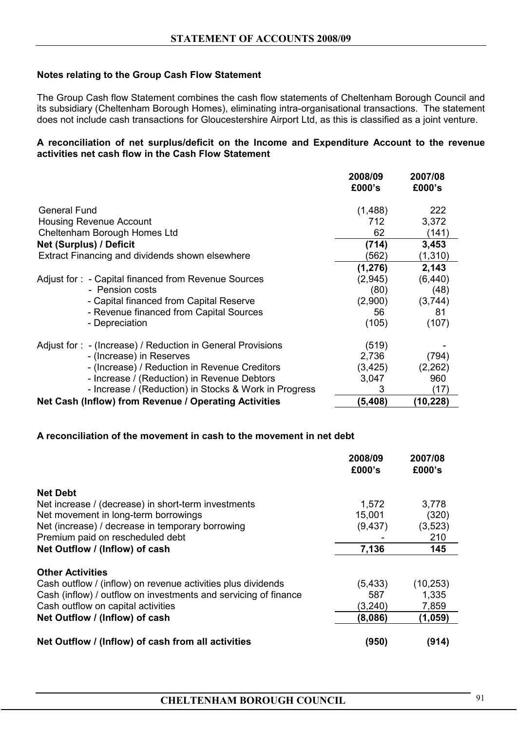# **Notes relating to the Group Cash Flow Statement**

The Group Cash flow Statement combines the cash flow statements of Cheltenham Borough Council and its subsidiary (Cheltenham Borough Homes), eliminating intra-organisational transactions. The statement does not include cash transactions for Gloucestershire Airport Ltd, as this is classified as a joint venture.

#### **A reconciliation of net surplus/deficit on the Income and Expenditure Account to the revenue activities net cash flow in the Cash Flow Statement**

|                                                             | 2008/09<br>£000's | 2007/08<br>£000's |
|-------------------------------------------------------------|-------------------|-------------------|
| <b>General Fund</b>                                         | (1,488)           | 222               |
| <b>Housing Revenue Account</b>                              | 712               | 3,372             |
| Cheltenham Borough Homes Ltd                                | 62                | (141)             |
| Net (Surplus) / Deficit                                     | (714)             | 3,453             |
| Extract Financing and dividends shown elsewhere             | (562)             | (1, 310)          |
|                                                             | (1, 276)          | 2,143             |
| Adjust for: - Capital financed from Revenue Sources         | (2,945)           | (6, 440)          |
| - Pension costs                                             | (80)              | (48)              |
| - Capital financed from Capital Reserve                     | (2,900)           | (3,744)           |
| - Revenue financed from Capital Sources                     | 56                | 81                |
| - Depreciation                                              | (105)             | (107)             |
| Adjust for : - (Increase) / Reduction in General Provisions | (519)             |                   |
| - (Increase) in Reserves                                    | 2,736             | (794)             |
| - (Increase) / Reduction in Revenue Creditors               | (3, 425)          | (2, 262)          |
| - Increase / (Reduction) in Revenue Debtors                 | 3,047             | 960               |
| - Increase / (Reduction) in Stocks & Work in Progress       | 3                 | (17)              |
| Net Cash (Inflow) from Revenue / Operating Activities       | (5, 408)          | (10, 228)         |

#### **A reconciliation of the movement in cash to the movement in net debt**

|                                                                 | 2008/09<br>£000's | 2007/08<br>£000's |
|-----------------------------------------------------------------|-------------------|-------------------|
| <b>Net Debt</b>                                                 |                   |                   |
| Net increase / (decrease) in short-term investments             | 1,572             | 3,778             |
| Net movement in long-term borrowings                            | 15,001            | (320)             |
| Net (increase) / decrease in temporary borrowing                | (9, 437)          | (3, 523)          |
| Premium paid on rescheduled debt                                |                   | 210               |
| Net Outflow / (Inflow) of cash                                  | 7,136             | 145               |
| <b>Other Activities</b>                                         |                   |                   |
| Cash outflow / (inflow) on revenue activities plus dividends    | (5, 433)          | (10, 253)         |
| Cash (inflow) / outflow on investments and servicing of finance | 587               | 1,335             |
| Cash outflow on capital activities                              | (3, 240)          | 7,859             |
| Net Outflow / (Inflow) of cash                                  | (8,086)           | (1, 059)          |
| Net Outflow / (Inflow) of cash from all activities              | (950)             | (914)             |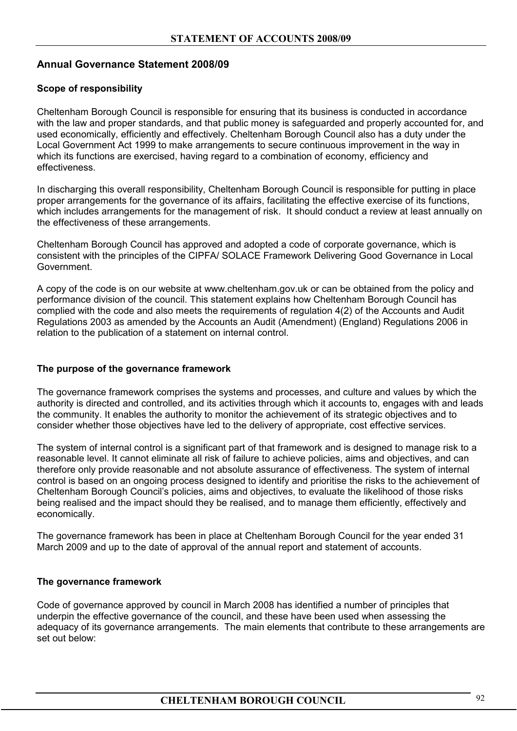# **Annual Governance Statement 2008/09**

# **Scope of responsibility**

Cheltenham Borough Council is responsible for ensuring that its business is conducted in accordance with the law and proper standards, and that public money is safeguarded and properly accounted for, and used economically, efficiently and effectively. Cheltenham Borough Council also has a duty under the Local Government Act 1999 to make arrangements to secure continuous improvement in the way in which its functions are exercised, having regard to a combination of economy, efficiency and effectiveness.

In discharging this overall responsibility, Cheltenham Borough Council is responsible for putting in place proper arrangements for the governance of its affairs, facilitating the effective exercise of its functions, which includes arrangements for the management of risk. It should conduct a review at least annually on the effectiveness of these arrangements.

Cheltenham Borough Council has approved and adopted a code of corporate governance, which is consistent with the principles of the CIPFA/ SOLACE Framework Delivering Good Governance in Local Government.

A copy of the code is on our website at www.cheltenham.gov.uk or can be obtained from the policy and performance division of the council. This statement explains how Cheltenham Borough Council has complied with the code and also meets the requirements of regulation 4(2) of the Accounts and Audit Regulations 2003 as amended by the Accounts an Audit (Amendment) (England) Regulations 2006 in relation to the publication of a statement on internal control.

#### **The purpose of the governance framework**

The governance framework comprises the systems and processes, and culture and values by which the authority is directed and controlled, and its activities through which it accounts to, engages with and leads the community. It enables the authority to monitor the achievement of its strategic objectives and to consider whether those objectives have led to the delivery of appropriate, cost effective services.

The system of internal control is a significant part of that framework and is designed to manage risk to a reasonable level. It cannot eliminate all risk of failure to achieve policies, aims and objectives, and can therefore only provide reasonable and not absolute assurance of effectiveness. The system of internal control is based on an ongoing process designed to identify and prioritise the risks to the achievement of Cheltenham Borough Council's policies, aims and objectives, to evaluate the likelihood of those risks being realised and the impact should they be realised, and to manage them efficiently, effectively and economically.

The governance framework has been in place at Cheltenham Borough Council for the year ended 31 March 2009 and up to the date of approval of the annual report and statement of accounts.

#### **The governance framework**

Code of governance approved by council in March 2008 has identified a number of principles that underpin the effective governance of the council, and these have been used when assessing the adequacy of its governance arrangements. The main elements that contribute to these arrangements are set out below: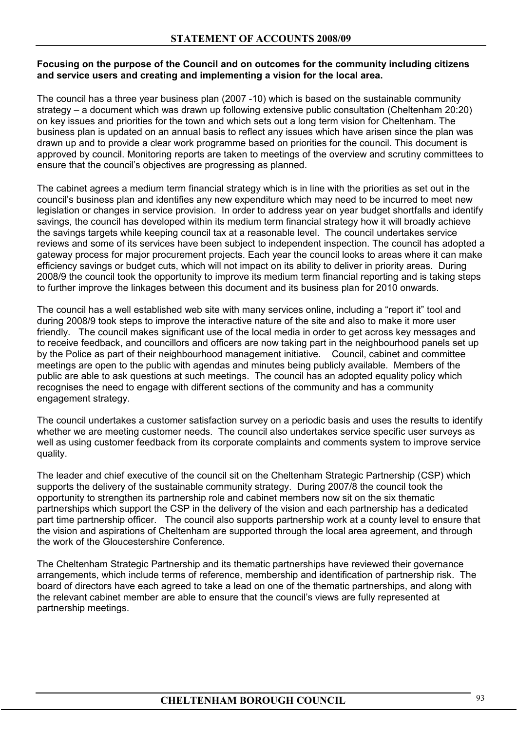## **Focusing on the purpose of the Council and on outcomes for the community including citizens and service users and creating and implementing a vision for the local area.**

The council has a three year business plan (2007 -10) which is based on the sustainable community strategy – a document which was drawn up following extensive public consultation (Cheltenham 20:20) on key issues and priorities for the town and which sets out a long term vision for Cheltenham. The business plan is updated on an annual basis to reflect any issues which have arisen since the plan was drawn up and to provide a clear work programme based on priorities for the council. This document is approved by council. Monitoring reports are taken to meetings of the overview and scrutiny committees to ensure that the council's objectives are progressing as planned.

The cabinet agrees a medium term financial strategy which is in line with the priorities as set out in the council's business plan and identifies any new expenditure which may need to be incurred to meet new legislation or changes in service provision. In order to address year on year budget shortfalls and identify savings, the council has developed within its medium term financial strategy how it will broadly achieve the savings targets while keeping council tax at a reasonable level. The council undertakes service reviews and some of its services have been subject to independent inspection. The council has adopted a gateway process for major procurement projects. Each year the council looks to areas where it can make efficiency savings or budget cuts, which will not impact on its ability to deliver in priority areas. During 2008/9 the council took the opportunity to improve its medium term financial reporting and is taking steps to further improve the linkages between this document and its business plan for 2010 onwards.

The council has a well established web site with many services online, including a "report it" tool and during 2008/9 took steps to improve the interactive nature of the site and also to make it more user friendly. The council makes significant use of the local media in order to get across key messages and to receive feedback, and councillors and officers are now taking part in the neighbourhood panels set up by the Police as part of their neighbourhood management initiative. Council, cabinet and committee meetings are open to the public with agendas and minutes being publicly available. Members of the public are able to ask questions at such meetings. The council has an adopted equality policy which recognises the need to engage with different sections of the community and has a community engagement strategy.

The council undertakes a customer satisfaction survey on a periodic basis and uses the results to identify whether we are meeting customer needs. The council also undertakes service specific user surveys as well as using customer feedback from its corporate complaints and comments system to improve service quality.

The leader and chief executive of the council sit on the Cheltenham Strategic Partnership (CSP) which supports the delivery of the sustainable community strategy. During 2007/8 the council took the opportunity to strengthen its partnership role and cabinet members now sit on the six thematic partnerships which support the CSP in the delivery of the vision and each partnership has a dedicated part time partnership officer. The council also supports partnership work at a county level to ensure that the vision and aspirations of Cheltenham are supported through the local area agreement, and through the work of the Gloucestershire Conference.

The Cheltenham Strategic Partnership and its thematic partnerships have reviewed their governance arrangements, which include terms of reference, membership and identification of partnership risk. The board of directors have each agreed to take a lead on one of the thematic partnerships, and along with the relevant cabinet member are able to ensure that the council's views are fully represented at partnership meetings.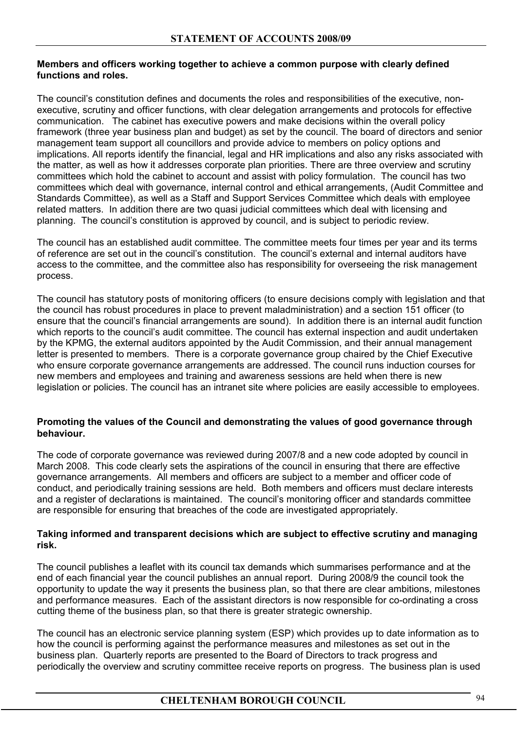# **Members and officers working together to achieve a common purpose with clearly defined functions and roles.**

The council's constitution defines and documents the roles and responsibilities of the executive, nonexecutive, scrutiny and officer functions, with clear delegation arrangements and protocols for effective communication. The cabinet has executive powers and make decisions within the overall policy framework (three year business plan and budget) as set by the council. The board of directors and senior management team support all councillors and provide advice to members on policy options and implications. All reports identify the financial, legal and HR implications and also any risks associated with the matter, as well as how it addresses corporate plan priorities. There are three overview and scrutiny committees which hold the cabinet to account and assist with policy formulation. The council has two committees which deal with governance, internal control and ethical arrangements, (Audit Committee and Standards Committee), as well as a Staff and Support Services Committee which deals with employee related matters. In addition there are two quasi judicial committees which deal with licensing and planning. The council's constitution is approved by council, and is subject to periodic review.

The council has an established audit committee. The committee meets four times per year and its terms of reference are set out in the council's constitution. The council's external and internal auditors have access to the committee, and the committee also has responsibility for overseeing the risk management process.

The council has statutory posts of monitoring officers (to ensure decisions comply with legislation and that the council has robust procedures in place to prevent maladministration) and a section 151 officer (to ensure that the council's financial arrangements are sound). In addition there is an internal audit function which reports to the council's audit committee. The council has external inspection and audit undertaken by the KPMG, the external auditors appointed by the Audit Commission, and their annual management letter is presented to members. There is a corporate governance group chaired by the Chief Executive who ensure corporate governance arrangements are addressed. The council runs induction courses for new members and employees and training and awareness sessions are held when there is new legislation or policies. The council has an intranet site where policies are easily accessible to employees.

# **Promoting the values of the Council and demonstrating the values of good governance through behaviour.**

The code of corporate governance was reviewed during 2007/8 and a new code adopted by council in March 2008. This code clearly sets the aspirations of the council in ensuring that there are effective governance arrangements. All members and officers are subject to a member and officer code of conduct, and periodically training sessions are held. Both members and officers must declare interests and a register of declarations is maintained. The council's monitoring officer and standards committee are responsible for ensuring that breaches of the code are investigated appropriately.

# **Taking informed and transparent decisions which are subject to effective scrutiny and managing risk.**

The council publishes a leaflet with its council tax demands which summarises performance and at the end of each financial year the council publishes an annual report. During 2008/9 the council took the opportunity to update the way it presents the business plan, so that there are clear ambitions, milestones and performance measures. Each of the assistant directors is now responsible for co-ordinating a cross cutting theme of the business plan, so that there is greater strategic ownership.

The council has an electronic service planning system (ESP) which provides up to date information as to how the council is performing against the performance measures and milestones as set out in the business plan. Quarterly reports are presented to the Board of Directors to track progress and periodically the overview and scrutiny committee receive reports on progress. The business plan is used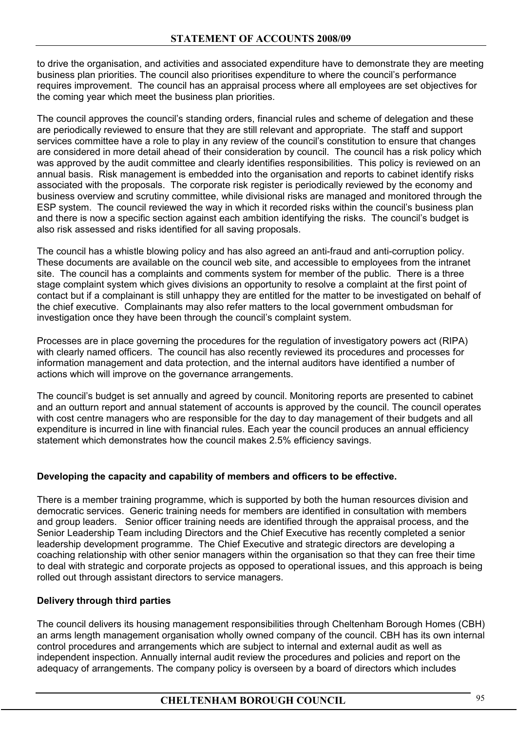to drive the organisation, and activities and associated expenditure have to demonstrate they are meeting business plan priorities. The council also prioritises expenditure to where the council's performance requires improvement. The council has an appraisal process where all employees are set objectives for the coming year which meet the business plan priorities.

The council approves the council's standing orders, financial rules and scheme of delegation and these are periodically reviewed to ensure that they are still relevant and appropriate. The staff and support services committee have a role to play in any review of the council's constitution to ensure that changes are considered in more detail ahead of their consideration by council. The council has a risk policy which was approved by the audit committee and clearly identifies responsibilities. This policy is reviewed on an annual basis. Risk management is embedded into the organisation and reports to cabinet identify risks associated with the proposals. The corporate risk register is periodically reviewed by the economy and business overview and scrutiny committee, while divisional risks are managed and monitored through the ESP system. The council reviewed the way in which it recorded risks within the council's business plan and there is now a specific section against each ambition identifying the risks. The council's budget is also risk assessed and risks identified for all saving proposals.

The council has a whistle blowing policy and has also agreed an anti-fraud and anti-corruption policy. These documents are available on the council web site, and accessible to employees from the intranet site. The council has a complaints and comments system for member of the public. There is a three stage complaint system which gives divisions an opportunity to resolve a complaint at the first point of contact but if a complainant is still unhappy they are entitled for the matter to be investigated on behalf of the chief executive. Complainants may also refer matters to the local government ombudsman for investigation once they have been through the council's complaint system.

Processes are in place governing the procedures for the regulation of investigatory powers act (RIPA) with clearly named officers. The council has also recently reviewed its procedures and processes for information management and data protection, and the internal auditors have identified a number of actions which will improve on the governance arrangements.

The council's budget is set annually and agreed by council. Monitoring reports are presented to cabinet and an outturn report and annual statement of accounts is approved by the council. The council operates with cost centre managers who are responsible for the day to day management of their budgets and all expenditure is incurred in line with financial rules. Each year the council produces an annual efficiency statement which demonstrates how the council makes 2.5% efficiency savings.

# **Developing the capacity and capability of members and officers to be effective.**

There is a member training programme, which is supported by both the human resources division and democratic services. Generic training needs for members are identified in consultation with members and group leaders. Senior officer training needs are identified through the appraisal process, and the Senior Leadership Team including Directors and the Chief Executive has recently completed a senior leadership development programme. The Chief Executive and strategic directors are developing a coaching relationship with other senior managers within the organisation so that they can free their time to deal with strategic and corporate projects as opposed to operational issues, and this approach is being rolled out through assistant directors to service managers.

# **Delivery through third parties**

The council delivers its housing management responsibilities through Cheltenham Borough Homes (CBH) an arms length management organisation wholly owned company of the council. CBH has its own internal control procedures and arrangements which are subject to internal and external audit as well as independent inspection. Annually internal audit review the procedures and policies and report on the adequacy of arrangements. The company policy is overseen by a board of directors which includes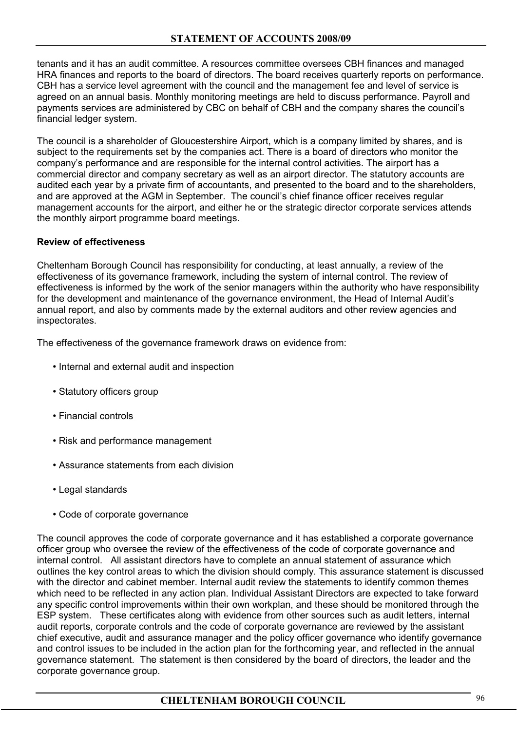tenants and it has an audit committee. A resources committee oversees CBH finances and managed HRA finances and reports to the board of directors. The board receives quarterly reports on performance. CBH has a service level agreement with the council and the management fee and level of service is agreed on an annual basis. Monthly monitoring meetings are held to discuss performance. Payroll and payments services are administered by CBC on behalf of CBH and the company shares the council's financial ledger system.

The council is a shareholder of Gloucestershire Airport, which is a company limited by shares, and is subject to the requirements set by the companies act. There is a board of directors who monitor the company's performance and are responsible for the internal control activities. The airport has a commercial director and company secretary as well as an airport director. The statutory accounts are audited each year by a private firm of accountants, and presented to the board and to the shareholders, and are approved at the AGM in September. The council's chief finance officer receives regular management accounts for the airport, and either he or the strategic director corporate services attends the monthly airport programme board meetings.

# **Review of effectiveness**

Cheltenham Borough Council has responsibility for conducting, at least annually, a review of the effectiveness of its governance framework, including the system of internal control. The review of effectiveness is informed by the work of the senior managers within the authority who have responsibility for the development and maintenance of the governance environment, the Head of Internal Audit's annual report, and also by comments made by the external auditors and other review agencies and inspectorates.

The effectiveness of the governance framework draws on evidence from:

- Internal and external audit and inspection
- Statutory officers group
- Financial controls
- Risk and performance management
- Assurance statements from each division
- Legal standards
- Code of corporate governance

The council approves the code of corporate governance and it has established a corporate governance officer group who oversee the review of the effectiveness of the code of corporate governance and internal control. All assistant directors have to complete an annual statement of assurance which outlines the key control areas to which the division should comply. This assurance statement is discussed with the director and cabinet member. Internal audit review the statements to identify common themes which need to be reflected in any action plan. Individual Assistant Directors are expected to take forward any specific control improvements within their own workplan, and these should be monitored through the ESP system. These certificates along with evidence from other sources such as audit letters, internal audit reports, corporate controls and the code of corporate governance are reviewed by the assistant chief executive, audit and assurance manager and the policy officer governance who identify governance and control issues to be included in the action plan for the forthcoming year, and reflected in the annual governance statement. The statement is then considered by the board of directors, the leader and the corporate governance group.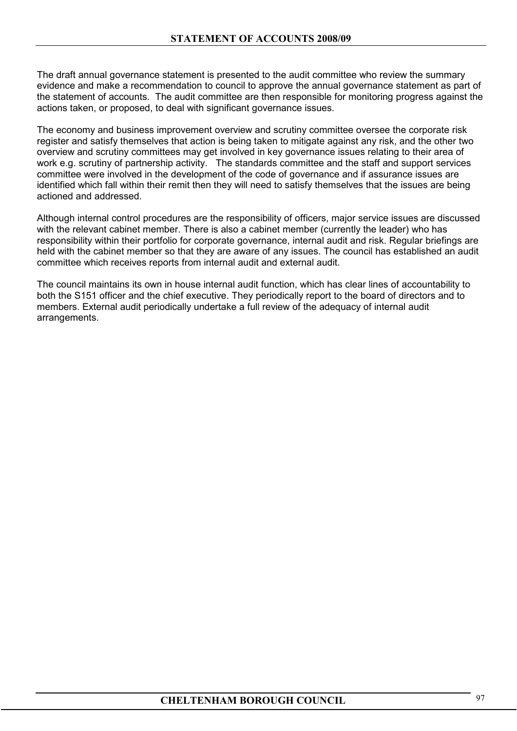The draft annual governance statement is presented to the audit committee who review the summary evidence and make a recommendation to council to approve the annual governance statement as part of the statement of accounts. The audit committee are then responsible for monitoring progress against the actions taken, or proposed, to deal with significant governance issues.

The economy and business improvement overview and scrutiny committee oversee the corporate risk register and satisfy themselves that action is being taken to mitigate against any risk, and the other two overview and scrutiny committees may get involved in key governance issues relating to their area of work e.g. scrutiny of partnership activity. The standards committee and the staff and support services committee were involved in the development of the code of governance and if assurance issues are identified which fall within their remit then they will need to satisfy themselves that the issues are being actioned and addressed.

Although internal control procedures are the responsibility of officers, major service issues are discussed with the relevant cabinet member. There is also a cabinet member (currently the leader) who has responsibility within their portfolio for corporate governance, internal audit and risk. Regular briefings are held with the cabinet member so that they are aware of any issues. The council has established an audit committee which receives reports from internal audit and external audit.

The council maintains its own in house internal audit function, which has clear lines of accountability to both the S151 officer and the chief executive. They periodically report to the board of directors and to members. External audit periodically undertake a full review of the adequacy of internal audit arrangements.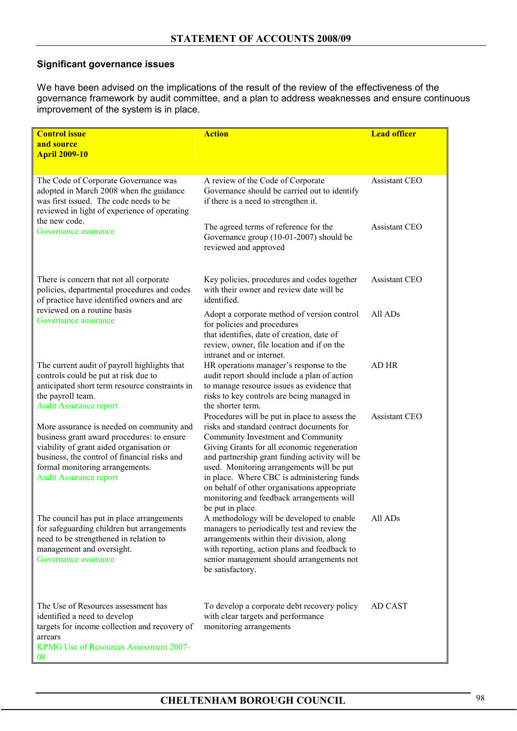# **Significant governance issues**

We have been advised on the implications of the result of the review of the effectiveness of the governance framework by audit committee, and a plan to address weaknesses and ensure continuous improvement of the system is in place.

| <b>Control issue</b><br>and source<br><b>April 2009-10</b>                                                                                                                                                                                              | <b>Action</b>                                                                                                                                                                                                                                                                                                                                                                                                                                 | <b>Lead officer</b>  |
|---------------------------------------------------------------------------------------------------------------------------------------------------------------------------------------------------------------------------------------------------------|-----------------------------------------------------------------------------------------------------------------------------------------------------------------------------------------------------------------------------------------------------------------------------------------------------------------------------------------------------------------------------------------------------------------------------------------------|----------------------|
| The Code of Corporate Governance was<br>adopted in March 2008 when the guidance<br>was first issued. The code needs to be<br>reviewed in light of experience of operating                                                                               | A review of the Code of Corporate<br>Governance should be carried out to identify<br>if there is a need to strengthen it.                                                                                                                                                                                                                                                                                                                     | Assistant CEO        |
| the new code.<br>Governance assurance                                                                                                                                                                                                                   | The agreed terms of reference for the<br>Governance group (10-01-2007) should be<br>reviewed and approved                                                                                                                                                                                                                                                                                                                                     | <b>Assistant CEO</b> |
| There is concern that not all corporate<br>policies, departmental procedures and codes<br>of practice have identified owners and are                                                                                                                    | Key policies, procedures and codes together<br>with their owner and review date will be<br>identified.                                                                                                                                                                                                                                                                                                                                        | <b>Assistant CEO</b> |
| reviewed on a routine basis<br>Governance assurance                                                                                                                                                                                                     | Adopt a corporate method of version control<br>for policies and procedures<br>that identifies, date of creation, date of<br>review, owner, file location and if on the<br>intranet and or internet.                                                                                                                                                                                                                                           | All AD <sub>s</sub>  |
| The current audit of payroll highlights that<br>controls could be put at risk due to<br>anticipated short term resource constraints in<br>the payroll team.<br><b>Audit Assurance report</b>                                                            | HR operations manager's response to the<br>audit report should include a plan of action<br>to manage resource issues as evidence that<br>risks to key controls are being managed in<br>the shorter term.                                                                                                                                                                                                                                      | AD HR                |
| More assurance is needed on community and<br>business grant award procedures: to ensure<br>viability of grant aided organisation or<br>business, the control of financial risks and<br>formal monitoring arrangements.<br><b>Audit Assurance report</b> | Procedures will be put in place to assess the<br>risks and standard contract documents for<br>Community Investment and Community<br>Giving Grants for all economic regeneration<br>and partnership grant funding activity will be<br>used. Monitoring arrangements will be put<br>in place. Where CBC is administering funds<br>on behalf of other organisations appropriate<br>monitoring and feedback arrangements will<br>be put in place. | <b>Assistant CEO</b> |
| The council has put in place arrangements<br>for safeguarding children but arrangements<br>need to be strengthened in relation to<br>management and oversight.<br>Governance assurance                                                                  | A methodology will be developed to enable<br>managers to periodically test and review the<br>arrangements within their division, along<br>with reporting, action plans and feedback to<br>senior management should arrangements not<br>be satisfactory.                                                                                                                                                                                       | All ADs              |
| The Use of Resources assessment has<br>identified a need to develop<br>targets for income collection and recovery of<br>arrears<br>KPMG Use of Resources Assessment 2007-<br>08                                                                         | To develop a corporate debt recovery policy<br>with clear targets and performance<br>monitoring arrangements                                                                                                                                                                                                                                                                                                                                  | AD CAST              |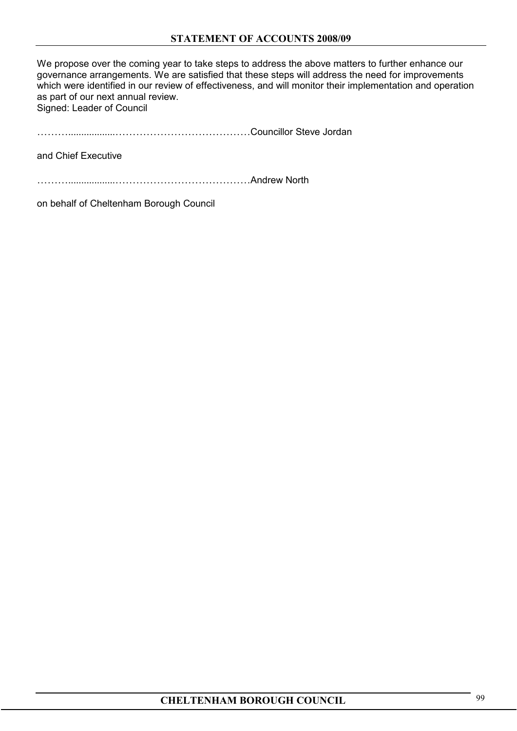We propose over the coming year to take steps to address the above matters to further enhance our governance arrangements. We are satisfied that these steps will address the need for improvements which were identified in our review of effectiveness, and will monitor their implementation and operation as part of our next annual review. Signed: Leader of Council

………..................…………………………………Councillor Steve Jordan

and Chief Executive

………..................…………………………………Andrew North

on behalf of Cheltenham Borough Council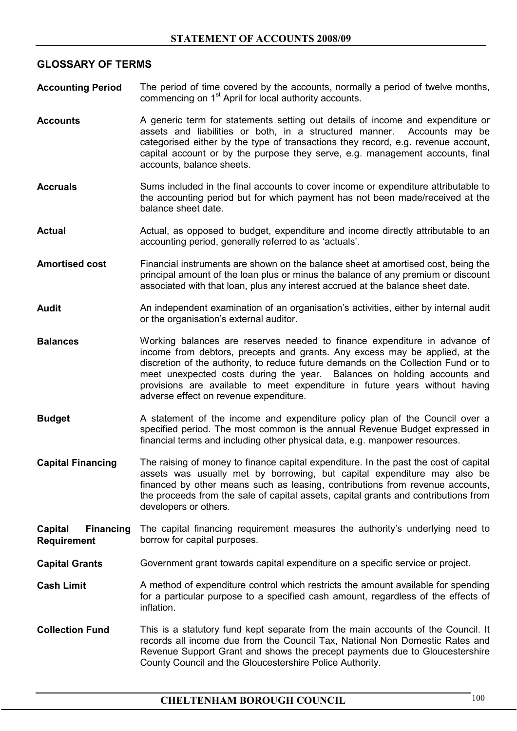# **GLOSSARY OF TERMS**

- **Accounting Period** The period of time covered by the accounts, normally a period of twelve months, commencing on 1<sup>st</sup> April for local authority accounts.
- **Accounts** A generic term for statements setting out details of income and expenditure or assets and liabilities or both, in a structured manner. Accounts may be categorised either by the type of transactions they record, e.g. revenue account, capital account or by the purpose they serve, e.g. management accounts, final accounts, balance sheets.
- Accruals Sums included in the final accounts to cover income or expenditure attributable to the accounting period but for which payment has not been made/received at the balance sheet date.
- Actual **Actual**, as opposed to budget, expenditure and income directly attributable to an accounting period, generally referred to as 'actuals'.
- **Amortised cost** Financial instruments are shown on the balance sheet at amortised cost, being the principal amount of the loan plus or minus the balance of any premium or discount associated with that loan, plus any interest accrued at the balance sheet date.
- Audit **Audit** An independent examination of an organisation's activities, either by internal audit or the organisation's external auditor.
- **Balances** Working balances are reserves needed to finance expenditure in advance of income from debtors, precepts and grants. Any excess may be applied, at the discretion of the authority, to reduce future demands on the Collection Fund or to meet unexpected costs during the year. Balances on holding accounts and provisions are available to meet expenditure in future years without having adverse effect on revenue expenditure.
- **Budget** A statement of the income and expenditure policy plan of the Council over a specified period. The most common is the annual Revenue Budget expressed in financial terms and including other physical data, e.g. manpower resources.
- **Capital Financing** The raising of money to finance capital expenditure. In the past the cost of capital assets was usually met by borrowing, but capital expenditure may also be financed by other means such as leasing, contributions from revenue accounts, the proceeds from the sale of capital assets, capital grants and contributions from developers or others.

#### **Capital Financing Requirement**  The capital financing requirement measures the authority's underlying need to borrow for capital purposes.

- **Capital Grants** Government grant towards capital expenditure on a specific service or project.
- **Cash Limit** A method of expenditure control which restricts the amount available for spending for a particular purpose to a specified cash amount, regardless of the effects of inflation.
- **Collection Fund** This is a statutory fund kept separate from the main accounts of the Council. It records all income due from the Council Tax, National Non Domestic Rates and Revenue Support Grant and shows the precept payments due to Gloucestershire County Council and the Gloucestershire Police Authority.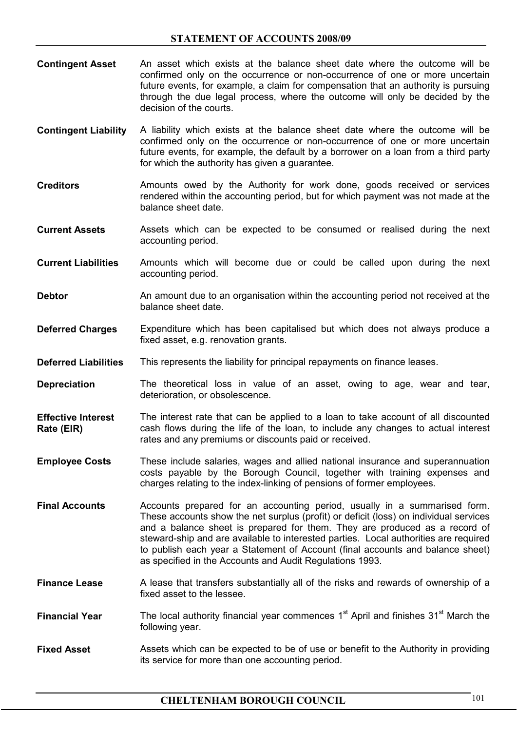- **Contingent Asset** An asset which exists at the balance sheet date where the outcome will be confirmed only on the occurrence or non-occurrence of one or more uncertain future events, for example, a claim for compensation that an authority is pursuing through the due legal process, where the outcome will only be decided by the decision of the courts.
- **Contingent Liability** A liability which exists at the balance sheet date where the outcome will be confirmed only on the occurrence or non-occurrence of one or more uncertain future events, for example, the default by a borrower on a loan from a third party for which the authority has given a guarantee.
- **Creditors** Amounts owed by the Authority for work done, goods received or services rendered within the accounting period, but for which payment was not made at the balance sheet date.
- **Current Assets** Assets which can be expected to be consumed or realised during the next accounting period.
- **Current Liabilities** Amounts which will become due or could be called upon during the next accounting period.
- **Debtor** An amount due to an organisation within the accounting period not received at the balance sheet date.
- **Deferred Charges** Expenditure which has been capitalised but which does not always produce a fixed asset, e.g. renovation grants.
- **Deferred Liabilities** This represents the liability for principal repayments on finance leases.
- **Depreciation** The theoretical loss in value of an asset, owing to age, wear and tear, deterioration, or obsolescence.
- **Effective Interest Rate (EIR)**  The interest rate that can be applied to a loan to take account of all discounted cash flows during the life of the loan, to include any changes to actual interest rates and any premiums or discounts paid or received.
- **Employee Costs** These include salaries, wages and allied national insurance and superannuation costs payable by the Borough Council, together with training expenses and charges relating to the index-linking of pensions of former employees.
- **Final Accounts** Accounts prepared for an accounting period, usually in a summarised form. These accounts show the net surplus (profit) or deficit (loss) on individual services and a balance sheet is prepared for them. They are produced as a record of steward-ship and are available to interested parties. Local authorities are required to publish each year a Statement of Account (final accounts and balance sheet) as specified in the Accounts and Audit Regulations 1993.
- **Finance Lease** A lease that transfers substantially all of the risks and rewards of ownership of a fixed asset to the lessee.
- **Financial Year** The local authority financial year commences 1<sup>st</sup> April and finishes 31<sup>st</sup> March the following year.
- **Fixed Asset** Assets which can be expected to be of use or benefit to the Authority in providing its service for more than one accounting period.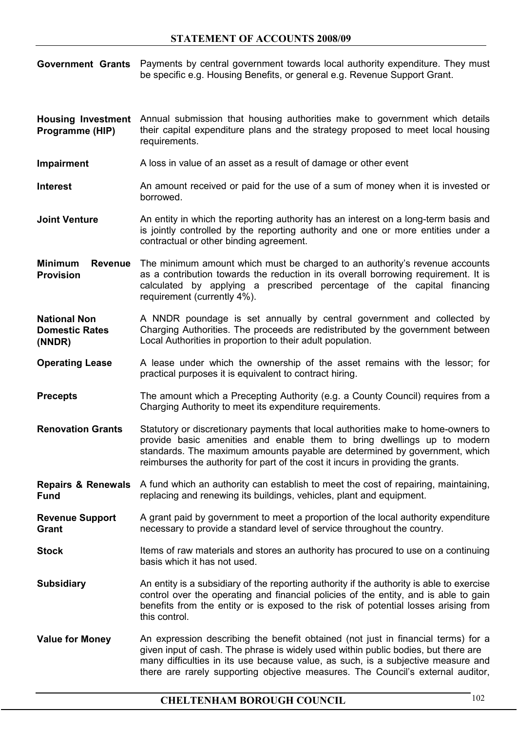**Government Grants** Payments by central government towards local authority expenditure. They must be specific e.g. Housing Benefits, or general e.g. Revenue Support Grant.

Housing Investment Annual submission that housing authorities make to government which details **Programme (HIP)** their capital expenditure plans and the strategy proposed to meet local housing requirements.

**Impairment** A loss in value of an asset as a result of damage or other event

**Interest** An amount received or paid for the use of a sum of money when it is invested or borrowed.

**Joint Venture An entity in which the reporting authority has an interest on a long-term basis and** is jointly controlled by the reporting authority and one or more entities under a contractual or other binding agreement.

**Minimum Revenue**  The minimum amount which must be charged to an authority's revenue accounts **Provision** as a contribution towards the reduction in its overall borrowing requirement. It is calculated by applying a prescribed percentage of the capital financing requirement (currently 4%).

**National Non Domestic Rates (NNDR)** A NNDR poundage is set annually by central government and collected by Charging Authorities. The proceeds are redistributed by the government between Local Authorities in proportion to their adult population.

**Operating Lease** A lease under which the ownership of the asset remains with the lessor; for practical purposes it is equivalent to contract hiring.

**Precepts** The amount which a Precepting Authority (e.g. a County Council) requires from a Charging Authority to meet its expenditure requirements.

**Renovation Grants** Statutory or discretionary payments that local authorities make to home-owners to provide basic amenities and enable them to bring dwellings up to modern standards. The maximum amounts payable are determined by government, which reimburses the authority for part of the cost it incurs in providing the grants.

**Repairs & Renewals**  A fund which an authority can establish to meet the cost of repairing, maintaining, **Fund** replacing and renewing its buildings, vehicles, plant and equipment.

**Revenue Support Grant** A grant paid by government to meet a proportion of the local authority expenditure necessary to provide a standard level of service throughout the country.

**Stock** Items of raw materials and stores an authority has procured to use on a continuing basis which it has not used.

**Subsidiary** An entity is a subsidiary of the reporting authority if the authority is able to exercise control over the operating and financial policies of the entity, and is able to gain benefits from the entity or is exposed to the risk of potential losses arising from this control.

**Value for Money** An expression describing the benefit obtained (not just in financial terms) for a given input of cash. The phrase is widely used within public bodies, but there are many difficulties in its use because value, as such, is a subjective measure and there are rarely supporting objective measures. The Council's external auditor,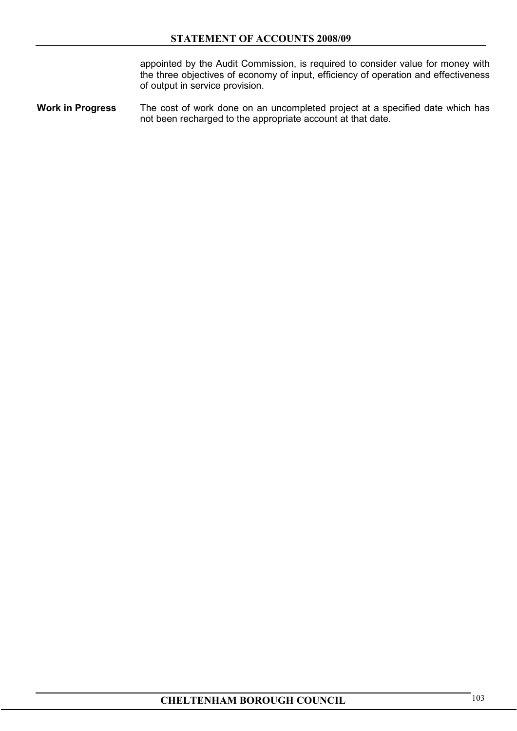appointed by the Audit Commission, is required to consider value for money with the three objectives of economy of input, efficiency of operation and effectiveness of output in service provision.

**Work in Progress** The cost of work done on an uncompleted project at a specified date which has not been recharged to the appropriate account at that date.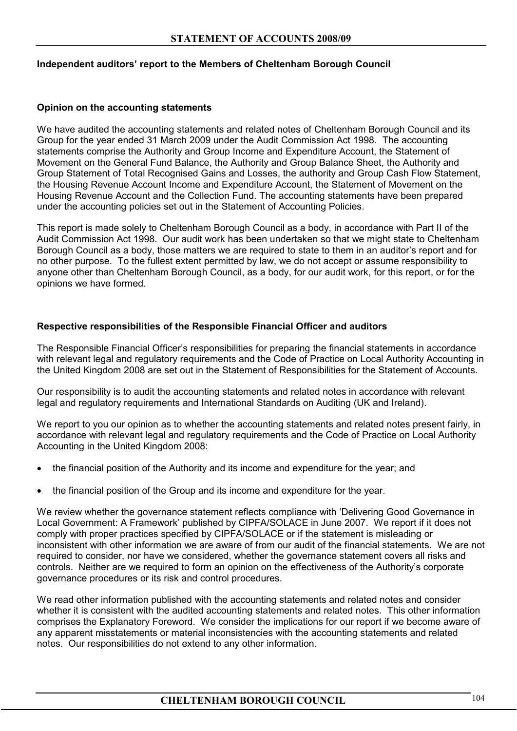#### **Independent auditors' report to the Members of Cheltenham Borough Council**

#### **Opinion on the accounting statements**

We have audited the accounting statements and related notes of Cheltenham Borough Council and its Group for the year ended 31 March 2009 under the Audit Commission Act 1998. The accounting statements comprise the Authority and Group Income and Expenditure Account, the Statement of Movement on the General Fund Balance, the Authority and Group Balance Sheet, the Authority and Group Statement of Total Recognised Gains and Losses, the authority and Group Cash Flow Statement, the Housing Revenue Account Income and Expenditure Account, the Statement of Movement on the Housing Revenue Account and the Collection Fund. The accounting statements have been prepared under the accounting policies set out in the Statement of Accounting Policies.

This report is made solely to Cheltenham Borough Council as a body, in accordance with Part II of the Audit Commission Act 1998. Our audit work has been undertaken so that we might state to Cheltenham Borough Council as a body, those matters we are required to state to them in an auditor's report and for no other purpose. To the fullest extent permitted by law, we do not accept or assume responsibility to anyone other than Cheltenham Borough Council, as a body, for our audit work, for this report, or for the opinions we have formed.

#### **Respective responsibilities of the Responsible Financial Officer and auditors**

The Responsible Financial Officer's responsibilities for preparing the financial statements in accordance with relevant legal and regulatory requirements and the Code of Practice on Local Authority Accounting in the United Kingdom 2008 are set out in the Statement of Responsibilities for the Statement of Accounts.

Our responsibility is to audit the accounting statements and related notes in accordance with relevant legal and regulatory requirements and International Standards on Auditing (UK and Ireland).

We report to you our opinion as to whether the accounting statements and related notes present fairly, in accordance with relevant legal and regulatory requirements and the Code of Practice on Local Authority Accounting in the United Kingdom 2008:

- the financial position of the Authority and its income and expenditure for the year; and
- the financial position of the Group and its income and expenditure for the year.

We review whether the governance statement reflects compliance with 'Delivering Good Governance in Local Government: A Framework' published by CIPFA/SOLACE in June 2007. We report if it does not comply with proper practices specified by CIPFA/SOLACE or if the statement is misleading or inconsistent with other information we are aware of from our audit of the financial statements. We are not required to consider, nor have we considered, whether the governance statement covers all risks and controls. Neither are we required to form an opinion on the effectiveness of the Authority's corporate governance procedures or its risk and control procedures.

We read other information published with the accounting statements and related notes and consider whether it is consistent with the audited accounting statements and related notes. This other information comprises the Explanatory Foreword. We consider the implications for our report if we become aware of any apparent misstatements or material inconsistencies with the accounting statements and related notes. Our responsibilities do not extend to any other information.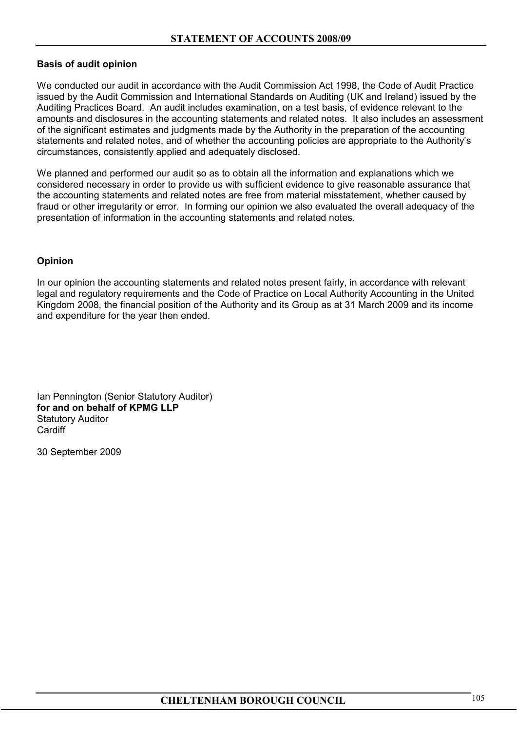## **Basis of audit opinion**

We conducted our audit in accordance with the Audit Commission Act 1998, the Code of Audit Practice issued by the Audit Commission and International Standards on Auditing (UK and Ireland) issued by the Auditing Practices Board. An audit includes examination, on a test basis, of evidence relevant to the amounts and disclosures in the accounting statements and related notes. It also includes an assessment of the significant estimates and judgments made by the Authority in the preparation of the accounting statements and related notes, and of whether the accounting policies are appropriate to the Authority's circumstances, consistently applied and adequately disclosed.

We planned and performed our audit so as to obtain all the information and explanations which we considered necessary in order to provide us with sufficient evidence to give reasonable assurance that the accounting statements and related notes are free from material misstatement, whether caused by fraud or other irregularity or error. In forming our opinion we also evaluated the overall adequacy of the presentation of information in the accounting statements and related notes.

# **Opinion**

In our opinion the accounting statements and related notes present fairly, in accordance with relevant legal and regulatory requirements and the Code of Practice on Local Authority Accounting in the United Kingdom 2008, the financial position of the Authority and its Group as at 31 March 2009 and its income and expenditure for the year then ended.

Ian Pennington (Senior Statutory Auditor) **for and on behalf of KPMG LLP** Statutory Auditor **Cardiff** 

30 September 2009